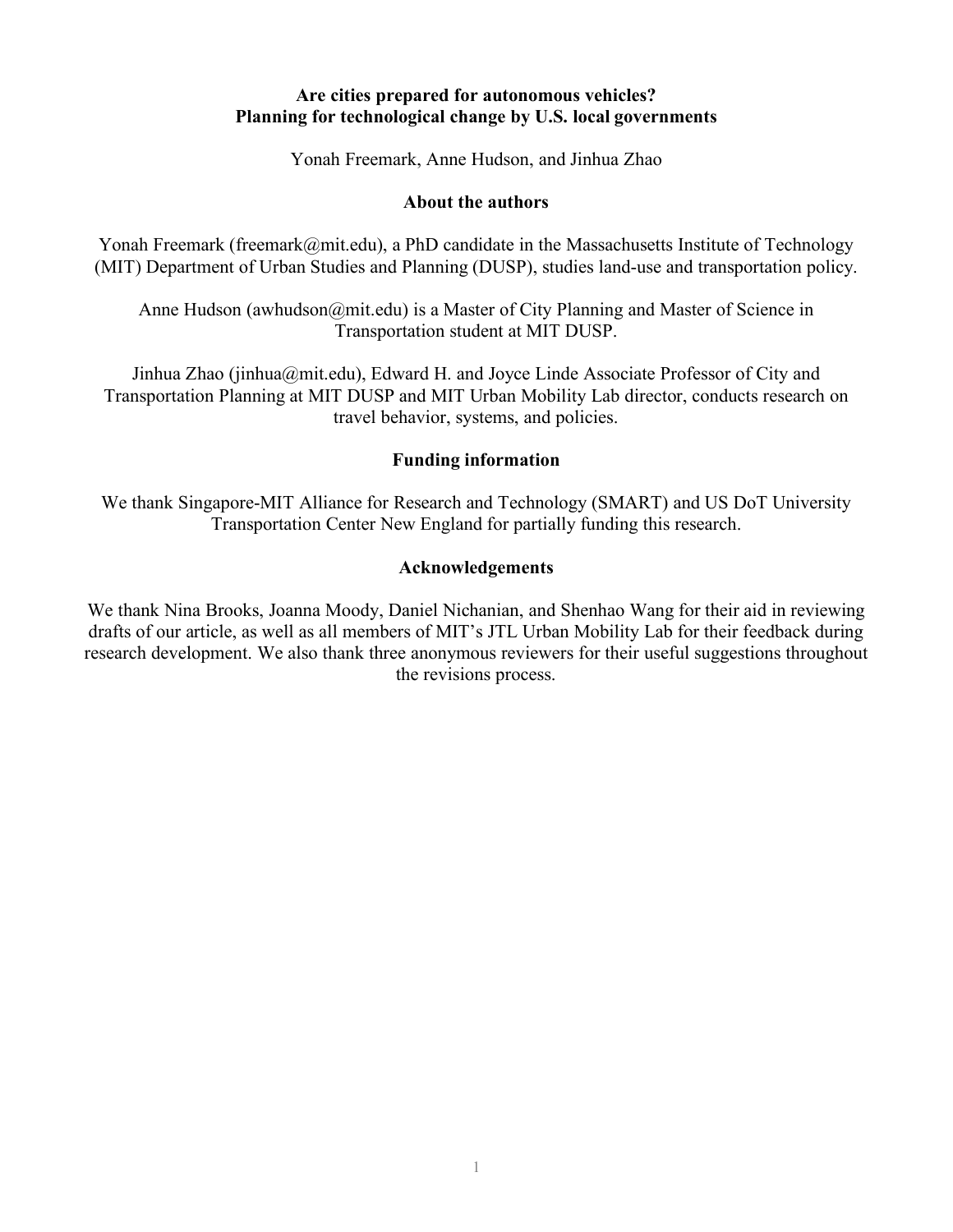### **Are cities prepared for autonomous vehicles? Planning for technological change by U.S. local governments**

Yonah Freemark, Anne Hudson, and Jinhua Zhao

#### **About the authors**

Yonah Freemark (freemark (amit.edu), a PhD candidate in the Massachusetts Institute of Technology (MIT) Department of Urban Studies and Planning (DUSP), studies land-use and transportation policy.

Anne Hudson (awhudson@mit.edu) is a Master of City Planning and Master of Science in Transportation student at MIT DUSP.

Jinhua Zhao (jinhua@mit.edu), Edward H. and Joyce Linde Associate Professor of City and Transportation Planning at MIT DUSP and MIT Urban Mobility Lab director, conducts research on travel behavior, systems, and policies.

### **Funding information**

We thank Singapore-MIT Alliance for Research and Technology (SMART) and US DoT University Transportation Center New England for partially funding this research.

### **Acknowledgements**

We thank Nina Brooks, Joanna Moody, Daniel Nichanian, and Shenhao Wang for their aid in reviewing drafts of our article, as well as all members of MIT's JTL Urban Mobility Lab for their feedback during research development. We also thank three anonymous reviewers for their useful suggestions throughout the revisions process.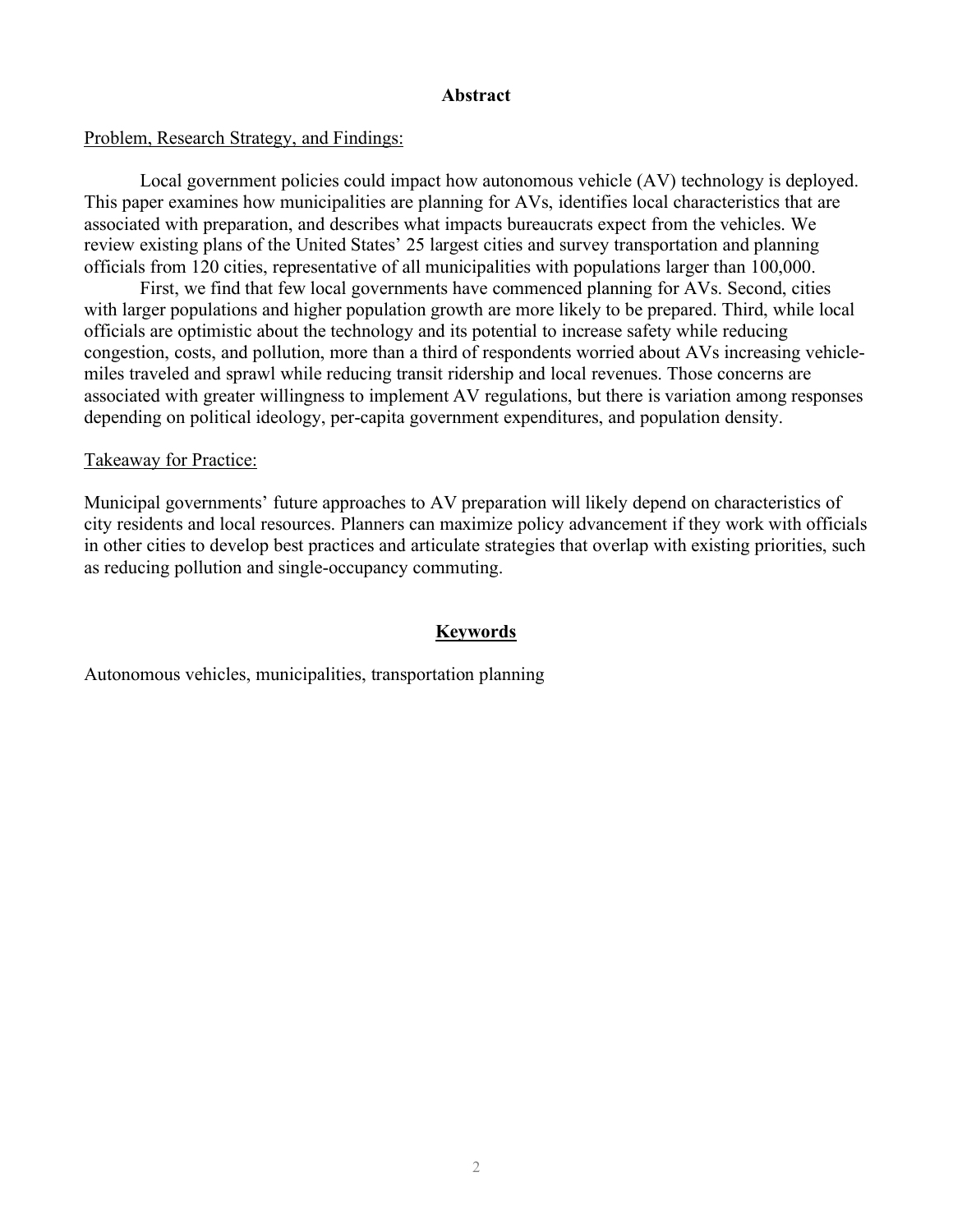#### **Abstract**

### Problem, Research Strategy, and Findings:

Local government policies could impact how autonomous vehicle (AV) technology is deployed. This paper examines how municipalities are planning for AVs, identifies local characteristics that are associated with preparation, and describes what impacts bureaucrats expect from the vehicles. We review existing plans of the United States' 25 largest cities and survey transportation and planning officials from 120 cities, representative of all municipalities with populations larger than 100,000.

First, we find that few local governments have commenced planning for AVs. Second, cities with larger populations and higher population growth are more likely to be prepared. Third, while local officials are optimistic about the technology and its potential to increase safety while reducing congestion, costs, and pollution, more than a third of respondents worried about AVs increasing vehiclemiles traveled and sprawl while reducing transit ridership and local revenues. Those concerns are associated with greater willingness to implement AV regulations, but there is variation among responses depending on political ideology, per-capita government expenditures, and population density.

### Takeaway for Practice:

Municipal governments' future approaches to AV preparation will likely depend on characteristics of city residents and local resources. Planners can maximize policy advancement if they work with officials in other cities to develop best practices and articulate strategies that overlap with existing priorities, such as reducing pollution and single-occupancy commuting.

### **Keywords**

Autonomous vehicles, municipalities, transportation planning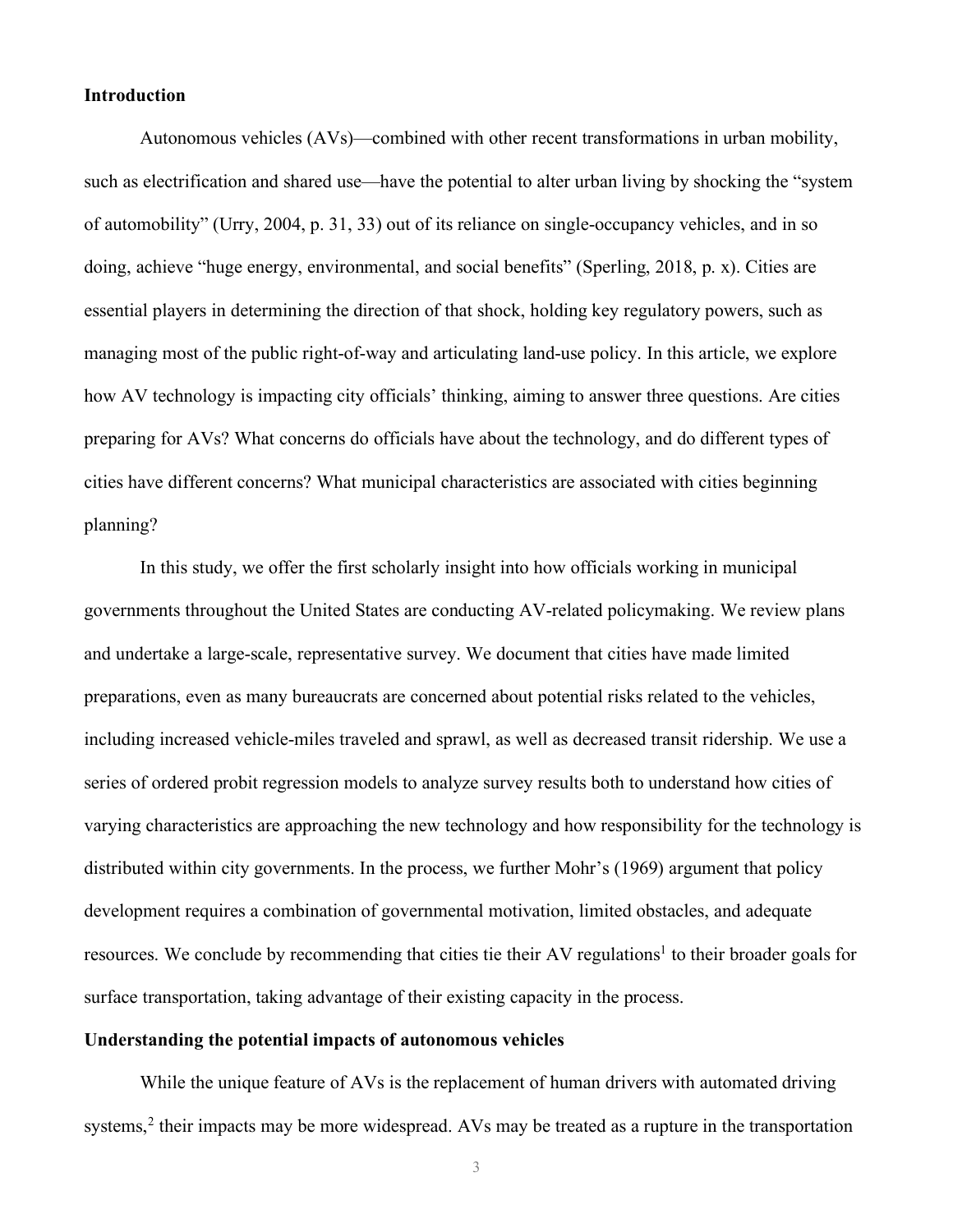#### **Introduction**

Autonomous vehicles (AVs)—combined with other recent transformations in urban mobility, such as electrification and shared use—have the potential to alter urban living by shocking the "system of automobility" (Urry, 2004, p. 31, 33) out of its reliance on single-occupancy vehicles, and in so doing, achieve "huge energy, environmental, and social benefits" (Sperling, 2018, p. x). Cities are essential players in determining the direction of that shock, holding key regulatory powers, such as managing most of the public right-of-way and articulating land-use policy. In this article, we explore how AV technology is impacting city officials' thinking, aiming to answer three questions. Are cities preparing for AVs? What concerns do officials have about the technology, and do different types of cities have different concerns? What municipal characteristics are associated with cities beginning planning?

In this study, we offer the first scholarly insight into how officials working in municipal governments throughout the United States are conducting AV-related policymaking. We review plans and undertake a large-scale, representative survey. We document that cities have made limited preparations, even as many bureaucrats are concerned about potential risks related to the vehicles, including increased vehicle-miles traveled and sprawl, as well as decreased transit ridership. We use a series of ordered probit regression models to analyze survey results both to understand how cities of varying characteristics are approaching the new technology and how responsibility for the technology is distributed within city governments. In the process, we further Mohr's (1969) argument that policy development requires a combination of governmental motivation, limited obstacles, and adequate resources. We conclude by recommending that cities tie their AV regulations<sup>1</sup> to their broader goals for surface transportation, taking advantage of their existing capacity in the process.

#### **Understanding the potential impacts of autonomous vehicles**

While the unique feature of AVs is the replacement of human drivers with automated driving systems,<sup>2</sup> their impacts may be more widespread. AVs may be treated as a rupture in the transportation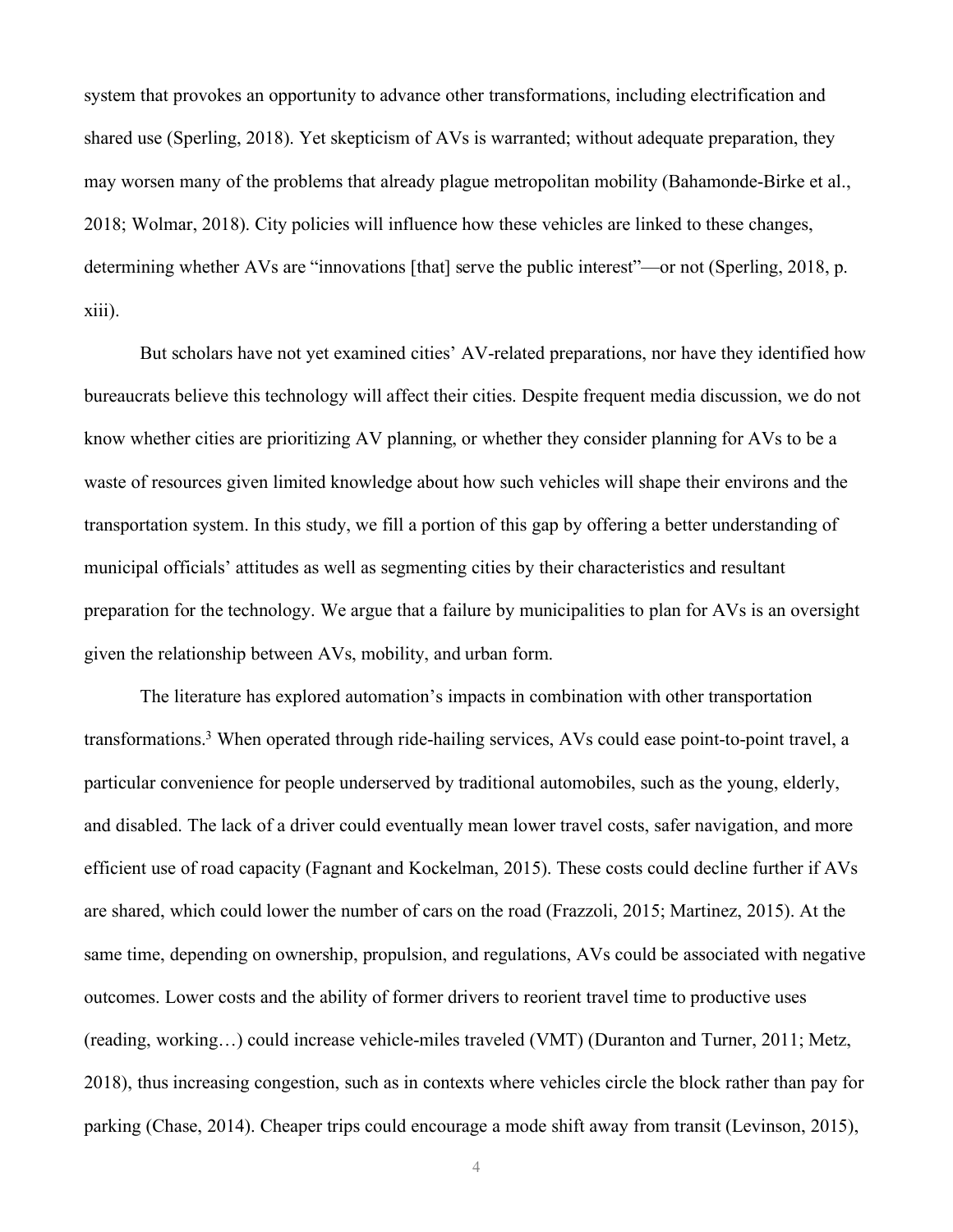system that provokes an opportunity to advance other transformations, including electrification and shared use (Sperling, 2018). Yet skepticism of AVs is warranted; without adequate preparation, they may worsen many of the problems that already plague metropolitan mobility (Bahamonde-Birke et al., 2018; Wolmar, 2018). City policies will influence how these vehicles are linked to these changes, determining whether AVs are "innovations [that] serve the public interest"—or not (Sperling, 2018, p. xiii).

But scholars have not yet examined cities' AV-related preparations, nor have they identified how bureaucrats believe this technology will affect their cities. Despite frequent media discussion, we do not know whether cities are prioritizing AV planning, or whether they consider planning for AVs to be a waste of resources given limited knowledge about how such vehicles will shape their environs and the transportation system. In this study, we fill a portion of this gap by offering a better understanding of municipal officials' attitudes as well as segmenting cities by their characteristics and resultant preparation for the technology. We argue that a failure by municipalities to plan for AVs is an oversight given the relationship between AVs, mobility, and urban form.

The literature has explored automation's impacts in combination with other transportation transformations. <sup>3</sup> When operated through ride-hailing services, AVs could ease point-to-point travel, a particular convenience for people underserved by traditional automobiles, such as the young, elderly, and disabled. The lack of a driver could eventually mean lower travel costs, safer navigation, and more efficient use of road capacity (Fagnant and Kockelman, 2015). These costs could decline further if AVs are shared, which could lower the number of cars on the road (Frazzoli, 2015; Martinez, 2015). At the same time, depending on ownership, propulsion, and regulations, AVs could be associated with negative outcomes. Lower costs and the ability of former drivers to reorient travel time to productive uses (reading, working…) could increase vehicle-miles traveled (VMT) (Duranton and Turner, 2011; Metz, 2018), thus increasing congestion, such as in contexts where vehicles circle the block rather than pay for parking (Chase, 2014). Cheaper trips could encourage a mode shift away from transit (Levinson, 2015),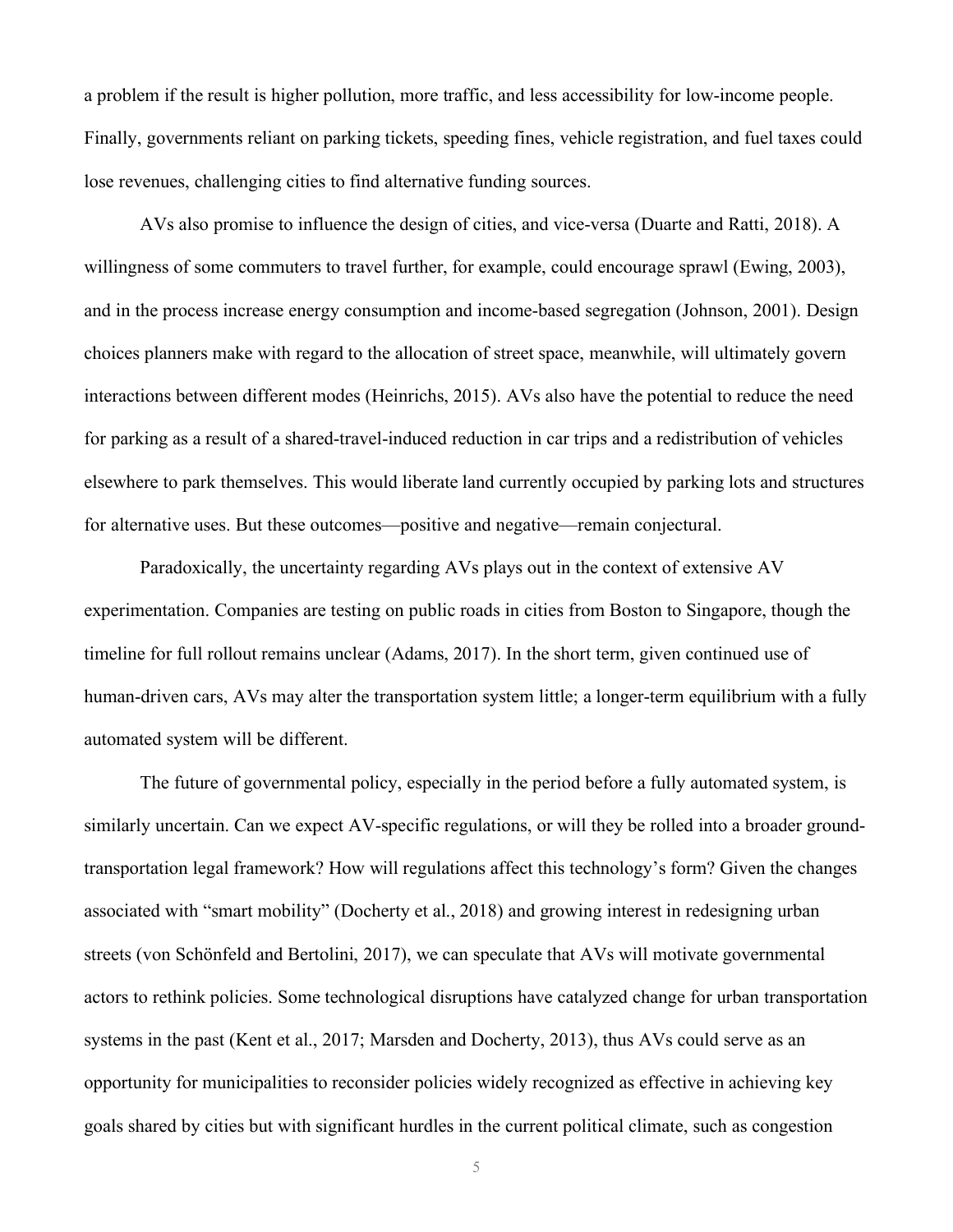a problem if the result is higher pollution, more traffic, and less accessibility for low-income people. Finally, governments reliant on parking tickets, speeding fines, vehicle registration, and fuel taxes could lose revenues, challenging cities to find alternative funding sources.

AVs also promise to influence the design of cities, and vice-versa (Duarte and Ratti, 2018). A willingness of some commuters to travel further, for example, could encourage sprawl (Ewing, 2003), and in the process increase energy consumption and income-based segregation (Johnson, 2001). Design choices planners make with regard to the allocation of street space, meanwhile, will ultimately govern interactions between different modes (Heinrichs, 2015). AVs also have the potential to reduce the need for parking as a result of a shared-travel-induced reduction in car trips and a redistribution of vehicles elsewhere to park themselves. This would liberate land currently occupied by parking lots and structures for alternative uses. But these outcomes—positive and negative—remain conjectural.

Paradoxically, the uncertainty regarding AVs plays out in the context of extensive AV experimentation. Companies are testing on public roads in cities from Boston to Singapore, though the timeline for full rollout remains unclear (Adams, 2017). In the short term, given continued use of human-driven cars, AVs may alter the transportation system little; a longer-term equilibrium with a fully automated system will be different.

The future of governmental policy, especially in the period before a fully automated system, is similarly uncertain. Can we expect AV-specific regulations, or will they be rolled into a broader groundtransportation legal framework? How will regulations affect this technology's form? Given the changes associated with "smart mobility" (Docherty et al., 2018) and growing interest in redesigning urban streets (von Schönfeld and Bertolini, 2017), we can speculate that AVs will motivate governmental actors to rethink policies. Some technological disruptions have catalyzed change for urban transportation systems in the past (Kent et al., 2017; Marsden and Docherty, 2013), thus AVs could serve as an opportunity for municipalities to reconsider policies widely recognized as effective in achieving key goals shared by cities but with significant hurdles in the current political climate, such as congestion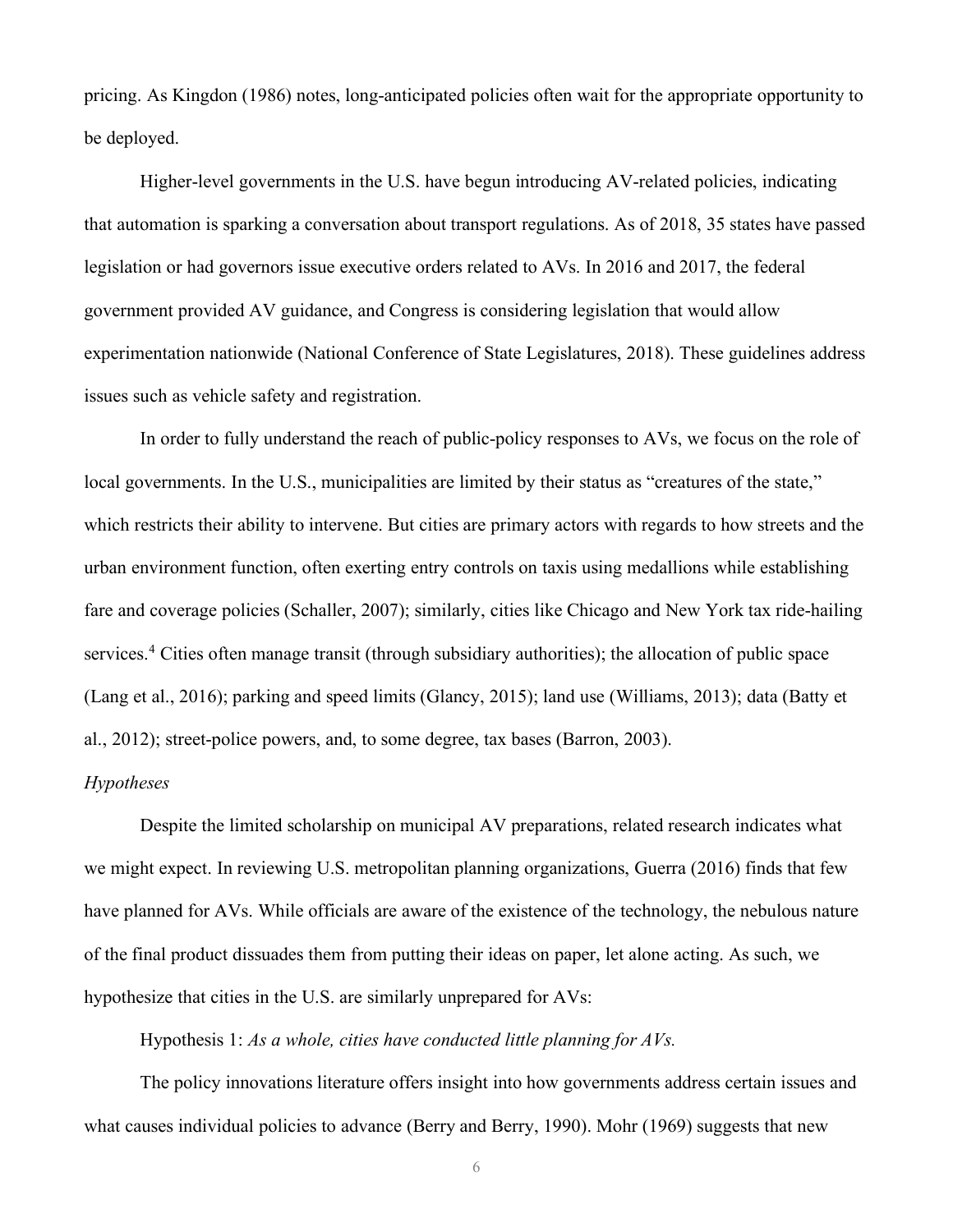pricing. As Kingdon (1986) notes, long-anticipated policies often wait for the appropriate opportunity to be deployed.

Higher-level governments in the U.S. have begun introducing AV-related policies, indicating that automation is sparking a conversation about transport regulations. As of 2018, 35 states have passed legislation or had governors issue executive orders related to AVs. In 2016 and 2017, the federal government provided AV guidance, and Congress is considering legislation that would allow experimentation nationwide (National Conference of State Legislatures, 2018). These guidelines address issues such as vehicle safety and registration.

In order to fully understand the reach of public-policy responses to AVs, we focus on the role of local governments. In the U.S., municipalities are limited by their status as "creatures of the state," which restricts their ability to intervene. But cities are primary actors with regards to how streets and the urban environment function, often exerting entry controls on taxis using medallions while establishing fare and coverage policies (Schaller, 2007); similarly, cities like Chicago and New York tax ride-hailing services.4 Cities often manage transit (through subsidiary authorities); the allocation of public space (Lang et al., 2016); parking and speed limits (Glancy, 2015); land use (Williams, 2013); data (Batty et al., 2012); street-police powers, and, to some degree, tax bases (Barron, 2003).

#### *Hypotheses*

Despite the limited scholarship on municipal AV preparations, related research indicates what we might expect. In reviewing U.S. metropolitan planning organizations, Guerra (2016) finds that few have planned for AVs. While officials are aware of the existence of the technology, the nebulous nature of the final product dissuades them from putting their ideas on paper, let alone acting. As such, we hypothesize that cities in the U.S. are similarly unprepared for AVs:

Hypothesis 1: *As a whole, cities have conducted little planning for AVs.*

The policy innovations literature offers insight into how governments address certain issues and what causes individual policies to advance (Berry and Berry, 1990). Mohr (1969) suggests that new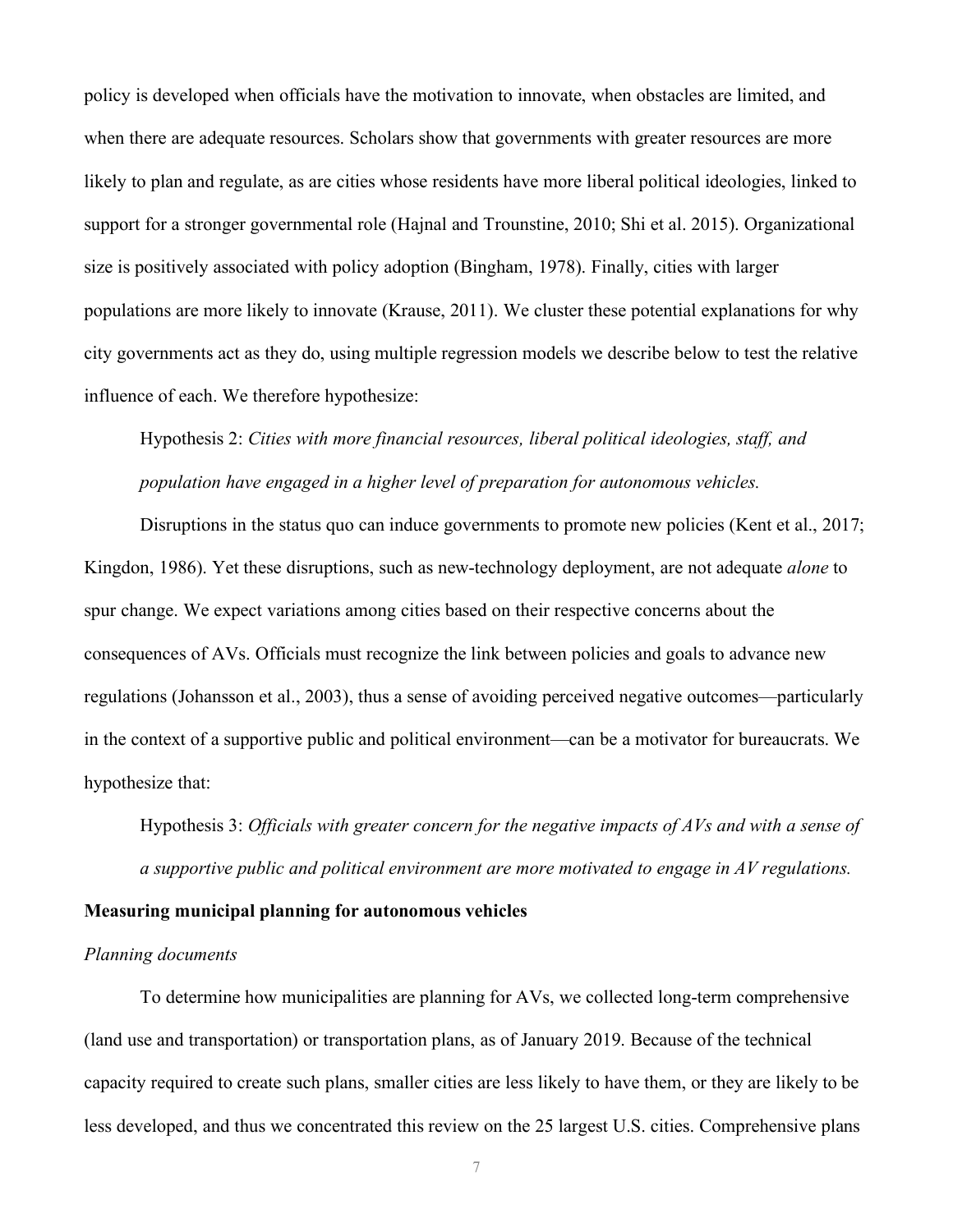policy is developed when officials have the motivation to innovate, when obstacles are limited, and when there are adequate resources. Scholars show that governments with greater resources are more likely to plan and regulate, as are cities whose residents have more liberal political ideologies, linked to support for a stronger governmental role (Hajnal and Trounstine, 2010; Shi et al. 2015). Organizational size is positively associated with policy adoption (Bingham, 1978). Finally, cities with larger populations are more likely to innovate (Krause, 2011). We cluster these potential explanations for why city governments act as they do, using multiple regression models we describe below to test the relative influence of each. We therefore hypothesize:

# Hypothesis 2: *Cities with more financial resources, liberal political ideologies, staff, and population have engaged in a higher level of preparation for autonomous vehicles.*

Disruptions in the status quo can induce governments to promote new policies (Kent et al., 2017; Kingdon, 1986). Yet these disruptions, such as new-technology deployment, are not adequate *alone* to spur change. We expect variations among cities based on their respective concerns about the consequences of AVs. Officials must recognize the link between policies and goals to advance new regulations (Johansson et al., 2003), thus a sense of avoiding perceived negative outcomes—particularly in the context of a supportive public and political environment—can be a motivator for bureaucrats. We hypothesize that:

Hypothesis 3: *Officials with greater concern for the negative impacts of AVs and with a sense of a supportive public and political environment are more motivated to engage in AV regulations.*

#### **Measuring municipal planning for autonomous vehicles**

#### *Planning documents*

To determine how municipalities are planning for AVs, we collected long-term comprehensive (land use and transportation) or transportation plans, as of January 2019. Because of the technical capacity required to create such plans, smaller cities are less likely to have them, or they are likely to be less developed, and thus we concentrated this review on the 25 largest U.S. cities. Comprehensive plans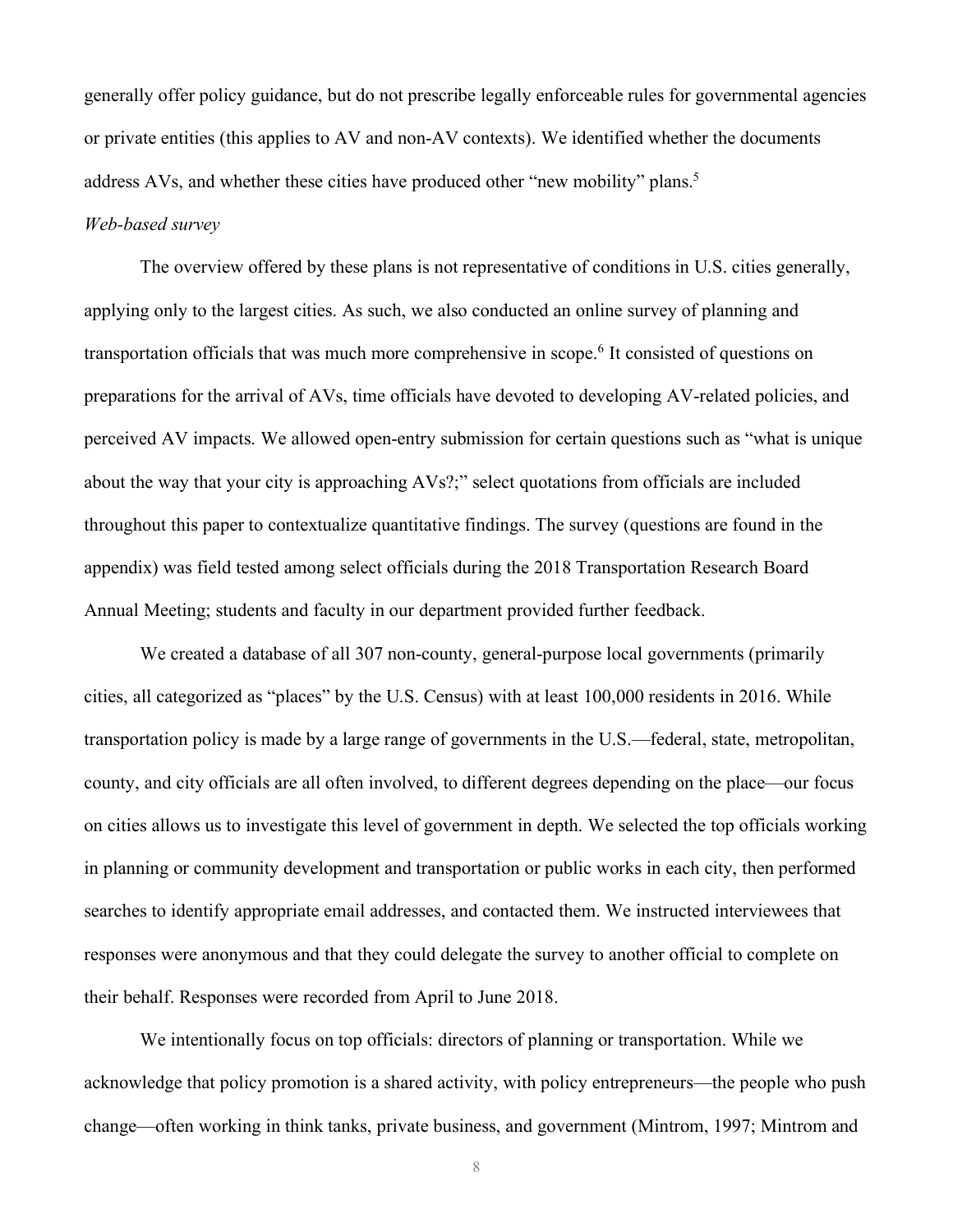generally offer policy guidance, but do not prescribe legally enforceable rules for governmental agencies or private entities (this applies to AV and non-AV contexts). We identified whether the documents address AVs, and whether these cities have produced other "new mobility" plans.<sup>5</sup>

#### *Web-based survey*

The overview offered by these plans is not representative of conditions in U.S. cities generally, applying only to the largest cities. As such, we also conducted an online survey of planning and transportation officials that was much more comprehensive in scope. <sup>6</sup> It consisted of questions on preparations for the arrival of AVs, time officials have devoted to developing AV-related policies, and perceived AV impacts. We allowed open-entry submission for certain questions such as "what is unique about the way that your city is approaching AVs?;" select quotations from officials are included throughout this paper to contextualize quantitative findings. The survey (questions are found in the appendix) was field tested among select officials during the 2018 Transportation Research Board Annual Meeting; students and faculty in our department provided further feedback.

We created a database of all 307 non-county, general-purpose local governments (primarily cities, all categorized as "places" by the U.S. Census) with at least 100,000 residents in 2016. While transportation policy is made by a large range of governments in the U.S.—federal, state, metropolitan, county, and city officials are all often involved, to different degrees depending on the place—our focus on cities allows us to investigate this level of government in depth. We selected the top officials working in planning or community development and transportation or public works in each city, then performed searches to identify appropriate email addresses, and contacted them. We instructed interviewees that responses were anonymous and that they could delegate the survey to another official to complete on their behalf. Responses were recorded from April to June 2018.

We intentionally focus on top officials: directors of planning or transportation. While we acknowledge that policy promotion is a shared activity, with policy entrepreneurs—the people who push change—often working in think tanks, private business, and government (Mintrom, 1997; Mintrom and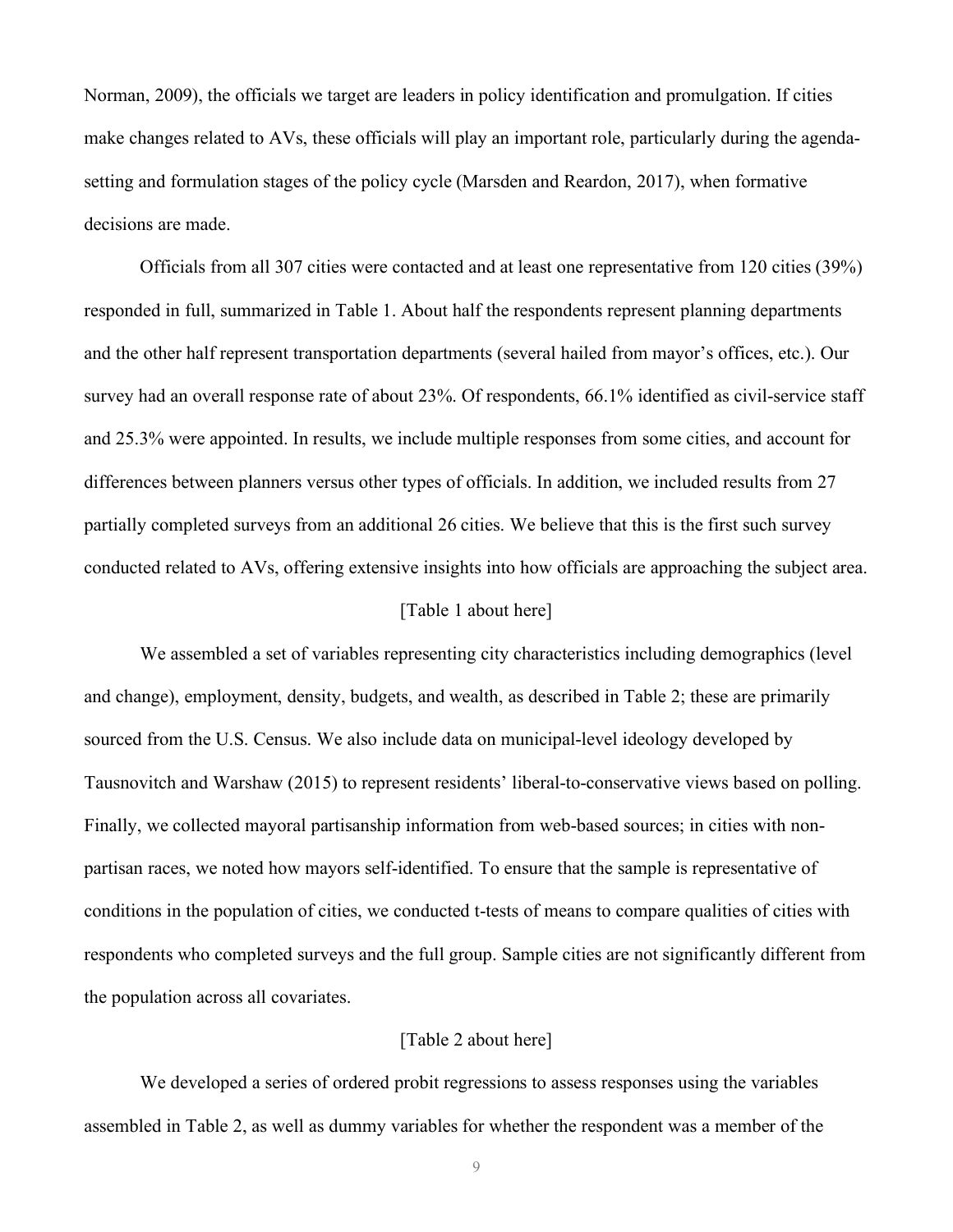Norman, 2009), the officials we target are leaders in policy identification and promulgation. If cities make changes related to AVs, these officials will play an important role, particularly during the agendasetting and formulation stages of the policy cycle (Marsden and Reardon, 2017), when formative decisions are made.

Officials from all 307 cities were contacted and at least one representative from 120 cities (39%) responded in full, summarized in Table 1. About half the respondents represent planning departments and the other half represent transportation departments (several hailed from mayor's offices, etc.). Our survey had an overall response rate of about 23%. Of respondents, 66.1% identified as civil-service staff and 25.3% were appointed. In results, we include multiple responses from some cities, and account for differences between planners versus other types of officials. In addition, we included results from 27 partially completed surveys from an additional 26 cities. We believe that this is the first such survey conducted related to AVs, offering extensive insights into how officials are approaching the subject area.

### [Table 1 about here]

We assembled a set of variables representing city characteristics including demographics (level and change), employment, density, budgets, and wealth, as described in Table 2; these are primarily sourced from the U.S. Census. We also include data on municipal-level ideology developed by Tausnovitch and Warshaw (2015) to represent residents' liberal-to-conservative views based on polling. Finally, we collected mayoral partisanship information from web-based sources; in cities with nonpartisan races, we noted how mayors self-identified. To ensure that the sample is representative of conditions in the population of cities, we conducted t-tests of means to compare qualities of cities with respondents who completed surveys and the full group. Sample cities are not significantly different from the population across all covariates.

#### [Table 2 about here]

We developed a series of ordered probit regressions to assess responses using the variables assembled in Table 2, as well as dummy variables for whether the respondent was a member of the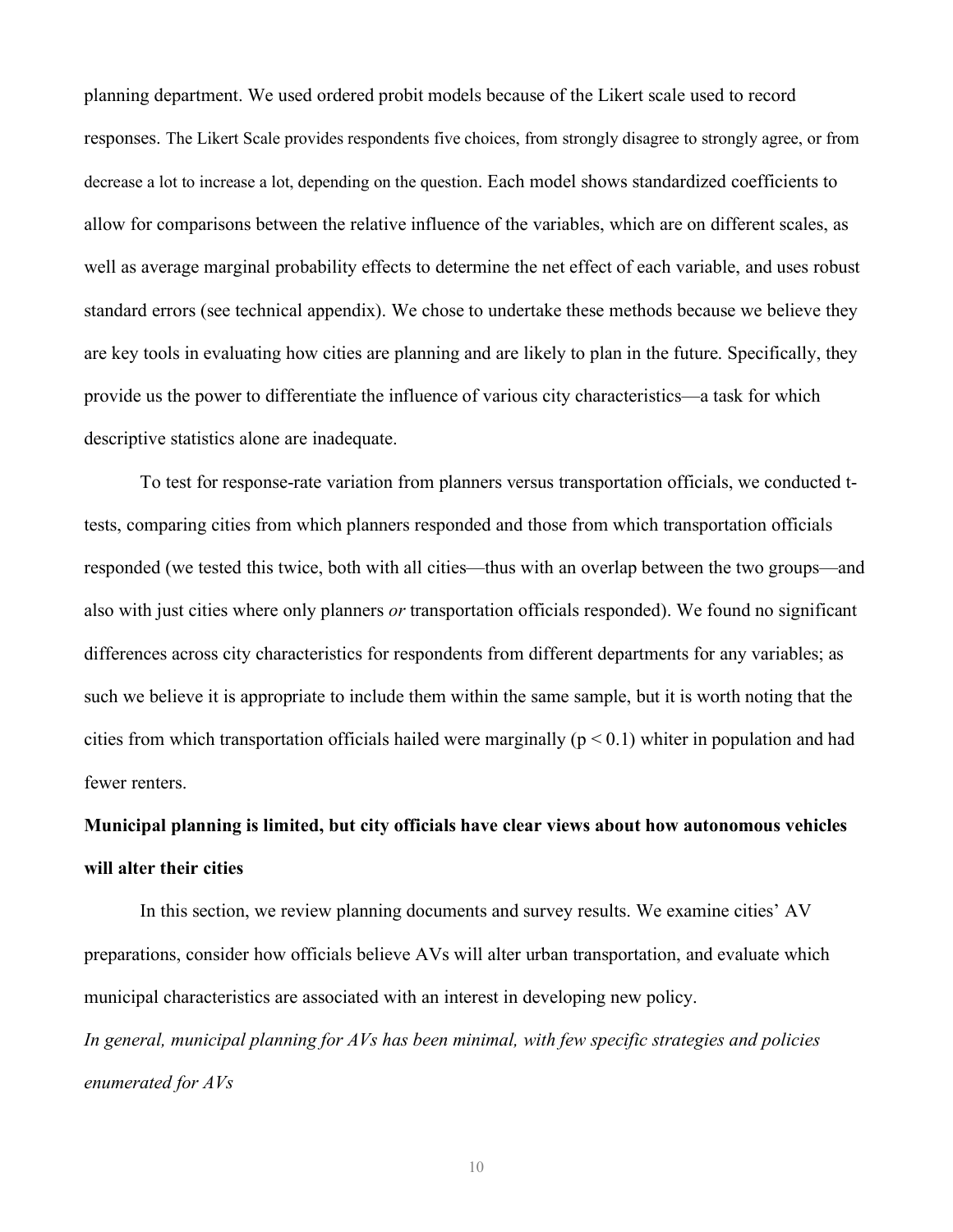planning department. We used ordered probit models because of the Likert scale used to record responses. The Likert Scale provides respondents five choices, from strongly disagree to strongly agree, or from decrease a lot to increase a lot, depending on the question. Each model shows standardized coefficients to allow for comparisons between the relative influence of the variables, which are on different scales, as well as average marginal probability effects to determine the net effect of each variable, and uses robust standard errors (see technical appendix). We chose to undertake these methods because we believe they are key tools in evaluating how cities are planning and are likely to plan in the future. Specifically, they provide us the power to differentiate the influence of various city characteristics—a task for which descriptive statistics alone are inadequate.

To test for response-rate variation from planners versus transportation officials, we conducted ttests, comparing cities from which planners responded and those from which transportation officials responded (we tested this twice, both with all cities—thus with an overlap between the two groups—and also with just cities where only planners *or* transportation officials responded). We found no significant differences across city characteristics for respondents from different departments for any variables; as such we believe it is appropriate to include them within the same sample, but it is worth noting that the cities from which transportation officials hailed were marginally ( $p < 0.1$ ) whiter in population and had fewer renters.

# **Municipal planning is limited, but city officials have clear views about how autonomous vehicles will alter their cities**

In this section, we review planning documents and survey results. We examine cities' AV preparations, consider how officials believe AVs will alter urban transportation, and evaluate which municipal characteristics are associated with an interest in developing new policy.

*In general, municipal planning for AVs has been minimal, with few specific strategies and policies enumerated for AVs*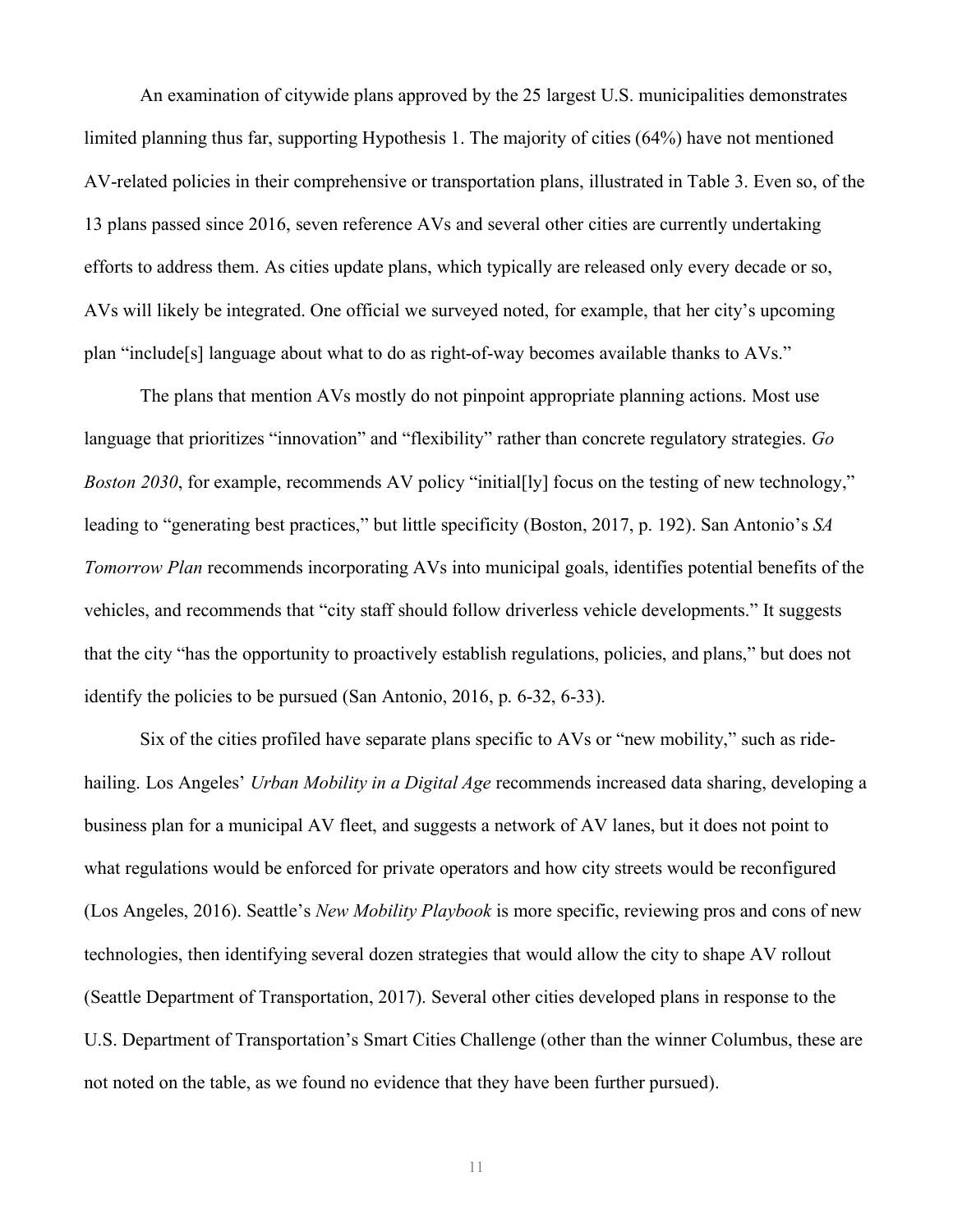An examination of citywide plans approved by the 25 largest U.S. municipalities demonstrates limited planning thus far, supporting Hypothesis 1. The majority of cities (64%) have not mentioned AV-related policies in their comprehensive or transportation plans, illustrated in Table 3. Even so, of the 13 plans passed since 2016, seven reference AVs and several other cities are currently undertaking efforts to address them. As cities update plans, which typically are released only every decade or so, AVs will likely be integrated. One official we surveyed noted, for example, that her city's upcoming plan "include[s] language about what to do as right-of-way becomes available thanks to AVs."

The plans that mention AVs mostly do not pinpoint appropriate planning actions. Most use language that prioritizes "innovation" and "flexibility" rather than concrete regulatory strategies. *Go Boston 2030*, for example, recommends AV policy "initial[ly] focus on the testing of new technology," leading to "generating best practices," but little specificity (Boston, 2017, p. 192). San Antonio's *SA Tomorrow Plan* recommends incorporating AVs into municipal goals, identifies potential benefits of the vehicles, and recommends that "city staff should follow driverless vehicle developments." It suggests that the city "has the opportunity to proactively establish regulations, policies, and plans," but does not identify the policies to be pursued (San Antonio, 2016, p. 6-32, 6-33).

Six of the cities profiled have separate plans specific to AVs or "new mobility," such as ridehailing. Los Angeles' *Urban Mobility in a Digital Age* recommends increased data sharing, developing a business plan for a municipal AV fleet, and suggests a network of AV lanes, but it does not point to what regulations would be enforced for private operators and how city streets would be reconfigured (Los Angeles, 2016). Seattle's *New Mobility Playbook* is more specific, reviewing pros and cons of new technologies, then identifying several dozen strategies that would allow the city to shape AV rollout (Seattle Department of Transportation, 2017). Several other cities developed plans in response to the U.S. Department of Transportation's Smart Cities Challenge (other than the winner Columbus, these are not noted on the table, as we found no evidence that they have been further pursued).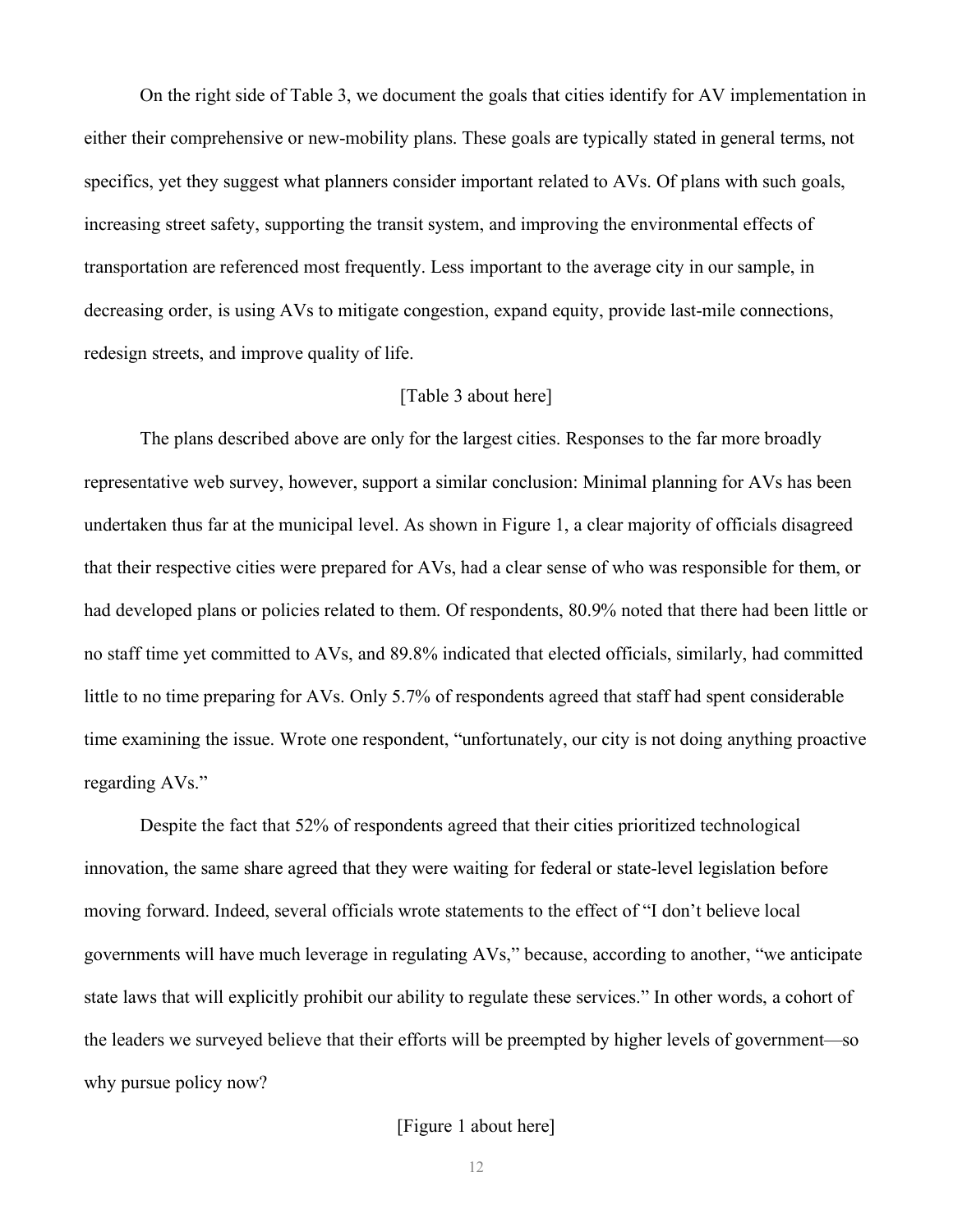On the right side of Table 3, we document the goals that cities identify for AV implementation in either their comprehensive or new-mobility plans. These goals are typically stated in general terms, not specifics, yet they suggest what planners consider important related to AVs. Of plans with such goals, increasing street safety, supporting the transit system, and improving the environmental effects of transportation are referenced most frequently. Less important to the average city in our sample, in decreasing order, is using AVs to mitigate congestion, expand equity, provide last-mile connections, redesign streets, and improve quality of life.

#### [Table 3 about here]

The plans described above are only for the largest cities. Responses to the far more broadly representative web survey, however, support a similar conclusion: Minimal planning for AVs has been undertaken thus far at the municipal level. As shown in Figure 1, a clear majority of officials disagreed that their respective cities were prepared for AVs, had a clear sense of who was responsible for them, or had developed plans or policies related to them. Of respondents, 80.9% noted that there had been little or no staff time yet committed to AVs, and 89.8% indicated that elected officials, similarly, had committed little to no time preparing for AVs. Only 5.7% of respondents agreed that staff had spent considerable time examining the issue. Wrote one respondent, "unfortunately, our city is not doing anything proactive regarding AVs."

Despite the fact that 52% of respondents agreed that their cities prioritized technological innovation, the same share agreed that they were waiting for federal or state-level legislation before moving forward. Indeed, several officials wrote statements to the effect of "I don't believe local governments will have much leverage in regulating AVs," because, according to another, "we anticipate state laws that will explicitly prohibit our ability to regulate these services." In other words, a cohort of the leaders we surveyed believe that their efforts will be preempted by higher levels of government—so why pursue policy now?

#### [Figure 1 about here]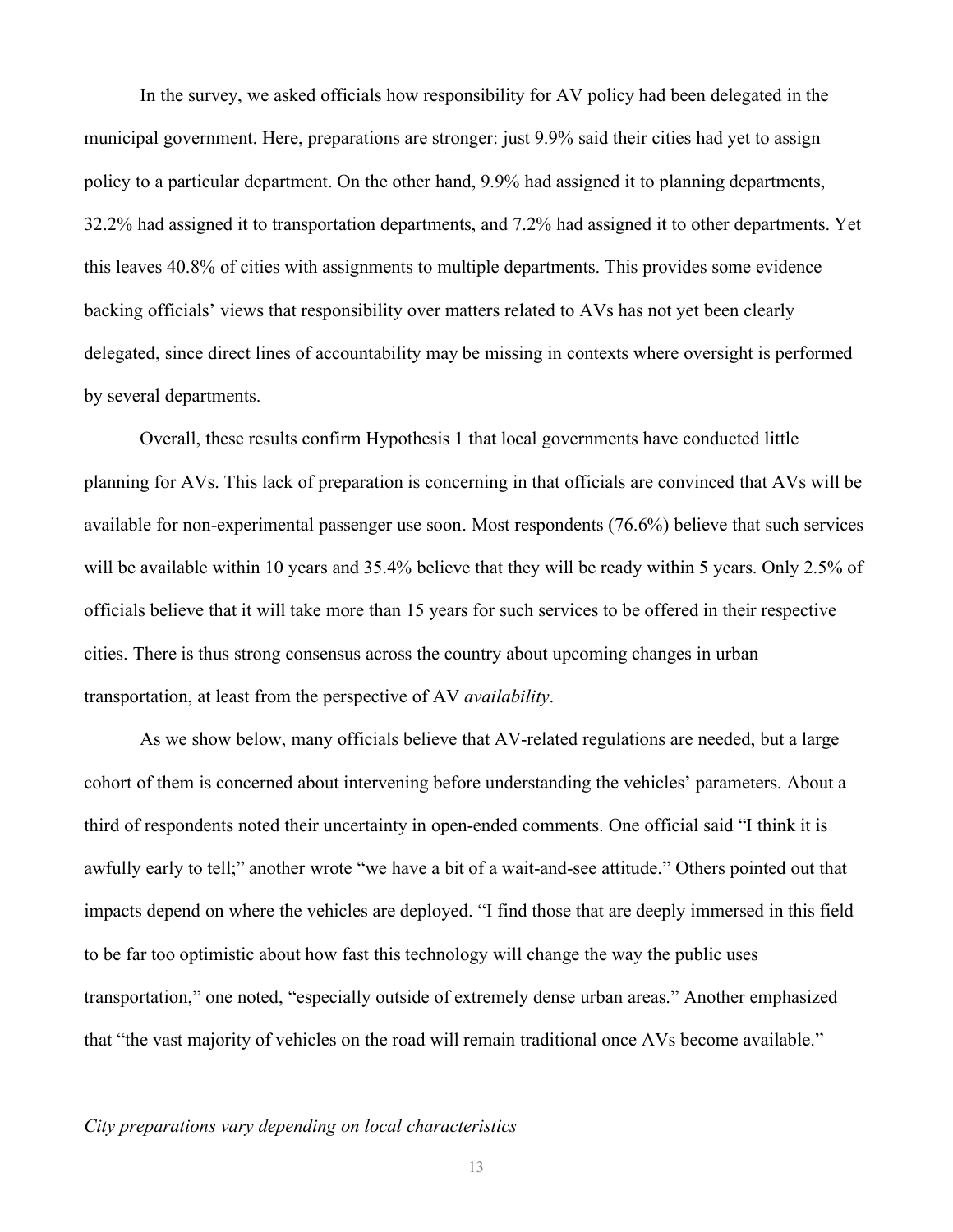In the survey, we asked officials how responsibility for AV policy had been delegated in the municipal government. Here, preparations are stronger: just 9.9% said their cities had yet to assign policy to a particular department. On the other hand, 9.9% had assigned it to planning departments, 32.2% had assigned it to transportation departments, and 7.2% had assigned it to other departments. Yet this leaves 40.8% of cities with assignments to multiple departments. This provides some evidence backing officials' views that responsibility over matters related to AVs has not yet been clearly delegated, since direct lines of accountability may be missing in contexts where oversight is performed by several departments.

Overall, these results confirm Hypothesis 1 that local governments have conducted little planning for AVs. This lack of preparation is concerning in that officials are convinced that AVs will be available for non-experimental passenger use soon. Most respondents (76.6%) believe that such services will be available within 10 years and 35.4% believe that they will be ready within 5 years. Only 2.5% of officials believe that it will take more than 15 years for such services to be offered in their respective cities. There is thus strong consensus across the country about upcoming changes in urban transportation, at least from the perspective of AV *availability*.

As we show below, many officials believe that AV-related regulations are needed, but a large cohort of them is concerned about intervening before understanding the vehicles' parameters. About a third of respondents noted their uncertainty in open-ended comments. One official said "I think it is awfully early to tell;" another wrote "we have a bit of a wait-and-see attitude." Others pointed out that impacts depend on where the vehicles are deployed. "I find those that are deeply immersed in this field to be far too optimistic about how fast this technology will change the way the public uses transportation," one noted, "especially outside of extremely dense urban areas." Another emphasized that "the vast majority of vehicles on the road will remain traditional once AVs become available."

#### *City preparations vary depending on local characteristics*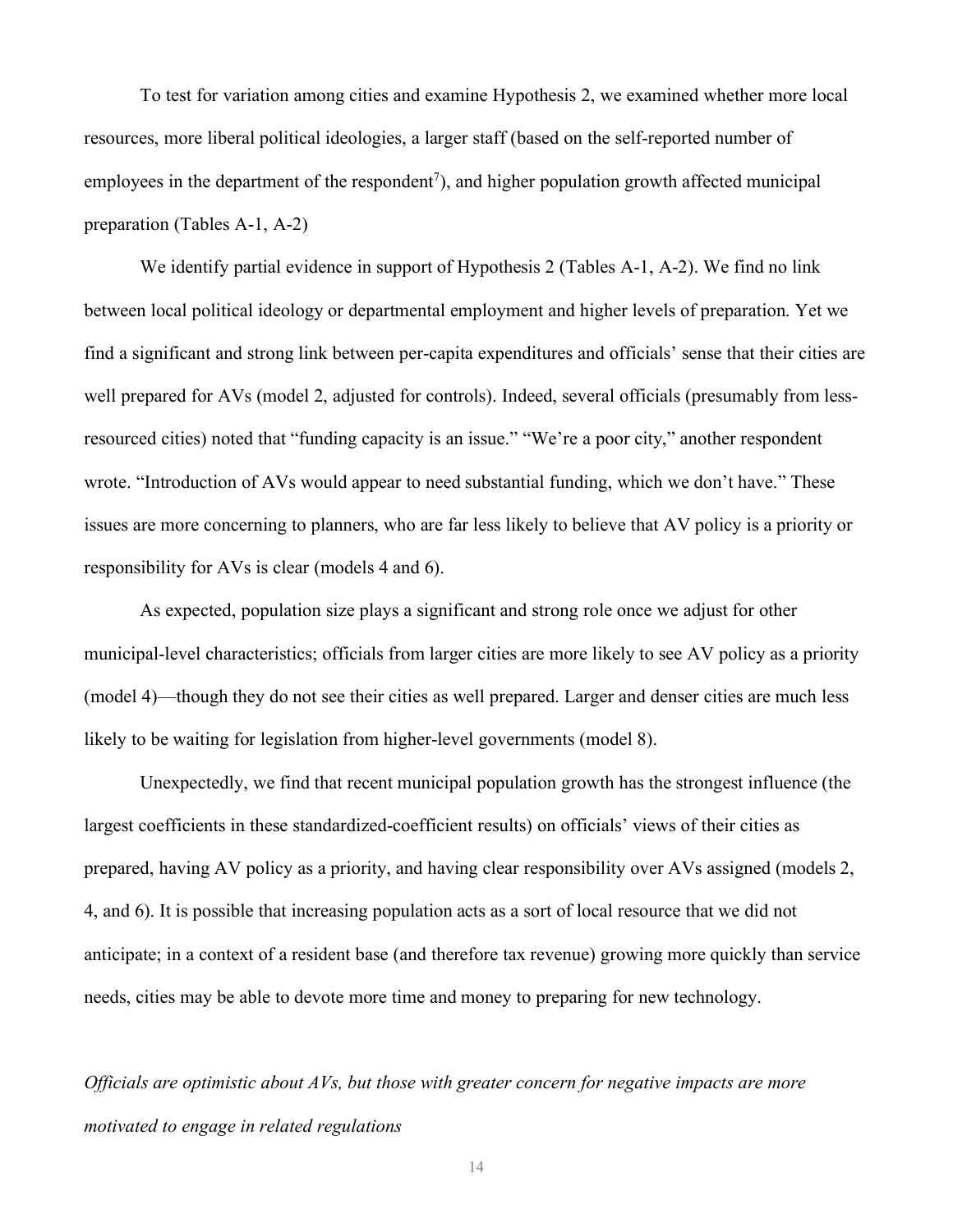To test for variation among cities and examine Hypothesis 2, we examined whether more local resources, more liberal political ideologies, a larger staff (based on the self-reported number of employees in the department of the respondent<sup>7</sup>), and higher population growth affected municipal preparation (Tables A-1, A-2)

We identify partial evidence in support of Hypothesis 2 (Tables A-1, A-2). We find no link between local political ideology or departmental employment and higher levels of preparation. Yet we find a significant and strong link between per-capita expenditures and officials' sense that their cities are well prepared for AVs (model 2, adjusted for controls). Indeed, several officials (presumably from lessresourced cities) noted that "funding capacity is an issue." "We're a poor city," another respondent wrote. "Introduction of AVs would appear to need substantial funding, which we don't have." These issues are more concerning to planners, who are far less likely to believe that AV policy is a priority or responsibility for AVs is clear (models 4 and 6).

As expected, population size plays a significant and strong role once we adjust for other municipal-level characteristics; officials from larger cities are more likely to see AV policy as a priority (model 4)—though they do not see their cities as well prepared. Larger and denser cities are much less likely to be waiting for legislation from higher-level governments (model 8).

Unexpectedly, we find that recent municipal population growth has the strongest influence (the largest coefficients in these standardized-coefficient results) on officials' views of their cities as prepared, having AV policy as a priority, and having clear responsibility over AVs assigned (models 2, 4, and 6). It is possible that increasing population acts as a sort of local resource that we did not anticipate; in a context of a resident base (and therefore tax revenue) growing more quickly than service needs, cities may be able to devote more time and money to preparing for new technology.

*Officials are optimistic about AVs, but those with greater concern for negative impacts are more motivated to engage in related regulations*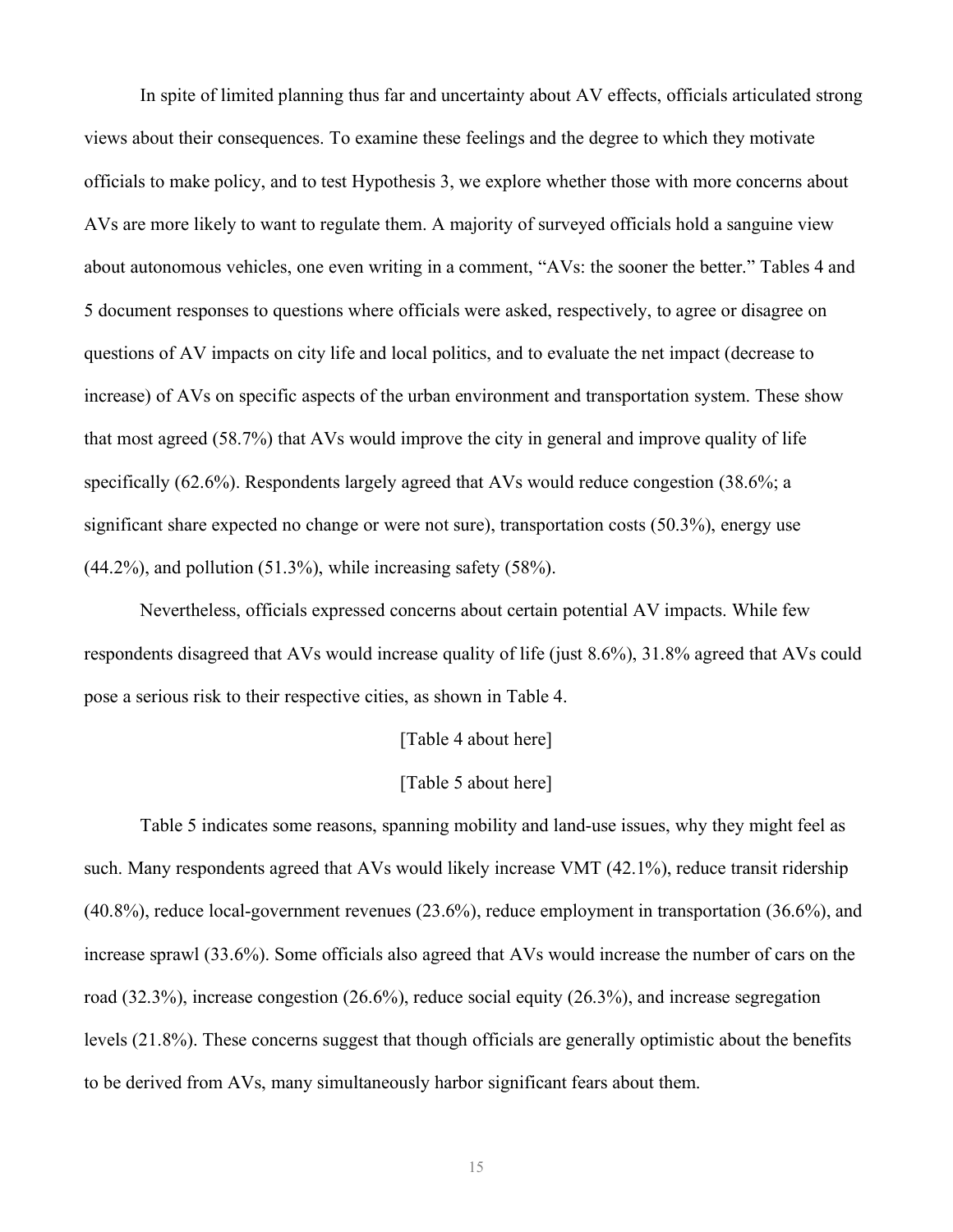In spite of limited planning thus far and uncertainty about AV effects, officials articulated strong views about their consequences. To examine these feelings and the degree to which they motivate officials to make policy, and to test Hypothesis 3, we explore whether those with more concerns about AVs are more likely to want to regulate them. A majority of surveyed officials hold a sanguine view about autonomous vehicles, one even writing in a comment, "AVs: the sooner the better." Tables 4 and 5 document responses to questions where officials were asked, respectively, to agree or disagree on questions of AV impacts on city life and local politics, and to evaluate the net impact (decrease to increase) of AVs on specific aspects of the urban environment and transportation system. These show that most agreed (58.7%) that AVs would improve the city in general and improve quality of life specifically (62.6%). Respondents largely agreed that AVs would reduce congestion (38.6%; a significant share expected no change or were not sure), transportation costs (50.3%), energy use  $(44.2\%)$ , and pollution  $(51.3\%)$ , while increasing safety  $(58\%)$ .

Nevertheless, officials expressed concerns about certain potential AV impacts. While few respondents disagreed that AVs would increase quality of life (just 8.6%), 31.8% agreed that AVs could pose a serious risk to their respective cities, as shown in Table 4.

#### [Table 4 about here]

### [Table 5 about here]

Table 5 indicates some reasons, spanning mobility and land-use issues, why they might feel as such. Many respondents agreed that AVs would likely increase VMT (42.1%), reduce transit ridership (40.8%), reduce local-government revenues (23.6%), reduce employment in transportation (36.6%), and increase sprawl (33.6%). Some officials also agreed that AVs would increase the number of cars on the road (32.3%), increase congestion (26.6%), reduce social equity (26.3%), and increase segregation levels (21.8%). These concerns suggest that though officials are generally optimistic about the benefits to be derived from AVs, many simultaneously harbor significant fears about them.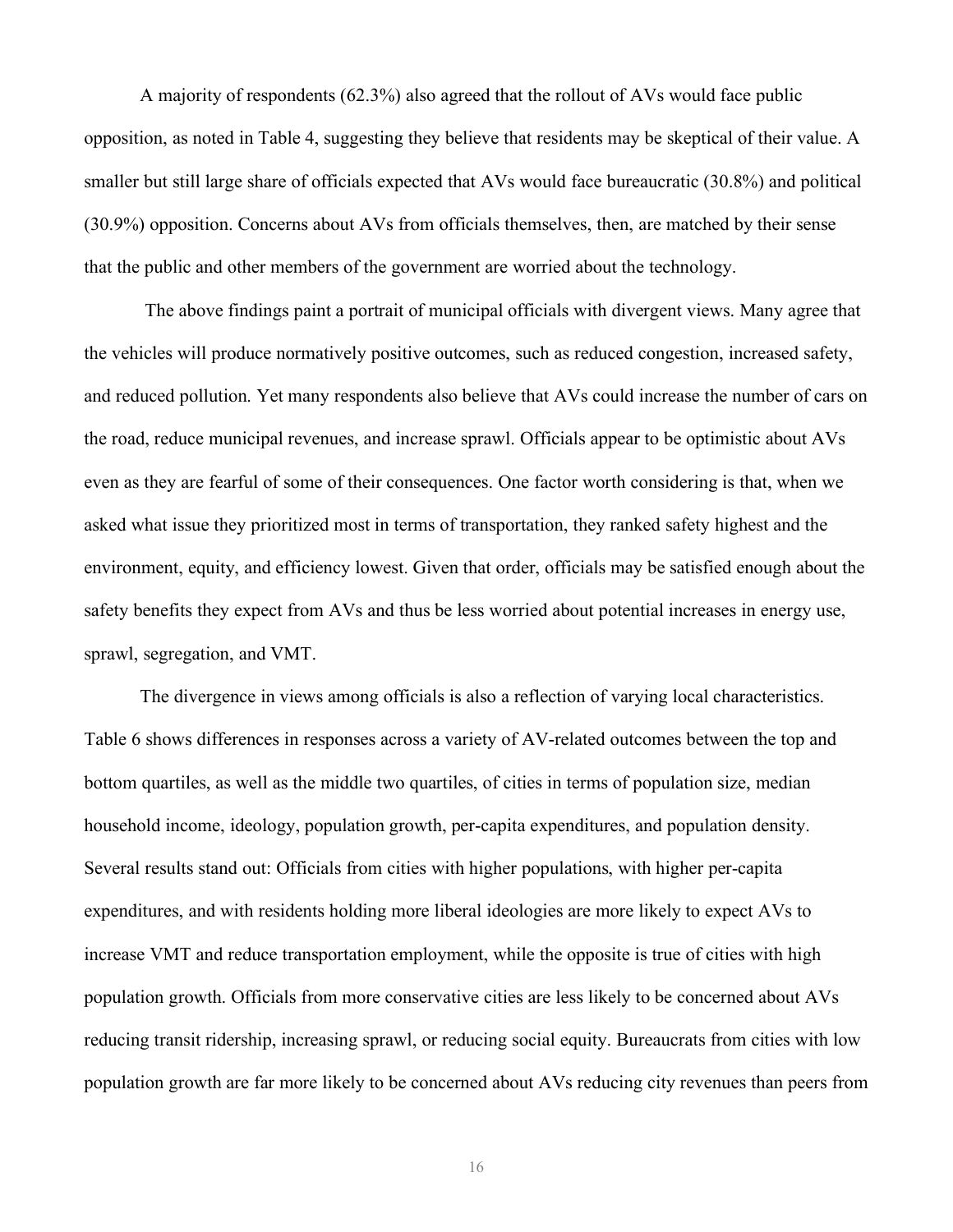A majority of respondents (62.3%) also agreed that the rollout of AVs would face public opposition, as noted in Table 4, suggesting they believe that residents may be skeptical of their value. A smaller but still large share of officials expected that AVs would face bureaucratic (30.8%) and political (30.9%) opposition. Concerns about AVs from officials themselves, then, are matched by their sense that the public and other members of the government are worried about the technology.

The above findings paint a portrait of municipal officials with divergent views. Many agree that the vehicles will produce normatively positive outcomes, such as reduced congestion, increased safety, and reduced pollution. Yet many respondents also believe that AVs could increase the number of cars on the road, reduce municipal revenues, and increase sprawl. Officials appear to be optimistic about AVs even as they are fearful of some of their consequences. One factor worth considering is that, when we asked what issue they prioritized most in terms of transportation, they ranked safety highest and the environment, equity, and efficiency lowest. Given that order, officials may be satisfied enough about the safety benefits they expect from AVs and thus be less worried about potential increases in energy use, sprawl, segregation, and VMT.

The divergence in views among officials is also a reflection of varying local characteristics. Table 6 shows differences in responses across a variety of AV-related outcomes between the top and bottom quartiles, as well as the middle two quartiles, of cities in terms of population size, median household income, ideology, population growth, per-capita expenditures, and population density. Several results stand out: Officials from cities with higher populations, with higher per-capita expenditures, and with residents holding more liberal ideologies are more likely to expect AVs to increase VMT and reduce transportation employment, while the opposite is true of cities with high population growth. Officials from more conservative cities are less likely to be concerned about AVs reducing transit ridership, increasing sprawl, or reducing social equity. Bureaucrats from cities with low population growth are far more likely to be concerned about AVs reducing city revenues than peers from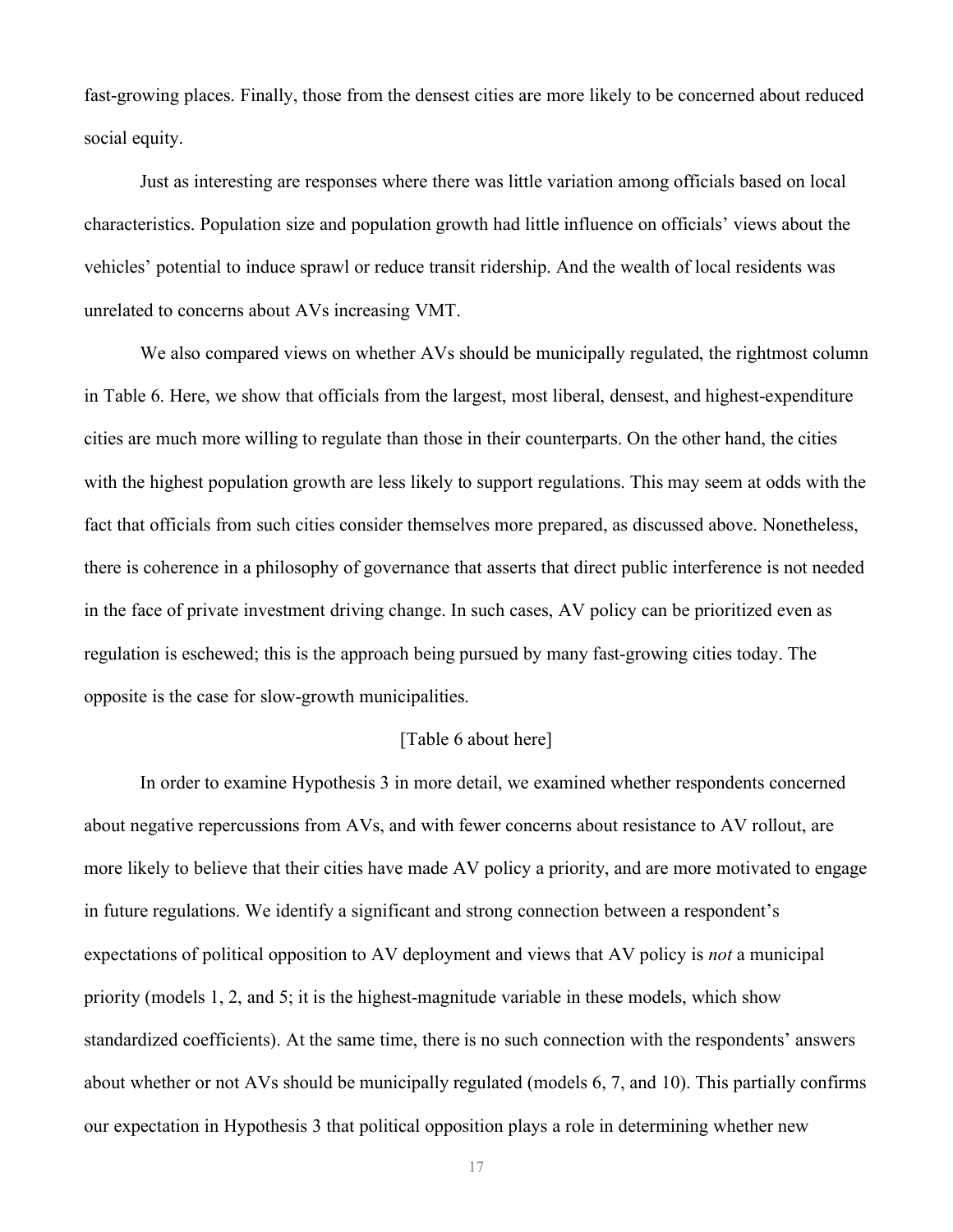fast-growing places. Finally, those from the densest cities are more likely to be concerned about reduced social equity.

Just as interesting are responses where there was little variation among officials based on local characteristics. Population size and population growth had little influence on officials' views about the vehicles' potential to induce sprawl or reduce transit ridership. And the wealth of local residents was unrelated to concerns about AVs increasing VMT.

We also compared views on whether AVs should be municipally regulated, the rightmost column in Table 6. Here, we show that officials from the largest, most liberal, densest, and highest-expenditure cities are much more willing to regulate than those in their counterparts. On the other hand, the cities with the highest population growth are less likely to support regulations. This may seem at odds with the fact that officials from such cities consider themselves more prepared, as discussed above. Nonetheless, there is coherence in a philosophy of governance that asserts that direct public interference is not needed in the face of private investment driving change. In such cases, AV policy can be prioritized even as regulation is eschewed; this is the approach being pursued by many fast-growing cities today. The opposite is the case for slow-growth municipalities.

#### [Table 6 about here]

In order to examine Hypothesis 3 in more detail, we examined whether respondents concerned about negative repercussions from AVs, and with fewer concerns about resistance to AV rollout, are more likely to believe that their cities have made AV policy a priority, and are more motivated to engage in future regulations. We identify a significant and strong connection between a respondent's expectations of political opposition to AV deployment and views that AV policy is *not* a municipal priority (models 1, 2, and 5; it is the highest-magnitude variable in these models, which show standardized coefficients). At the same time, there is no such connection with the respondents' answers about whether or not AVs should be municipally regulated (models 6, 7, and 10). This partially confirms our expectation in Hypothesis 3 that political opposition plays a role in determining whether new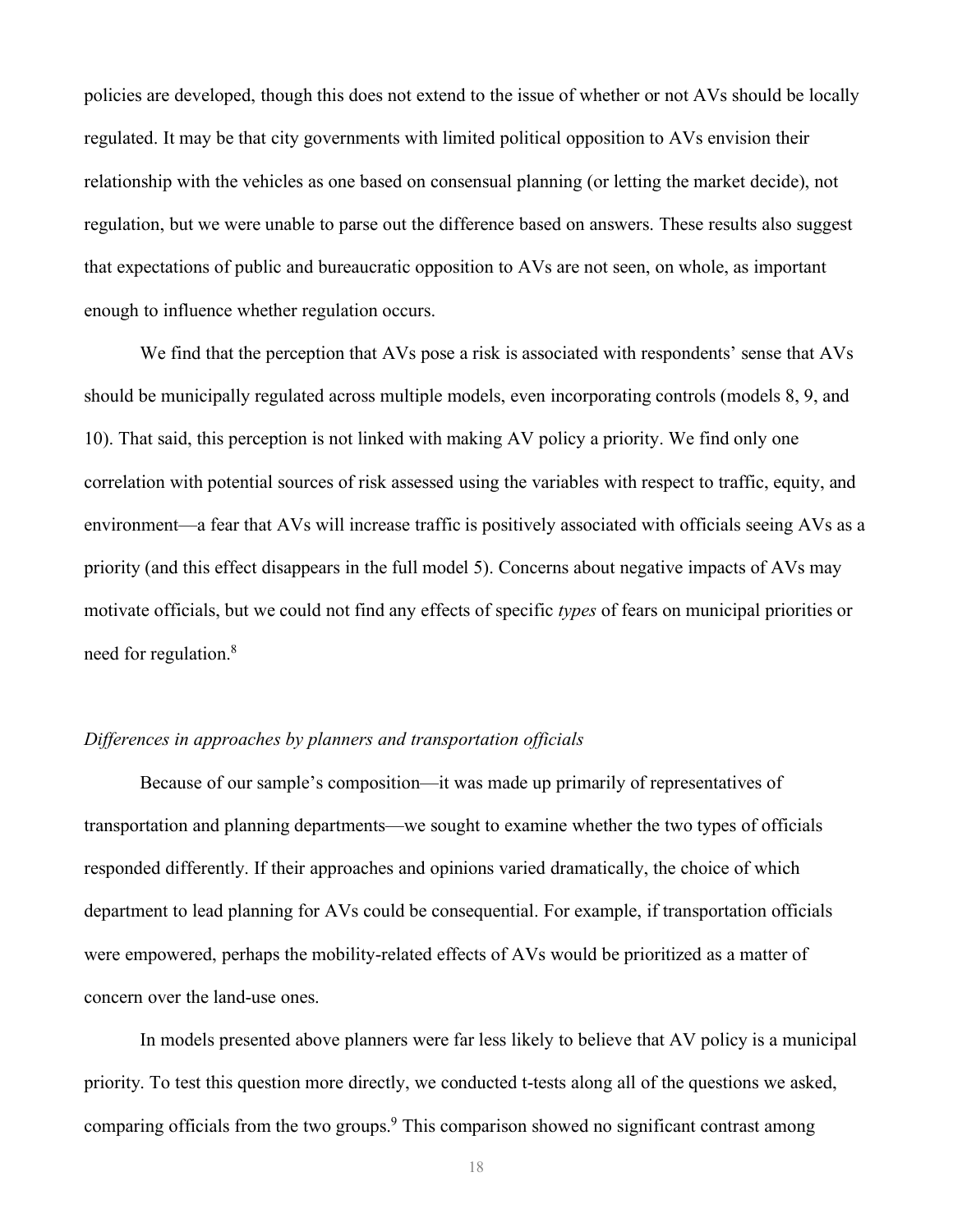policies are developed, though this does not extend to the issue of whether or not AVs should be locally regulated. It may be that city governments with limited political opposition to AVs envision their relationship with the vehicles as one based on consensual planning (or letting the market decide), not regulation, but we were unable to parse out the difference based on answers. These results also suggest that expectations of public and bureaucratic opposition to AVs are not seen, on whole, as important enough to influence whether regulation occurs.

We find that the perception that AVs pose a risk is associated with respondents' sense that AVs should be municipally regulated across multiple models, even incorporating controls (models 8, 9, and 10). That said, this perception is not linked with making AV policy a priority. We find only one correlation with potential sources of risk assessed using the variables with respect to traffic, equity, and environment—a fear that AVs will increase traffic is positively associated with officials seeing AVs as a priority (and this effect disappears in the full model 5). Concerns about negative impacts of AVs may motivate officials, but we could not find any effects of specific *types* of fears on municipal priorities or need for regulation. 8

#### *Differences in approaches by planners and transportation officials*

Because of our sample's composition—it was made up primarily of representatives of transportation and planning departments—we sought to examine whether the two types of officials responded differently. If their approaches and opinions varied dramatically, the choice of which department to lead planning for AVs could be consequential. For example, if transportation officials were empowered, perhaps the mobility-related effects of AVs would be prioritized as a matter of concern over the land-use ones.

In models presented above planners were far less likely to believe that AV policy is a municipal priority. To test this question more directly, we conducted t-tests along all of the questions we asked, comparing officials from the two groups.9 This comparison showed no significant contrast among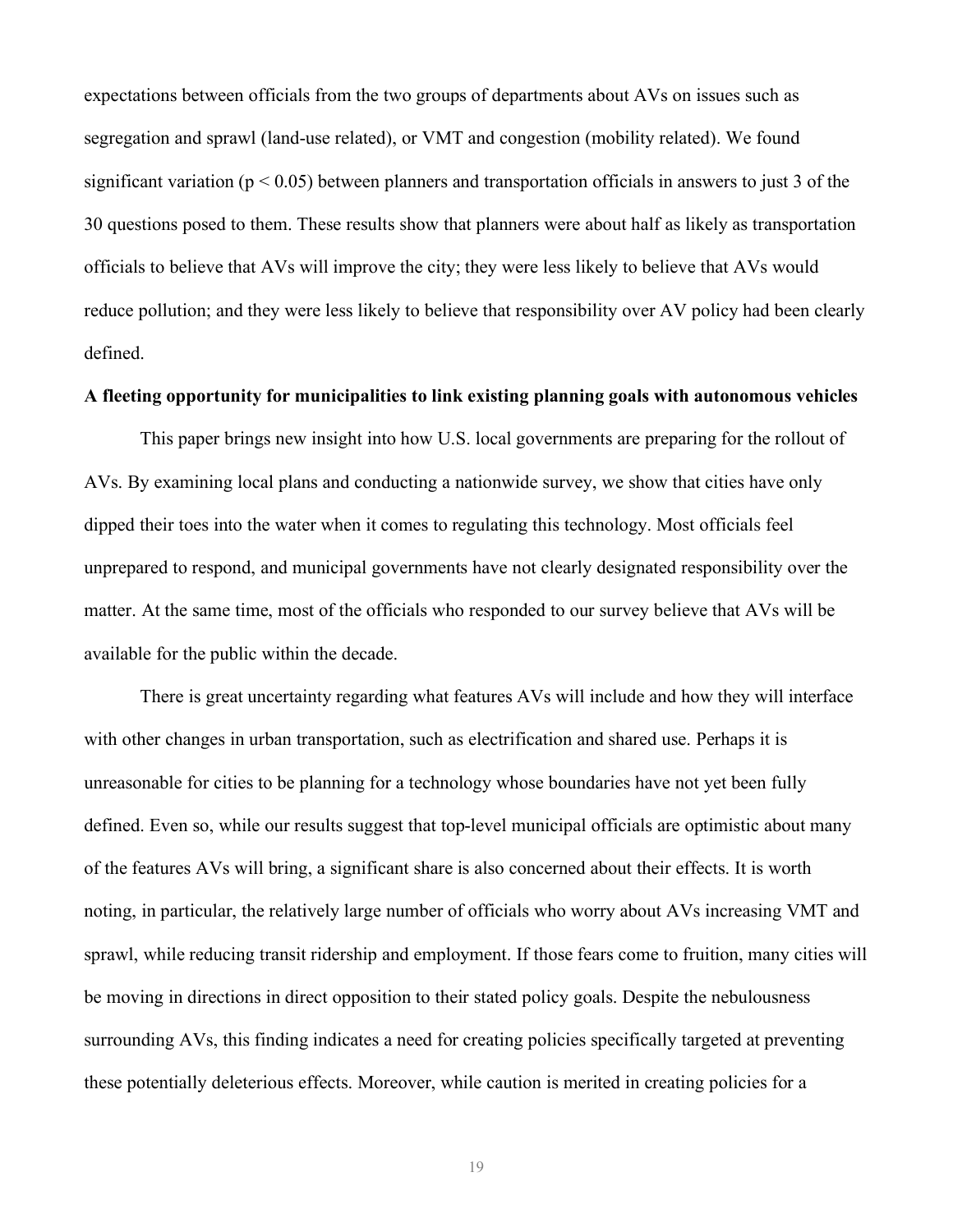expectations between officials from the two groups of departments about AVs on issues such as segregation and sprawl (land-use related), or VMT and congestion (mobility related). We found significant variation ( $p < 0.05$ ) between planners and transportation officials in answers to just 3 of the 30 questions posed to them. These results show that planners were about half as likely as transportation officials to believe that AVs will improve the city; they were less likely to believe that AVs would reduce pollution; and they were less likely to believe that responsibility over AV policy had been clearly defined.

### **A fleeting opportunity for municipalities to link existing planning goals with autonomous vehicles**

This paper brings new insight into how U.S. local governments are preparing for the rollout of AVs. By examining local plans and conducting a nationwide survey, we show that cities have only dipped their toes into the water when it comes to regulating this technology. Most officials feel unprepared to respond, and municipal governments have not clearly designated responsibility over the matter. At the same time, most of the officials who responded to our survey believe that AVs will be available for the public within the decade.

There is great uncertainty regarding what features AVs will include and how they will interface with other changes in urban transportation, such as electrification and shared use. Perhaps it is unreasonable for cities to be planning for a technology whose boundaries have not yet been fully defined. Even so, while our results suggest that top-level municipal officials are optimistic about many of the features AVs will bring, a significant share is also concerned about their effects. It is worth noting, in particular, the relatively large number of officials who worry about AVs increasing VMT and sprawl, while reducing transit ridership and employment. If those fears come to fruition, many cities will be moving in directions in direct opposition to their stated policy goals. Despite the nebulousness surrounding AVs, this finding indicates a need for creating policies specifically targeted at preventing these potentially deleterious effects. Moreover, while caution is merited in creating policies for a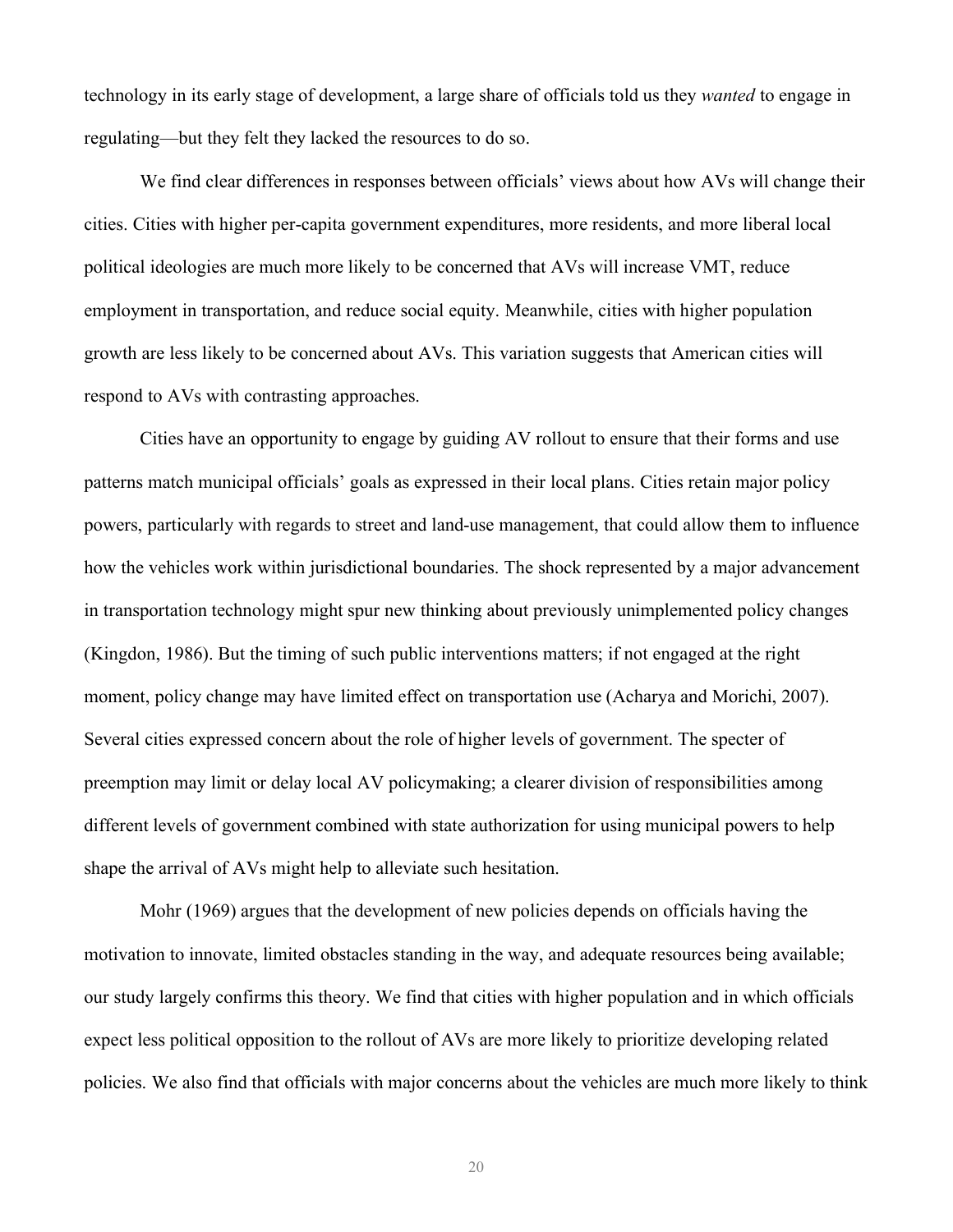technology in its early stage of development, a large share of officials told us they *wanted* to engage in regulating—but they felt they lacked the resources to do so.

We find clear differences in responses between officials' views about how AVs will change their cities. Cities with higher per-capita government expenditures, more residents, and more liberal local political ideologies are much more likely to be concerned that AVs will increase VMT, reduce employment in transportation, and reduce social equity. Meanwhile, cities with higher population growth are less likely to be concerned about AVs. This variation suggests that American cities will respond to AVs with contrasting approaches.

Cities have an opportunity to engage by guiding AV rollout to ensure that their forms and use patterns match municipal officials' goals as expressed in their local plans. Cities retain major policy powers, particularly with regards to street and land-use management, that could allow them to influence how the vehicles work within jurisdictional boundaries. The shock represented by a major advancement in transportation technology might spur new thinking about previously unimplemented policy changes (Kingdon, 1986). But the timing of such public interventions matters; if not engaged at the right moment, policy change may have limited effect on transportation use (Acharya and Morichi, 2007). Several cities expressed concern about the role of higher levels of government. The specter of preemption may limit or delay local AV policymaking; a clearer division of responsibilities among different levels of government combined with state authorization for using municipal powers to help shape the arrival of AVs might help to alleviate such hesitation.

Mohr (1969) argues that the development of new policies depends on officials having the motivation to innovate, limited obstacles standing in the way, and adequate resources being available; our study largely confirms this theory. We find that cities with higher population and in which officials expect less political opposition to the rollout of AVs are more likely to prioritize developing related policies. We also find that officials with major concerns about the vehicles are much more likely to think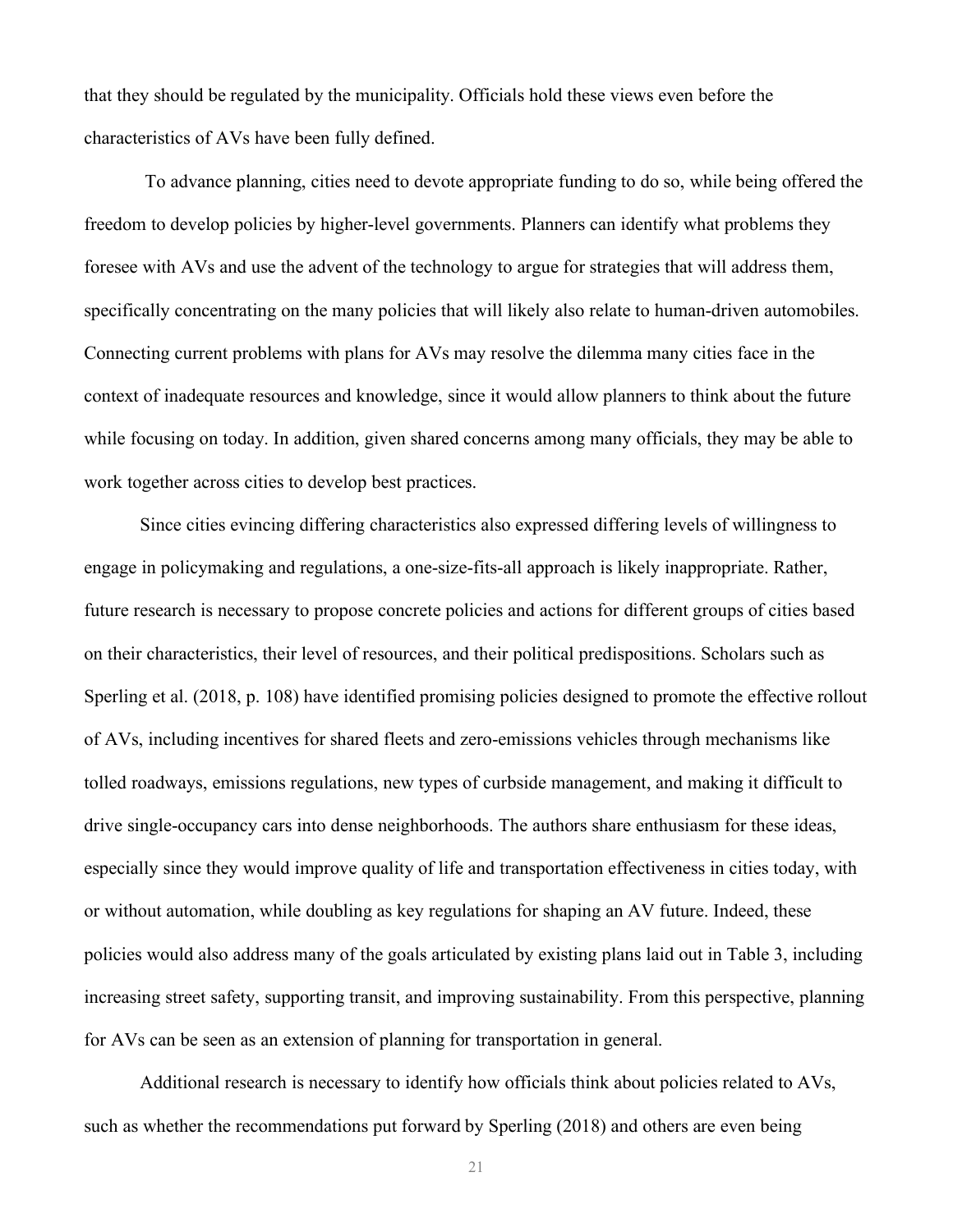that they should be regulated by the municipality. Officials hold these views even before the characteristics of AVs have been fully defined.

To advance planning, cities need to devote appropriate funding to do so, while being offered the freedom to develop policies by higher-level governments. Planners can identify what problems they foresee with AVs and use the advent of the technology to argue for strategies that will address them, specifically concentrating on the many policies that will likely also relate to human-driven automobiles. Connecting current problems with plans for AVs may resolve the dilemma many cities face in the context of inadequate resources and knowledge, since it would allow planners to think about the future while focusing on today. In addition, given shared concerns among many officials, they may be able to work together across cities to develop best practices.

Since cities evincing differing characteristics also expressed differing levels of willingness to engage in policymaking and regulations, a one-size-fits-all approach is likely inappropriate. Rather, future research is necessary to propose concrete policies and actions for different groups of cities based on their characteristics, their level of resources, and their political predispositions. Scholars such as Sperling et al. (2018, p. 108) have identified promising policies designed to promote the effective rollout of AVs, including incentives for shared fleets and zero-emissions vehicles through mechanisms like tolled roadways, emissions regulations, new types of curbside management, and making it difficult to drive single-occupancy cars into dense neighborhoods. The authors share enthusiasm for these ideas, especially since they would improve quality of life and transportation effectiveness in cities today, with or without automation, while doubling as key regulations for shaping an AV future. Indeed, these policies would also address many of the goals articulated by existing plans laid out in Table 3, including increasing street safety, supporting transit, and improving sustainability. From this perspective, planning for AVs can be seen as an extension of planning for transportation in general.

Additional research is necessary to identify how officials think about policies related to AVs, such as whether the recommendations put forward by Sperling (2018) and others are even being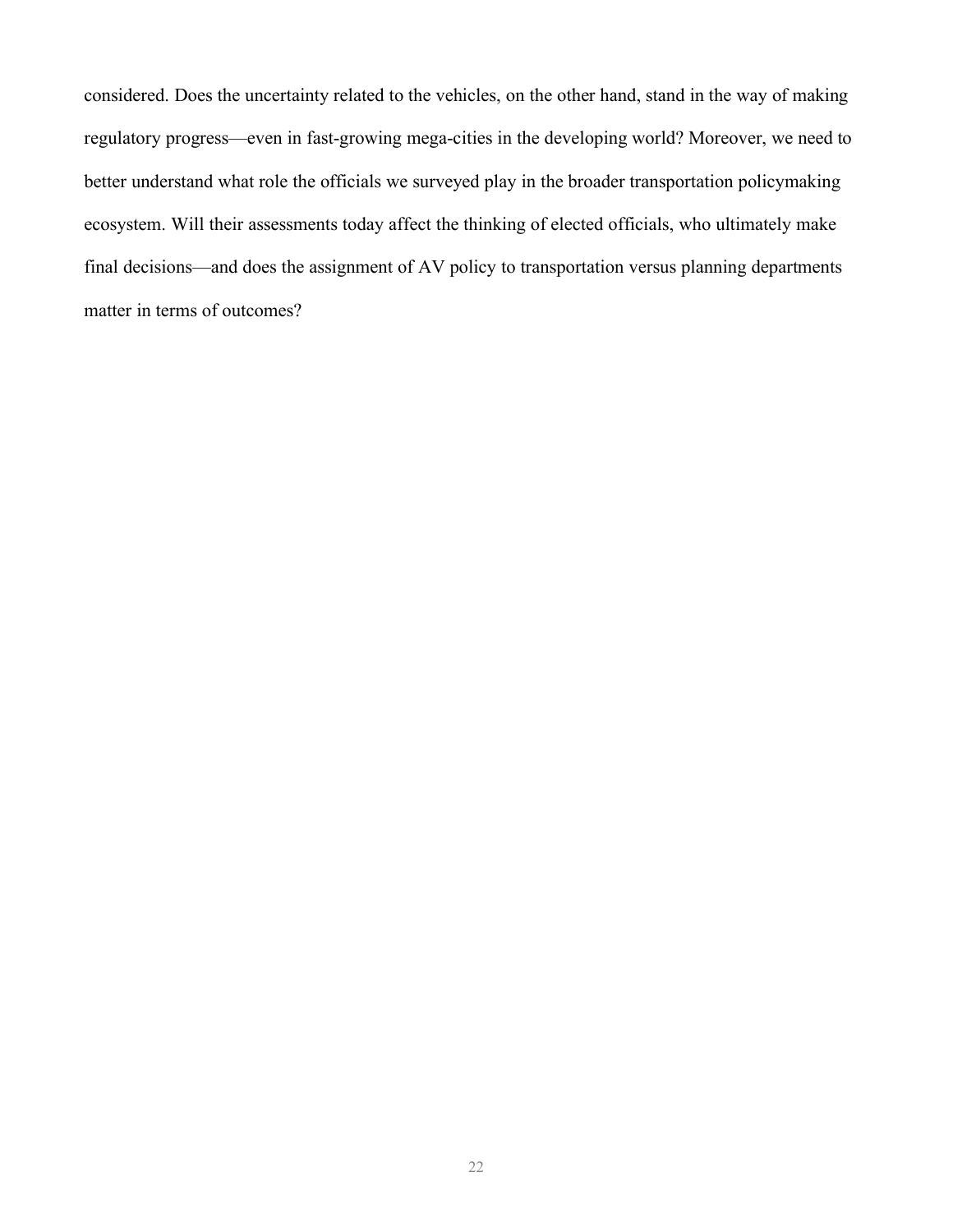considered. Does the uncertainty related to the vehicles, on the other hand, stand in the way of making regulatory progress—even in fast-growing mega-cities in the developing world? Moreover, we need to better understand what role the officials we surveyed play in the broader transportation policymaking ecosystem. Will their assessments today affect the thinking of elected officials, who ultimately make final decisions—and does the assignment of AV policy to transportation versus planning departments matter in terms of outcomes?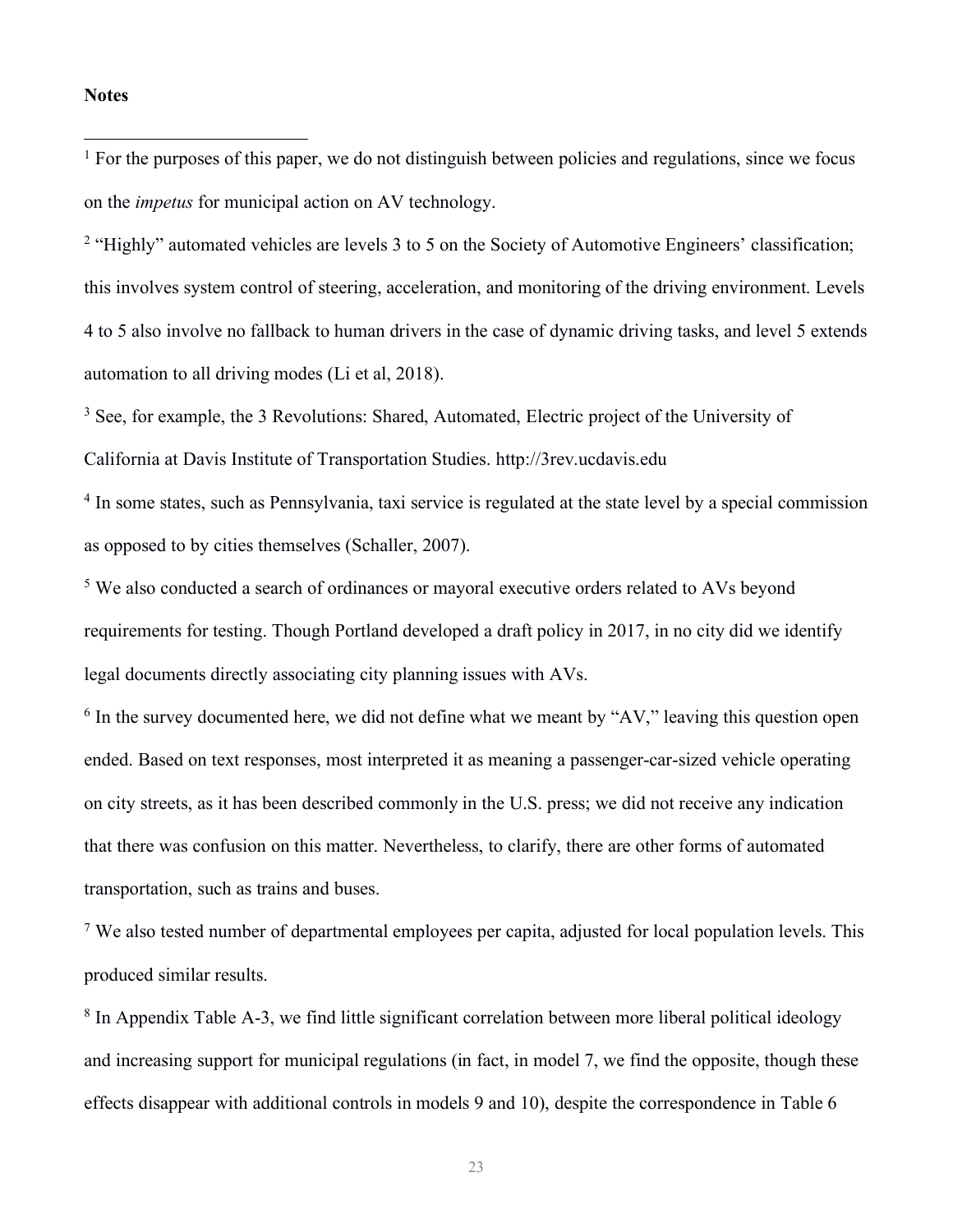#### **Notes**

 $\overline{a}$ 

 $1$  For the purposes of this paper, we do not distinguish between policies and regulations, since we focus on the *impetus* for municipal action on AV technology.

<sup>2</sup> "Highly" automated vehicles are levels 3 to 5 on the Society of Automotive Engineers' classification; this involves system control of steering, acceleration, and monitoring of the driving environment. Levels 4 to 5 also involve no fallback to human drivers in the case of dynamic driving tasks, and level 5 extends automation to all driving modes (Li et al, 2018).

<sup>3</sup> See, for example, the 3 Revolutions: Shared, Automated, Electric project of the University of California at Davis Institute of Transportation Studies. http://3rev.ucdavis.edu

<sup>4</sup> In some states, such as Pennsylvania, taxi service is regulated at the state level by a special commission as opposed to by cities themselves (Schaller, 2007).

<sup>5</sup> We also conducted a search of ordinances or mayoral executive orders related to AVs beyond requirements for testing. Though Portland developed a draft policy in 2017, in no city did we identify legal documents directly associating city planning issues with AVs.

 $6$  In the survey documented here, we did not define what we meant by "AV," leaving this question open ended. Based on text responses, most interpreted it as meaning a passenger-car-sized vehicle operating on city streets, as it has been described commonly in the U.S. press; we did not receive any indication that there was confusion on this matter. Nevertheless, to clarify, there are other forms of automated transportation, such as trains and buses.

<sup>7</sup> We also tested number of departmental employees per capita, adjusted for local population levels. This produced similar results.

<sup>8</sup> In Appendix Table A-3, we find little significant correlation between more liberal political ideology and increasing support for municipal regulations (in fact, in model 7, we find the opposite, though these effects disappear with additional controls in models 9 and 10), despite the correspondence in Table 6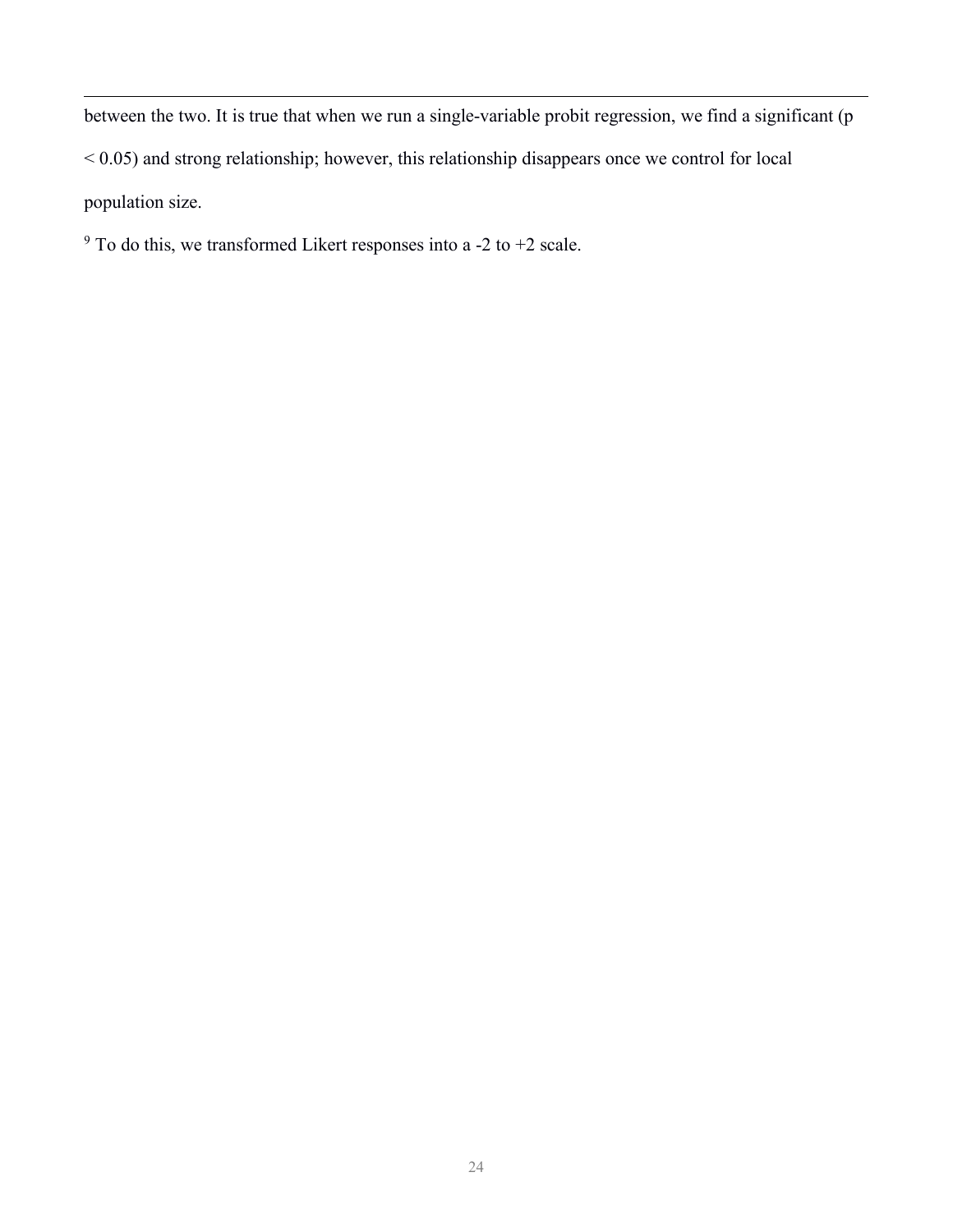between the two. It is true that when we run a single-variable probit regression, we find a significant (p  $< 0.05$ ) and strong relationship; however, this relationship disappears once we control for local population size.

 $9$  To do this, we transformed Likert responses into a -2 to +2 scale.

 $\overline{a}$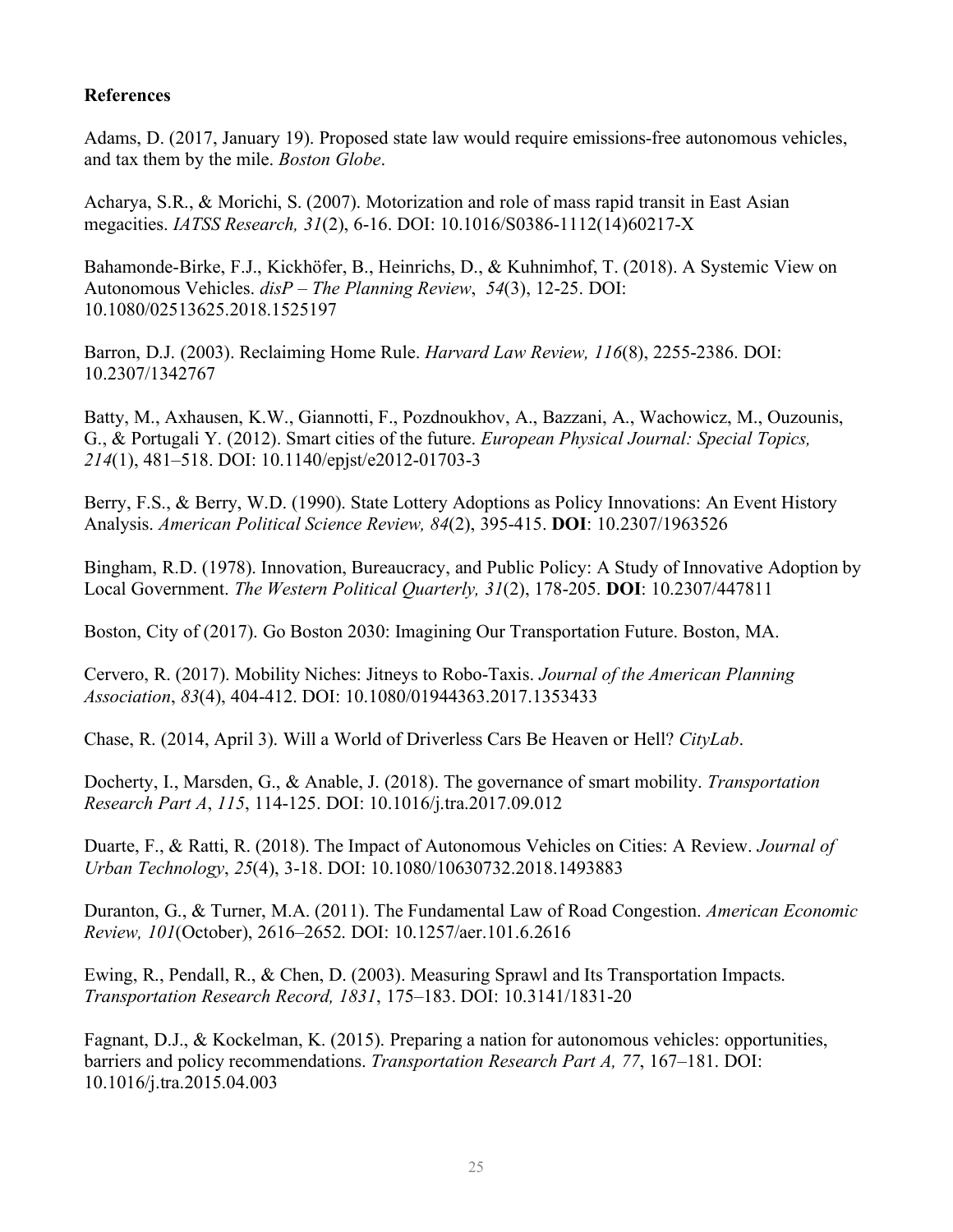## **References**

Adams, D. (2017, January 19). Proposed state law would require emissions-free autonomous vehicles, and tax them by the mile. *Boston Globe*.

Acharya, S.R., & Morichi, S. (2007). Motorization and role of mass rapid transit in East Asian megacities. *IATSS Research, 31*(2), 6-16. DOI: 10.1016/S0386-1112(14)60217-X

Bahamonde-Birke, F.J., Kickhöfer, B., Heinrichs, D., & Kuhnimhof, T. (2018). A Systemic View on Autonomous Vehicles. *disP – The Planning Review*, *54*(3), 12-25. DOI: 10.1080/02513625.2018.1525197

Barron, D.J. (2003). Reclaiming Home Rule. *Harvard Law Review, 116*(8), 2255-2386. DOI: 10.2307/1342767

Batty, M., Axhausen, K.W., Giannotti, F., Pozdnoukhov, A., Bazzani, A., Wachowicz, M., Ouzounis, G., & Portugali Y. (2012). Smart cities of the future. *European Physical Journal: Special Topics, 214*(1), 481–518. DOI: 10.1140/epjst/e2012-01703-3

Berry, F.S., & Berry, W.D. (1990). State Lottery Adoptions as Policy Innovations: An Event History Analysis. *American Political Science Review, 84*(2), 395-415. **DOI**: 10.2307/1963526

Bingham, R.D. (1978). Innovation, Bureaucracy, and Public Policy: A Study of Innovative Adoption by Local Government. *The Western Political Quarterly, 31*(2), 178-205. **DOI**: 10.2307/447811

Boston, City of (2017). Go Boston 2030: Imagining Our Transportation Future. Boston, MA.

Cervero, R. (2017). Mobility Niches: Jitneys to Robo-Taxis. *Journal of the American Planning Association*, *83*(4), 404-412. DOI: 10.1080/01944363.2017.1353433

Chase, R. (2014, April 3). Will a World of Driverless Cars Be Heaven or Hell? *CityLab*.

Docherty, I., Marsden, G., & Anable, J. (2018). The governance of smart mobility. *Transportation Research Part A*, *115*, 114-125. DOI: 10.1016/j.tra.2017.09.012

Duarte, F., & Ratti, R. (2018). The Impact of Autonomous Vehicles on Cities: A Review. *Journal of Urban Technology*, *25*(4), 3-18. DOI: 10.1080/10630732.2018.1493883

Duranton, G., & Turner, M.A. (2011). The Fundamental Law of Road Congestion. *American Economic Review, 101*(October), 2616–2652. DOI: 10.1257/aer.101.6.2616

Ewing, R., Pendall, R., & Chen, D. (2003). Measuring Sprawl and Its Transportation Impacts. *Transportation Research Record, 1831*, 175–183. DOI: 10.3141/1831-20

Fagnant, D.J., & Kockelman, K. (2015). Preparing a nation for autonomous vehicles: opportunities, barriers and policy recommendations. *Transportation Research Part A, 77*, 167–181. DOI: 10.1016/j.tra.2015.04.003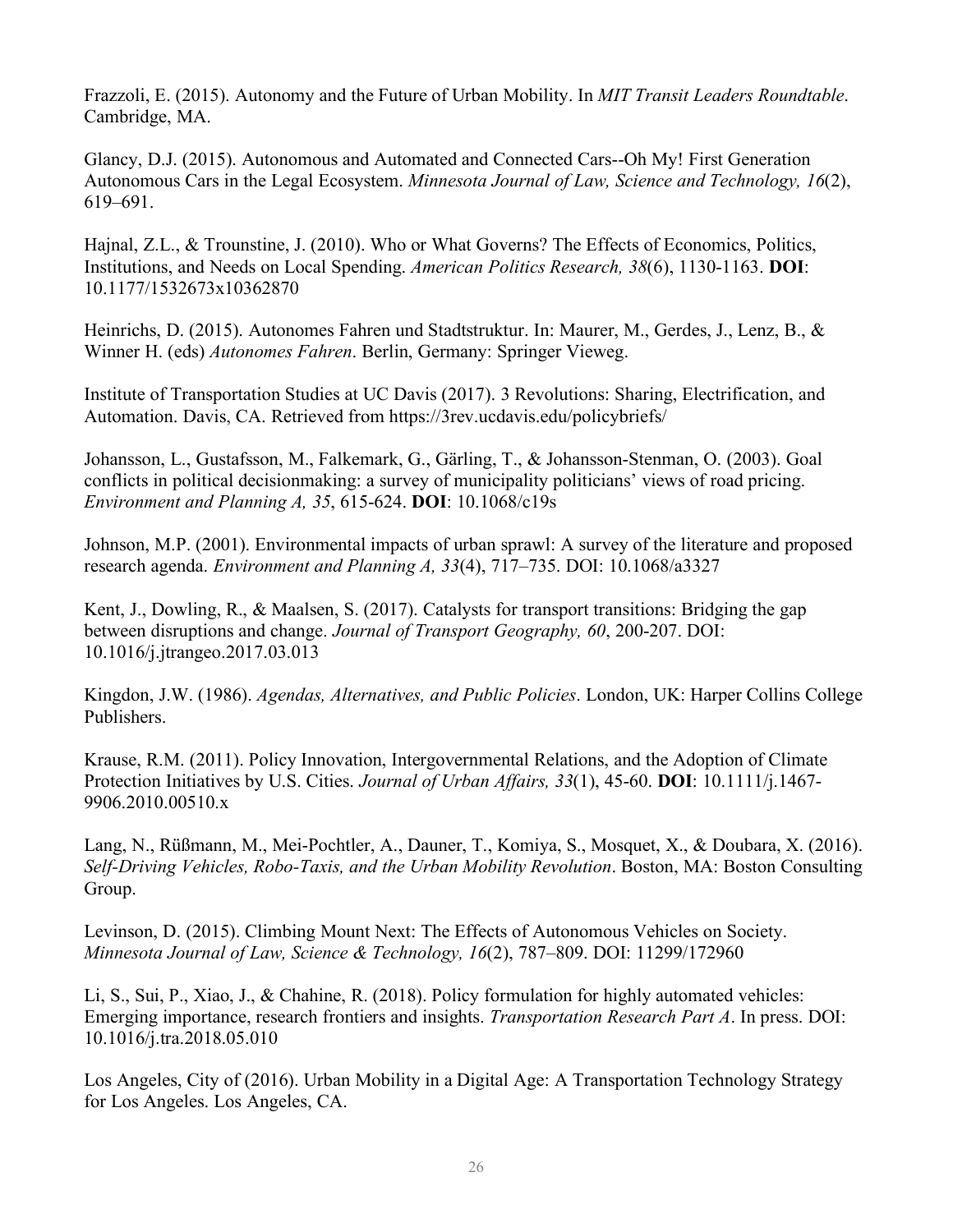Frazzoli, E. (2015). Autonomy and the Future of Urban Mobility. In *MIT Transit Leaders Roundtable*. Cambridge, MA.

Glancy, D.J. (2015). Autonomous and Automated and Connected Cars--Oh My! First Generation Autonomous Cars in the Legal Ecosystem. *Minnesota Journal of Law, Science and Technology, 16*(2), 619–691.

Hajnal, Z.L., & Trounstine, J. (2010). Who or What Governs? The Effects of Economics, Politics, Institutions, and Needs on Local Spending. *American Politics Research, 38*(6), 1130-1163. **DOI**: 10.1177/1532673x10362870

Heinrichs, D. (2015). Autonomes Fahren und Stadtstruktur. In: Maurer, M., Gerdes, J., Lenz, B., & Winner H. (eds) *Autonomes Fahren*. Berlin, Germany: Springer Vieweg.

Institute of Transportation Studies at UC Davis (2017). 3 Revolutions: Sharing, Electrification, and Automation. Davis, CA. Retrieved from https://3rev.ucdavis.edu/policybriefs/

Johansson, L., Gustafsson, M., Falkemark, G., Gärling, T., & Johansson-Stenman, O. (2003). Goal conflicts in political decisionmaking: a survey of municipality politicians' views of road pricing. *Environment and Planning A, 35*, 615-624. **DOI**: 10.1068/c19s

Johnson, M.P. (2001). Environmental impacts of urban sprawl: A survey of the literature and proposed research agenda. *Environment and Planning A, 33*(4), 717–735. DOI: 10.1068/a3327

Kent, J., Dowling, R., & Maalsen, S. (2017). Catalysts for transport transitions: Bridging the gap between disruptions and change. *Journal of Transport Geography, 60*, 200-207. DOI: 10.1016/j.jtrangeo.2017.03.013

Kingdon, J.W. (1986). *Agendas, Alternatives, and Public Policies*. London, UK: Harper Collins College Publishers.

Krause, R.M. (2011). Policy Innovation, Intergovernmental Relations, and the Adoption of Climate Protection Initiatives by U.S. Cities. *Journal of Urban Affairs, 33*(1), 45-60. **DOI**: 10.1111/j.1467- 9906.2010.00510.x

Lang, N., Rüßmann, M., Mei-Pochtler, A., Dauner, T., Komiya, S., Mosquet, X., & Doubara, X. (2016). *Self-Driving Vehicles, Robo-Taxis, and the Urban Mobility Revolution*. Boston, MA: Boston Consulting Group.

Levinson, D. (2015). Climbing Mount Next: The Effects of Autonomous Vehicles on Society. *Minnesota Journal of Law, Science & Technology, 16*(2), 787–809. DOI: 11299/172960

Li, S., Sui, P., Xiao, J., & Chahine, R. (2018). Policy formulation for highly automated vehicles: Emerging importance, research frontiers and insights. *Transportation Research Part A*. In press. DOI: 10.1016/j.tra.2018.05.010

Los Angeles, City of (2016). Urban Mobility in a Digital Age: A Transportation Technology Strategy for Los Angeles. Los Angeles, CA.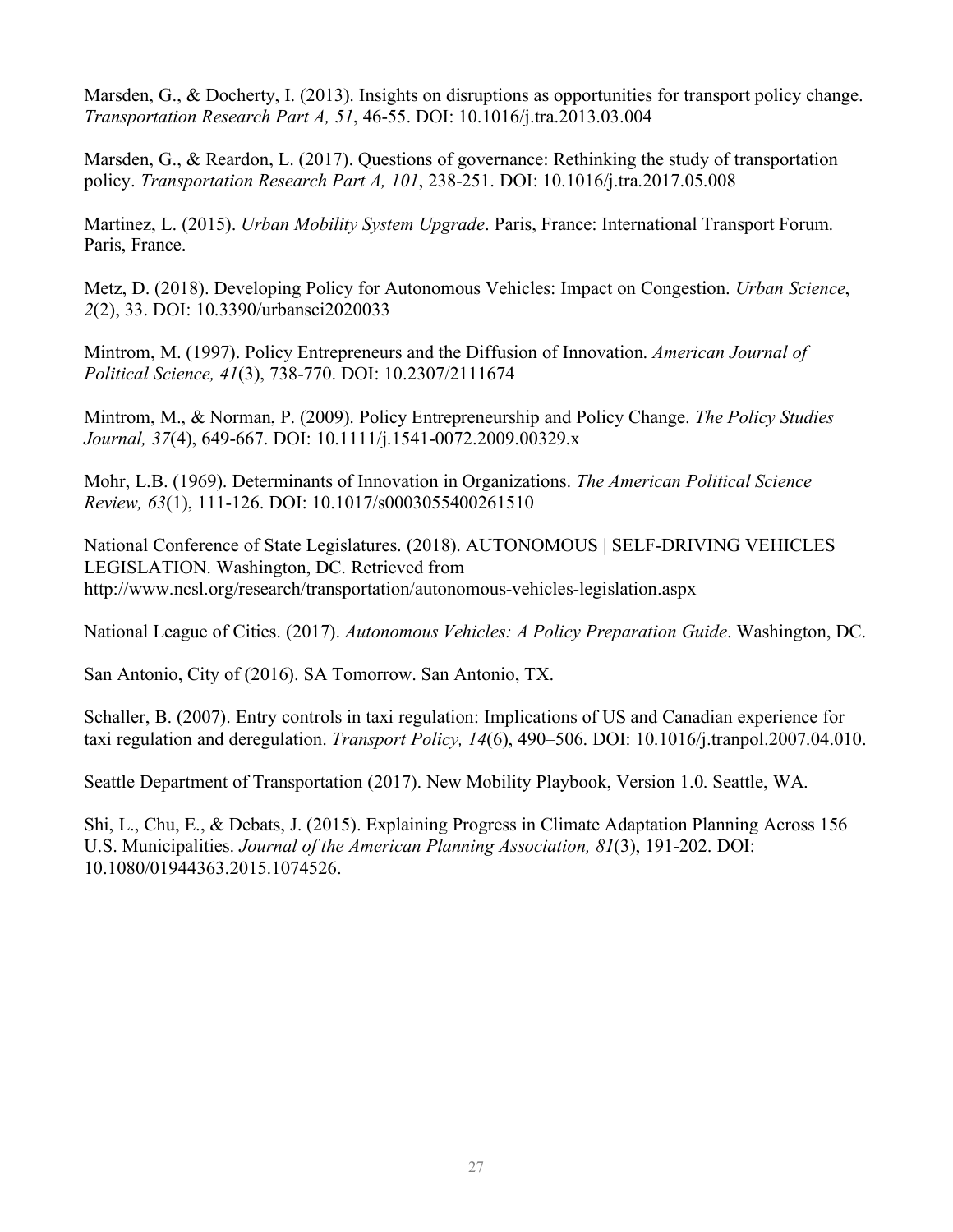Marsden, G., & Docherty, I. (2013). Insights on disruptions as opportunities for transport policy change. *Transportation Research Part A, 51*, 46-55. DOI: 10.1016/j.tra.2013.03.004

Marsden, G., & Reardon, L. (2017). Questions of governance: Rethinking the study of transportation policy. *Transportation Research Part A, 101*, 238-251. DOI: 10.1016/j.tra.2017.05.008

Martinez, L. (2015). *Urban Mobility System Upgrade*. Paris, France: International Transport Forum. Paris, France.

Metz, D. (2018). Developing Policy for Autonomous Vehicles: Impact on Congestion. *Urban Science*, *2*(2), 33. DOI: 10.3390/urbansci2020033

Mintrom, M. (1997). Policy Entrepreneurs and the Diffusion of Innovation. *American Journal of Political Science, 41*(3), 738-770. DOI: 10.2307/2111674

Mintrom, M., & Norman, P. (2009). Policy Entrepreneurship and Policy Change. *The Policy Studies Journal, 37*(4), 649-667. DOI: 10.1111/j.1541-0072.2009.00329.x

Mohr, L.B. (1969). Determinants of Innovation in Organizations. *The American Political Science Review, 63*(1), 111-126. DOI: 10.1017/s0003055400261510

National Conference of State Legislatures. (2018). AUTONOMOUS | SELF-DRIVING VEHICLES LEGISLATION. Washington, DC. Retrieved from http://www.ncsl.org/research/transportation/autonomous-vehicles-legislation.aspx

National League of Cities. (2017). *Autonomous Vehicles: A Policy Preparation Guide*. Washington, DC.

San Antonio, City of (2016). SA Tomorrow. San Antonio, TX.

Schaller, B. (2007). Entry controls in taxi regulation: Implications of US and Canadian experience for taxi regulation and deregulation. *Transport Policy, 14*(6), 490–506. DOI: 10.1016/j.tranpol.2007.04.010.

Seattle Department of Transportation (2017). New Mobility Playbook, Version 1.0. Seattle, WA.

Shi, L., Chu, E., & Debats, J. (2015). Explaining Progress in Climate Adaptation Planning Across 156 U.S. Municipalities. *Journal of the American Planning Association, 81*(3), 191-202. DOI: 10.1080/01944363.2015.1074526.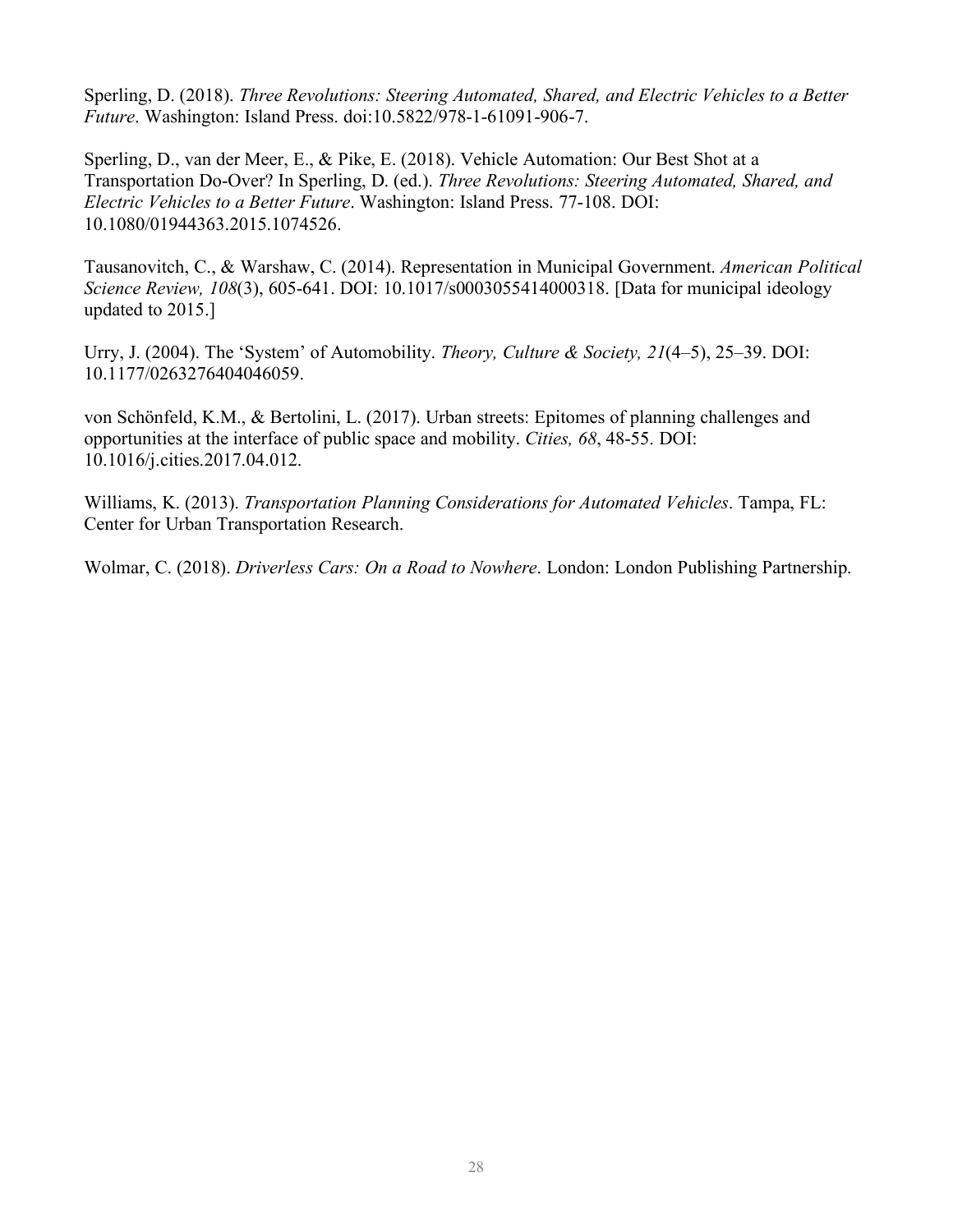Sperling, D. (2018). *Three Revolutions: Steering Automated, Shared, and Electric Vehicles to a Better Future*. Washington: Island Press. doi:10.5822/978-1-61091-906-7.

Sperling, D., van der Meer, E., & Pike, E. (2018). Vehicle Automation: Our Best Shot at a Transportation Do-Over? In Sperling, D. (ed.). *Three Revolutions: Steering Automated, Shared, and Electric Vehicles to a Better Future*. Washington: Island Press. 77-108. DOI: 10.1080/01944363.2015.1074526.

Tausanovitch, C., & Warshaw, C. (2014). Representation in Municipal Government. *American Political Science Review, 108*(3), 605-641. DOI: 10.1017/s0003055414000318. [Data for municipal ideology updated to 2015.]

Urry, J. (2004). The 'System' of Automobility. *Theory, Culture & Society, 21*(4–5), 25–39. DOI: 10.1177/0263276404046059.

von Schönfeld, K.M., & Bertolini, L. (2017). Urban streets: Epitomes of planning challenges and opportunities at the interface of public space and mobility. *Cities, 68*, 48-55. DOI: 10.1016/j.cities.2017.04.012.

Williams, K. (2013). *Transportation Planning Considerations for Automated Vehicles*. Tampa, FL: Center for Urban Transportation Research.

Wolmar, C. (2018). *Driverless Cars: On a Road to Nowhere*. London: London Publishing Partnership.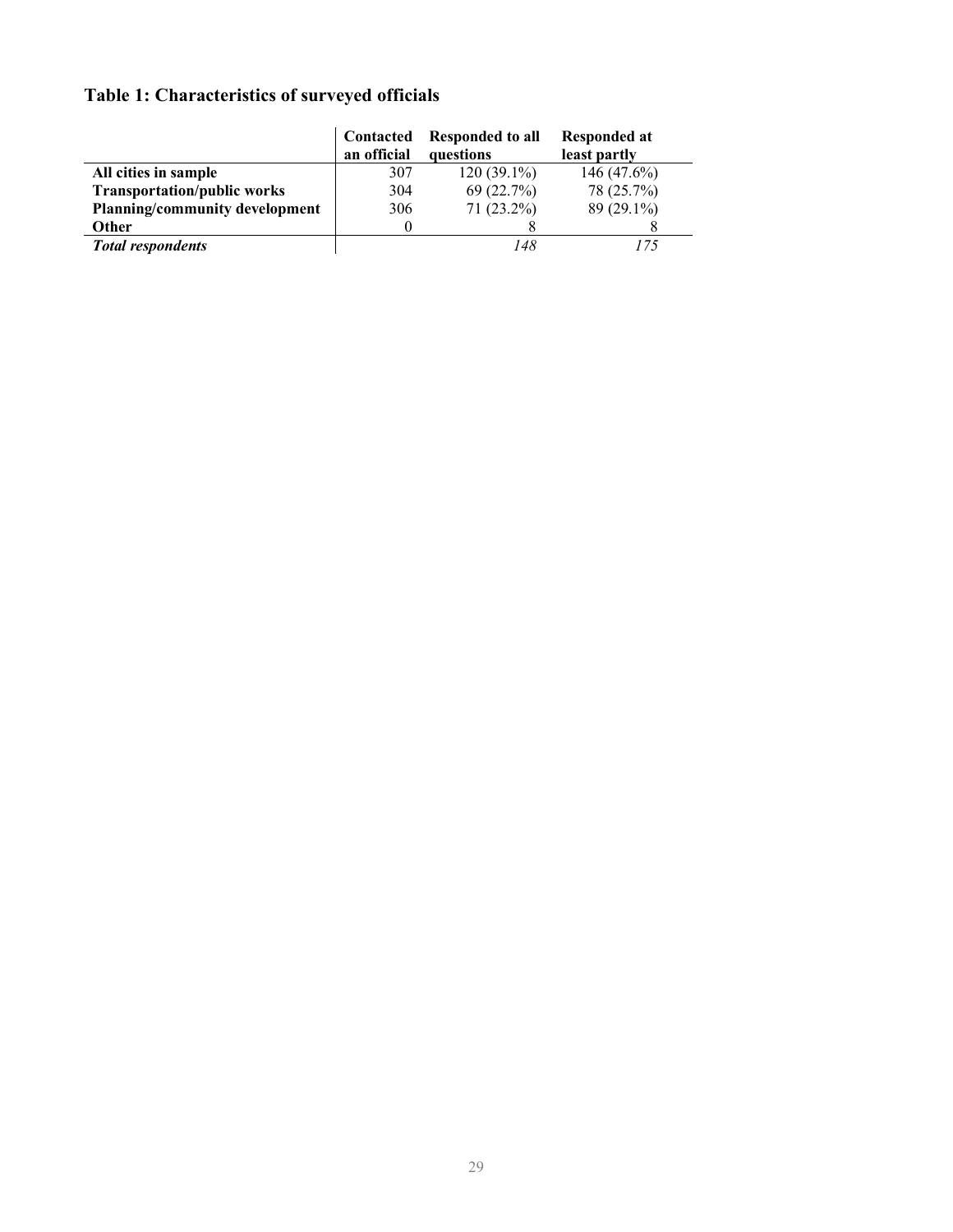## **Table 1: Characteristics of surveyed officials**

|                                       | Contacted<br>an official | <b>Responded to all</b><br>questions | Responded at<br>least partly |
|---------------------------------------|--------------------------|--------------------------------------|------------------------------|
|                                       |                          |                                      |                              |
| All cities in sample                  | 307                      | $120(39.1\%)$                        | 146 $(47.6\%)$               |
| <b>Transportation/public works</b>    | 304                      | 69(22.7%)                            | 78 (25.7%)                   |
| <b>Planning/community development</b> | 306                      | $71(23.2\%)$                         | $89(29.1\%)$                 |
| <b>Other</b>                          | $\theta$                 |                                      |                              |
| <b>Total respondents</b>              |                          | 148                                  |                              |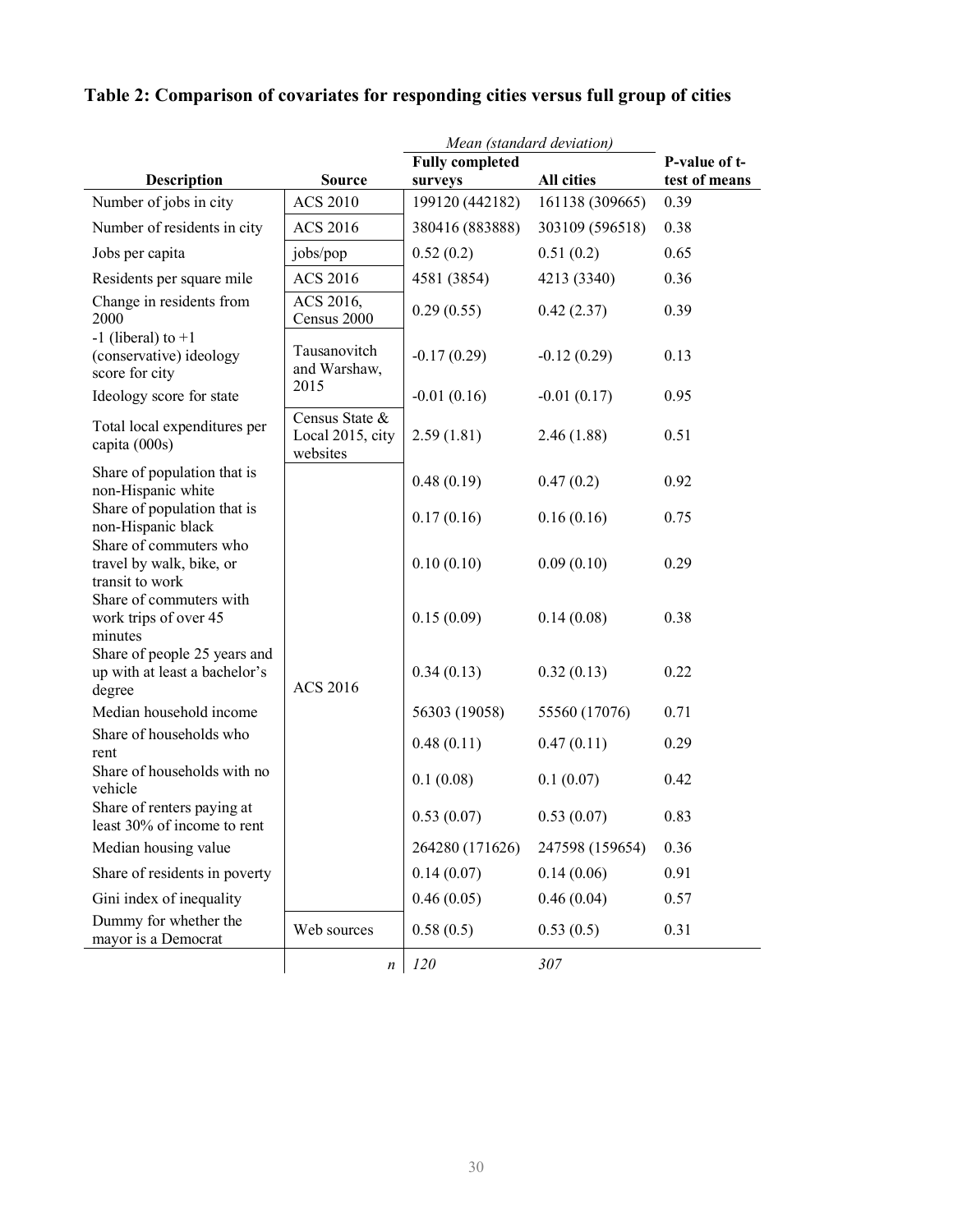|                                                                         |                                                |                            | Mean (standard deviation) |                                |
|-------------------------------------------------------------------------|------------------------------------------------|----------------------------|---------------------------|--------------------------------|
|                                                                         |                                                | <b>Fully completed</b>     | All cities                | P-value of t-<br>test of means |
| <b>Description</b><br>Number of jobs in city                            | <b>Source</b><br><b>ACS 2010</b>               | surveys<br>199120 (442182) | 161138 (309665)           | 0.39                           |
| Number of residents in city                                             | <b>ACS 2016</b>                                |                            | 303109 (596518)           | 0.38                           |
|                                                                         |                                                | 380416 (883888)            |                           |                                |
| Jobs per capita                                                         | jobs/pop                                       | 0.52(0.2)                  | 0.51(0.2)                 | 0.65                           |
| Residents per square mile                                               | <b>ACS 2016</b>                                | 4581 (3854)                | 4213 (3340)               | 0.36                           |
| Change in residents from<br>2000                                        | ACS 2016,<br>Census 2000                       | 0.29(0.55)                 | 0.42(2.37)                | 0.39                           |
| $-1$ (liberal) to $+1$<br>(conservative) ideology<br>score for city     | Tausanovitch<br>and Warshaw,                   | $-0.17(0.29)$              | $-0.12(0.29)$             | 0.13                           |
| Ideology score for state                                                | 2015                                           | $-0.01(0.16)$              | $-0.01(0.17)$             | 0.95                           |
| Total local expenditures per<br>capita (000s)                           | Census State &<br>Local 2015, city<br>websites | 2.59(1.81)                 | 2.46(1.88)                | 0.51                           |
| Share of population that is<br>non-Hispanic white                       |                                                | 0.48(0.19)                 | 0.47(0.2)                 | 0.92                           |
| Share of population that is<br>non-Hispanic black                       |                                                | 0.17(0.16)                 | 0.16(0.16)                | 0.75                           |
| Share of commuters who<br>travel by walk, bike, or<br>transit to work   |                                                | 0.10(0.10)                 | 0.09(0.10)                | 0.29                           |
| Share of commuters with<br>work trips of over 45<br>minutes             |                                                | 0.15(0.09)                 | 0.14(0.08)                | 0.38                           |
| Share of people 25 years and<br>up with at least a bachelor's<br>degree | <b>ACS 2016</b>                                | 0.34(0.13)                 | 0.32(0.13)                | 0.22                           |
| Median household income                                                 |                                                | 56303 (19058)              | 55560 (17076)             | 0.71                           |
| Share of households who<br>rent                                         |                                                | 0.48(0.11)                 | 0.47(0.11)                | 0.29                           |
| Share of households with no<br>vehicle                                  |                                                | 0.1(0.08)                  | 0.1(0.07)                 | 0.42                           |
| Share of renters paying at<br>least 30% of income to rent               |                                                | 0.53(0.07)                 | 0.53(0.07)                | 0.83                           |
| Median housing value                                                    |                                                | 264280 (171626)            | 247598 (159654)           | 0.36                           |
| Share of residents in poverty                                           |                                                | 0.14(0.07)                 | 0.14(0.06)                | 0.91                           |
| Gini index of inequality                                                |                                                | 0.46(0.05)                 | 0.46(0.04)                | 0.57                           |
| Dummy for whether the<br>mayor is a Democrat                            | Web sources                                    | 0.58(0.5)                  | 0.53(0.5)                 | 0.31                           |
|                                                                         | n                                              | 120                        | 307                       |                                |

## **Table 2: Comparison of covariates for responding cities versus full group of cities**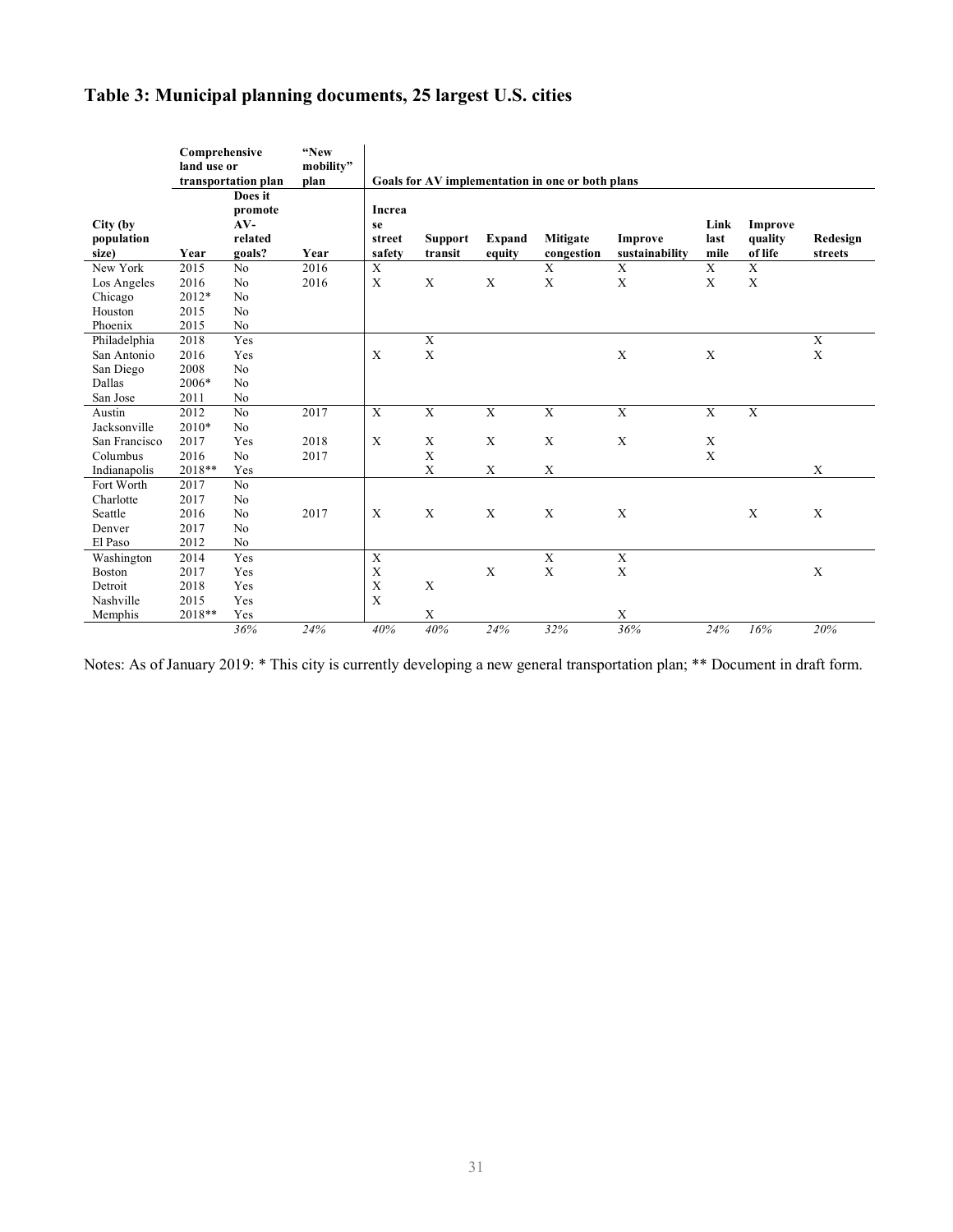## **Table 3: Municipal planning documents, 25 largest U.S. cities**

|                                              | Comprehensive<br>land use or  | transportation plan                              | "New<br>mobility"<br>plan |                                  |                           |                  | Goals for AV implementation in one or both plans |                           |                      |                               |                     |
|----------------------------------------------|-------------------------------|--------------------------------------------------|---------------------------|----------------------------------|---------------------------|------------------|--------------------------------------------------|---------------------------|----------------------|-------------------------------|---------------------|
| City (by<br>population<br>size)              | Year                          | Does it<br>promote<br>$AV-$<br>related<br>goals? | Year                      | Increa<br>se<br>street<br>safety | <b>Support</b><br>transit | Expand<br>equity | Mitigate<br>congestion                           | Improve<br>sustainability | Link<br>last<br>mile | Improve<br>quality<br>of life | Redesign<br>streets |
| New York                                     | 2015                          | No                                               | 2016                      | $\mathbf X$                      |                           |                  | X                                                | $\mathbf X$               | $\mathbf X$          | $\overline{X}$                |                     |
| Los Angeles<br>Chicago<br>Houston<br>Phoenix | 2016<br>2012*<br>2015<br>2015 | No<br>No<br>No<br>No                             | 2016                      | X                                | X                         | X                | $\boldsymbol{\mathrm{X}}$                        | X                         | X                    | $\mathbf X$                   |                     |
| Philadelphia                                 | 2018                          | Yes                                              |                           |                                  | X                         |                  |                                                  |                           |                      |                               | $\mathbf X$         |
| San Antonio                                  | 2016                          | Yes                                              |                           | X                                | X                         |                  |                                                  | X                         | X                    |                               | X                   |
| San Diego                                    | 2008                          | No                                               |                           |                                  |                           |                  |                                                  |                           |                      |                               |                     |
| Dallas                                       | 2006*                         | No                                               |                           |                                  |                           |                  |                                                  |                           |                      |                               |                     |
| San Jose                                     | 2011                          | No                                               |                           |                                  |                           |                  |                                                  |                           |                      |                               |                     |
| Austin                                       | 2012                          | No                                               | 2017                      | X                                | $\mathbf X$               | $\mathbf X$      | $\mathbf X$                                      | $\mathbf X$               | $\mathbf X$          | $\mathbf X$                   |                     |
| Jacksonville                                 | $2010*$                       | N <sub>0</sub>                                   |                           |                                  |                           |                  |                                                  |                           |                      |                               |                     |
| San Francisco                                | 2017                          | Yes                                              | 2018                      | X                                | X                         | X                | X                                                | $\mathbf X$               | $\mathbf X$          |                               |                     |
| Columbus                                     | 2016                          | N <sub>0</sub>                                   | 2017                      |                                  | X                         |                  |                                                  |                           | X                    |                               |                     |
| Indianapolis                                 | 2018**                        | Yes                                              |                           |                                  | $\mathbf X$               | $\mathbf X$      | $\mathbf X$                                      |                           |                      |                               | X                   |
| Fort Worth                                   | 2017                          | N <sub>o</sub>                                   |                           |                                  |                           |                  |                                                  |                           |                      |                               |                     |
| Charlotte                                    | 2017                          | N <sub>0</sub>                                   |                           |                                  |                           |                  |                                                  |                           |                      |                               |                     |
| Seattle                                      | 2016                          | N <sub>0</sub>                                   | 2017                      | X                                | X                         | X                | X                                                | X                         |                      | X                             | $\mathbf X$         |
| Denver                                       | 2017                          | N <sub>0</sub>                                   |                           |                                  |                           |                  |                                                  |                           |                      |                               |                     |
| El Paso                                      | 2012                          | No                                               |                           |                                  |                           |                  |                                                  |                           |                      |                               |                     |
| Washington                                   | 2014                          | Yes                                              |                           | $\mathbf X$                      |                           |                  | $\overline{X}$                                   | $\overline{X}$            |                      |                               |                     |
| Boston                                       | 2017                          | Yes                                              |                           | $\mathbf X$                      |                           | $\mathbf X$      | $\mathbf X$                                      | X                         |                      |                               | $\mathbf X$         |
| Detroit                                      | 2018                          | Yes                                              |                           | $\boldsymbol{\mathrm{X}}$        | X                         |                  |                                                  |                           |                      |                               |                     |
| Nashville                                    | 2015                          | Yes                                              |                           | X                                |                           |                  |                                                  |                           |                      |                               |                     |
| Memphis                                      | 2018**                        | Yes                                              |                           |                                  | $\mathbf X$               |                  |                                                  | X                         |                      |                               |                     |
|                                              |                               | 36%                                              | 24%                       | 40%                              | 40%                       | 24%              | 32%                                              | 36%                       | 24%                  | 16%                           | 20%                 |

Notes: As of January 2019: \* This city is currently developing a new general transportation plan; \*\* Document in draft form.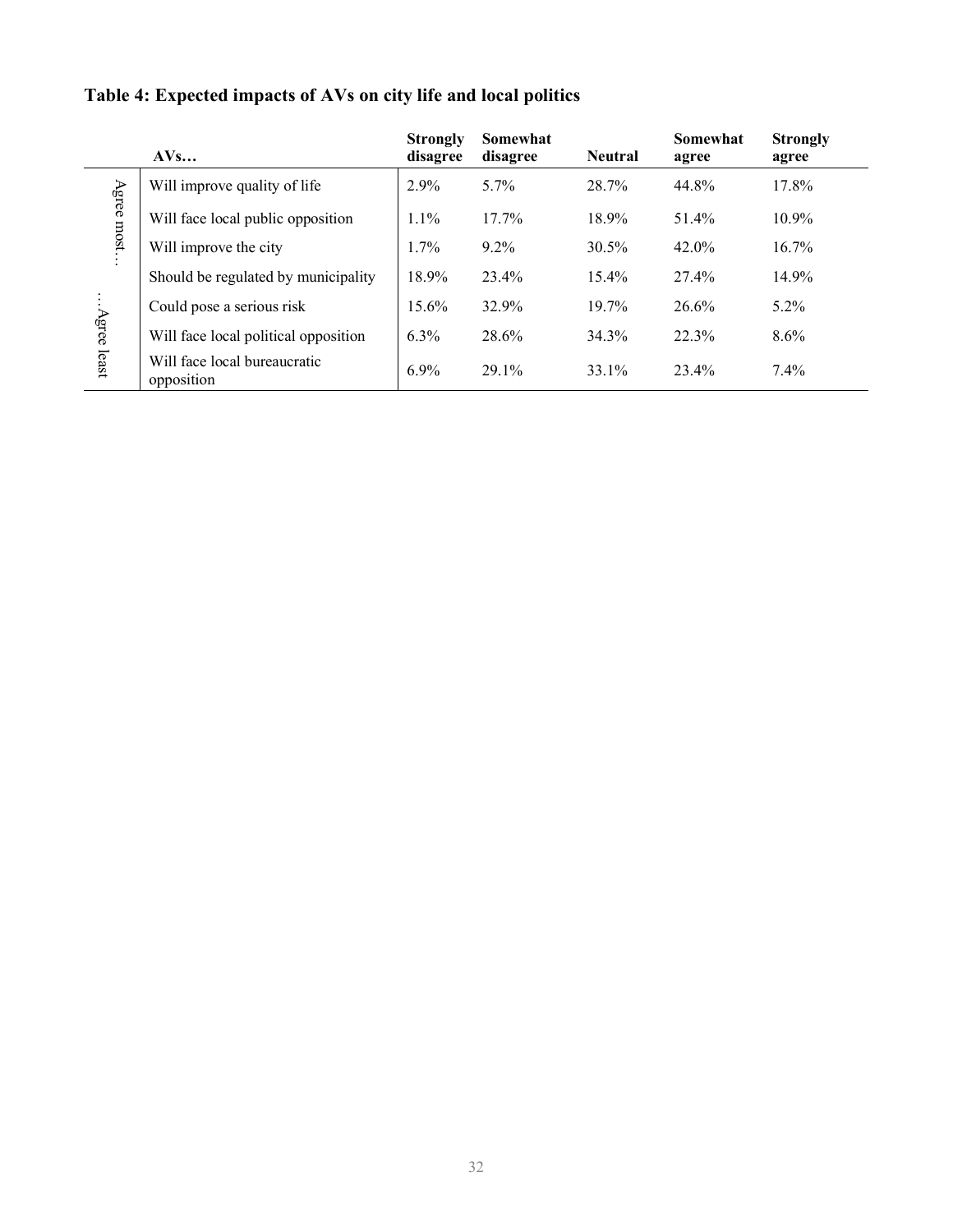|                       | AVs                                        | <b>Strongly</b><br>disagree | Somewhat<br>disagree | <b>Neutral</b> | <b>Somewhat</b><br>agree | <b>Strongly</b><br>agree |
|-----------------------|--------------------------------------------|-----------------------------|----------------------|----------------|--------------------------|--------------------------|
|                       | Will improve quality of life               | 2.9%                        | $5.7\%$              | 28.7%          | 44.8%                    | 17.8%                    |
| Agree most            | Will face local public opposition          | 1.1%                        | $17.7\%$             | 18.9%          | 51.4%                    | $10.9\%$                 |
| Will improve the city | 1.7%                                       | $9.2\%$                     | $30.5\%$             | $42.0\%$       | $16.7\%$                 |                          |
|                       | Should be regulated by municipality        | 18.9%                       | 23.4%                | $15.4\%$       | 27.4%                    | 14.9%                    |
|                       | Could pose a serious risk                  | 15.6%                       | 32.9%                | 19.7%          | 26.6%                    | $5.2\%$                  |
| Agree least           | Will face local political opposition       | 6.3%                        | 28.6%                | 34.3%          | 22.3%                    | $8.6\%$                  |
|                       | Will face local bureaucratic<br>opposition | 6.9%                        | 29.1%                | 33.1%          | 23.4%                    | $7.4\%$                  |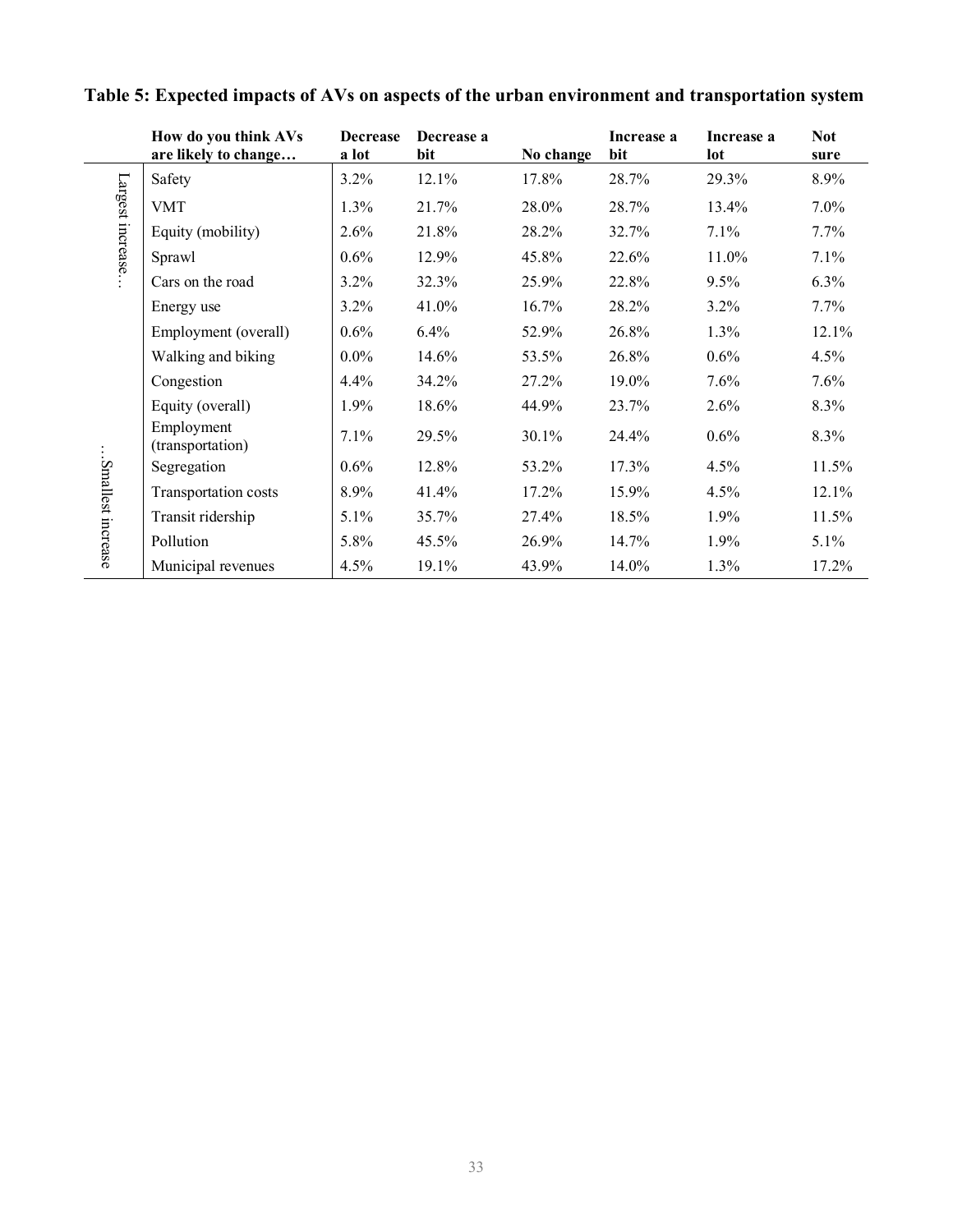|                   | How do you think AVs<br>are likely to change | <b>Decrease</b><br>a lot | Decrease a<br>bit | No change | Increase a<br>bit | Increase a<br>lot | <b>Not</b><br>sure |
|-------------------|----------------------------------------------|--------------------------|-------------------|-----------|-------------------|-------------------|--------------------|
|                   | Safety                                       | 3.2%                     | 12.1%             | 17.8%     | 28.7%             | 29.3%             | 8.9%               |
| Largest increase. | <b>VMT</b>                                   | 1.3%                     | 21.7%             | 28.0%     | 28.7%             | 13.4%             | $7.0\%$            |
|                   | Equity (mobility)                            | 2.6%                     | 21.8%             | 28.2%     | 32.7%             | 7.1%              | 7.7%               |
|                   | Sprawl                                       | 0.6%                     | 12.9%             | 45.8%     | 22.6%             | 11.0%             | 7.1%               |
|                   | Cars on the road                             | 3.2%                     | 32.3%             | 25.9%     | 22.8%             | 9.5%              | 6.3%               |
|                   | Energy use                                   | 3.2%                     | 41.0%             | 16.7%     | 28.2%             | $3.2\%$           | 7.7%               |
|                   | Employment (overall)                         | 0.6%                     | 6.4%              | 52.9%     | 26.8%             | $1.3\%$           | 12.1%              |
|                   | Walking and biking                           | $0.0\%$                  | 14.6%             | 53.5%     | 26.8%             | 0.6%              | $4.5\%$            |
|                   | Congestion                                   | 4.4%                     | 34.2%             | 27.2%     | 19.0%             | 7.6%              | 7.6%               |
|                   | Equity (overall)                             | 1.9%                     | 18.6%             | 44.9%     | 23.7%             | 2.6%              | 8.3%               |
|                   | Employment<br>(transportation)               | 7.1%                     | 29.5%             | 30.1%     | 24.4%             | 0.6%              | 8.3%               |
|                   | Segregation                                  | 0.6%                     | 12.8%             | 53.2%     | 17.3%             | 4.5%              | 11.5%              |
|                   | Transportation costs                         | 8.9%                     | 41.4%             | $17.2\%$  | 15.9%             | 4.5%              | 12.1%              |
|                   | Transit ridership                            | $5.1\%$                  | 35.7%             | 27.4%     | 18.5%             | 1.9%              | 11.5%              |
| Smallest increase | Pollution                                    | 5.8%                     | 45.5%             | 26.9%     | 14.7%             | $1.9\%$           | $5.1\%$            |
|                   | Municipal revenues                           | 4.5%                     | 19.1%             | 43.9%     | 14.0%             | 1.3%              | 17.2%              |

## **Table 5: Expected impacts of AVs on aspects of the urban environment and transportation system**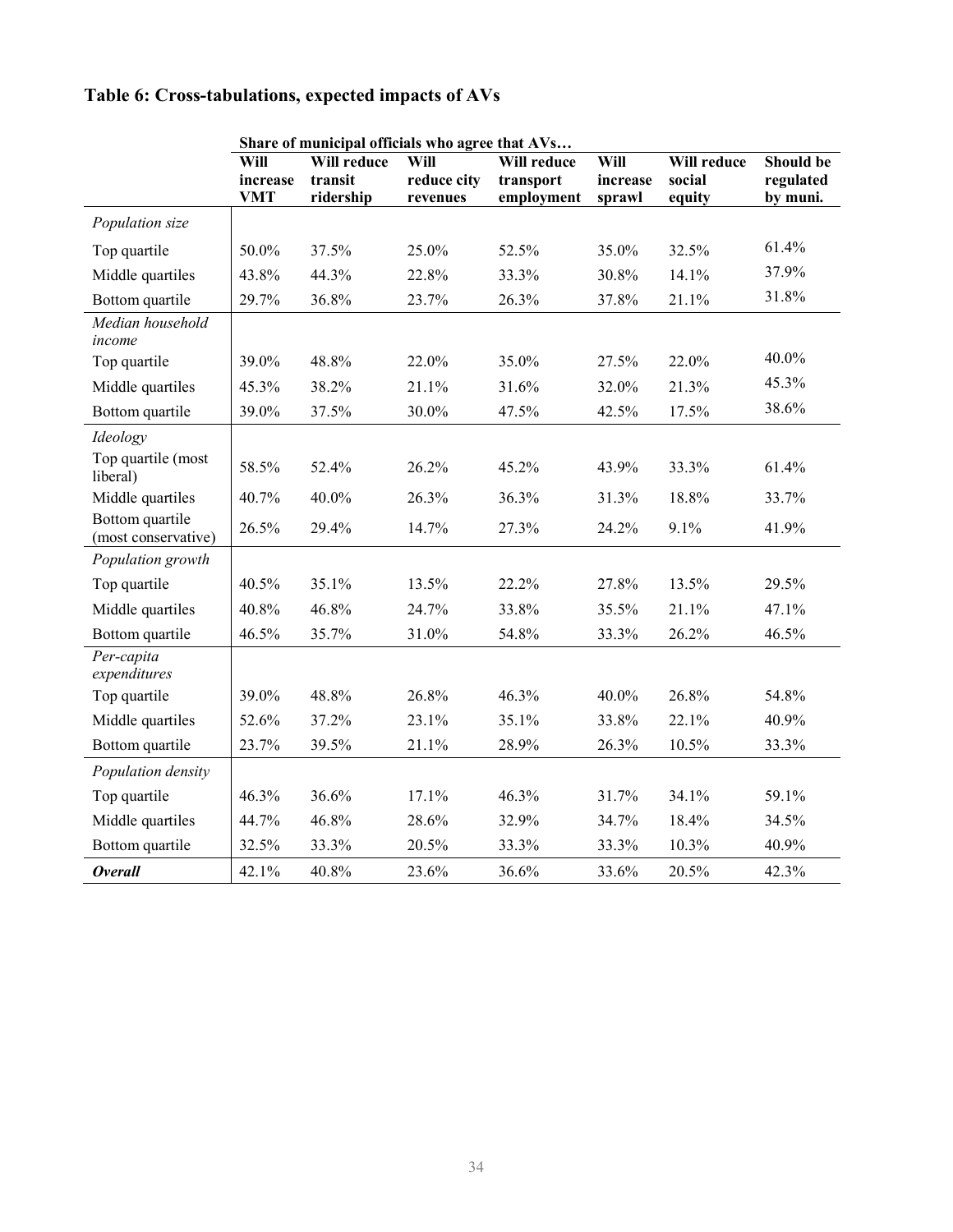## **Table 6: Cross-tabulations, expected impacts of AVs**

|                                        | Share of municipal officials who agree that AVs |             |             |             |          |             |           |  |  |
|----------------------------------------|-------------------------------------------------|-------------|-------------|-------------|----------|-------------|-----------|--|--|
|                                        | Will                                            | Will reduce | Will        | Will reduce | Will     | Will reduce | Should be |  |  |
|                                        | increase                                        | transit     | reduce city | transport   | increase | social      | regulated |  |  |
|                                        | <b>VMT</b>                                      | ridership   | revenues    | employment  | sprawl   | equity      | by muni.  |  |  |
| Population size                        |                                                 |             |             |             |          |             |           |  |  |
| Top quartile                           | 50.0%                                           | 37.5%       | 25.0%       | 52.5%       | 35.0%    | 32.5%       | 61.4%     |  |  |
| Middle quartiles                       | 43.8%                                           | 44.3%       | 22.8%       | 33.3%       | 30.8%    | 14.1%       | 37.9%     |  |  |
| Bottom quartile                        | 29.7%                                           | 36.8%       | 23.7%       | 26.3%       | 37.8%    | 21.1%       | 31.8%     |  |  |
| Median household<br>income             |                                                 |             |             |             |          |             |           |  |  |
| Top quartile                           | 39.0%                                           | 48.8%       | 22.0%       | 35.0%       | 27.5%    | 22.0%       | 40.0%     |  |  |
| Middle quartiles                       | 45.3%                                           | 38.2%       | 21.1%       | 31.6%       | 32.0%    | 21.3%       | 45.3%     |  |  |
| Bottom quartile                        | 39.0%                                           | 37.5%       | 30.0%       | 47.5%       | 42.5%    | 17.5%       | 38.6%     |  |  |
| Ideology                               |                                                 |             |             |             |          |             |           |  |  |
| Top quartile (most<br>liberal)         | 58.5%                                           | 52.4%       | 26.2%       | 45.2%       | 43.9%    | 33.3%       | 61.4%     |  |  |
| Middle quartiles                       | 40.7%                                           | 40.0%       | 26.3%       | 36.3%       | 31.3%    | 18.8%       | 33.7%     |  |  |
| Bottom quartile<br>(most conservative) | 26.5%                                           | 29.4%       | 14.7%       | 27.3%       | 24.2%    | 9.1%        | 41.9%     |  |  |
| Population growth                      |                                                 |             |             |             |          |             |           |  |  |
| Top quartile                           | 40.5%                                           | 35.1%       | 13.5%       | 22.2%       | 27.8%    | 13.5%       | 29.5%     |  |  |
| Middle quartiles                       | 40.8%                                           | 46.8%       | 24.7%       | 33.8%       | 35.5%    | 21.1%       | 47.1%     |  |  |
| Bottom quartile                        | 46.5%                                           | 35.7%       | 31.0%       | 54.8%       | 33.3%    | 26.2%       | 46.5%     |  |  |
| Per-capita<br>expenditures             |                                                 |             |             |             |          |             |           |  |  |
| Top quartile                           | 39.0%                                           | 48.8%       | 26.8%       | 46.3%       | 40.0%    | 26.8%       | 54.8%     |  |  |
| Middle quartiles                       | 52.6%                                           | 37.2%       | 23.1%       | 35.1%       | 33.8%    | 22.1%       | 40.9%     |  |  |
| Bottom quartile                        | 23.7%                                           | 39.5%       | 21.1%       | 28.9%       | 26.3%    | 10.5%       | 33.3%     |  |  |
| Population density                     |                                                 |             |             |             |          |             |           |  |  |
| Top quartile                           | 46.3%                                           | 36.6%       | 17.1%       | 46.3%       | 31.7%    | 34.1%       | 59.1%     |  |  |
| Middle quartiles                       | 44.7%                                           | 46.8%       | 28.6%       | 32.9%       | 34.7%    | 18.4%       | 34.5%     |  |  |
| Bottom quartile                        | 32.5%                                           | 33.3%       | 20.5%       | 33.3%       | 33.3%    | 10.3%       | 40.9%     |  |  |
| <b>Overall</b>                         | 42.1%                                           | 40.8%       | 23.6%       | 36.6%       | 33.6%    | 20.5%       | 42.3%     |  |  |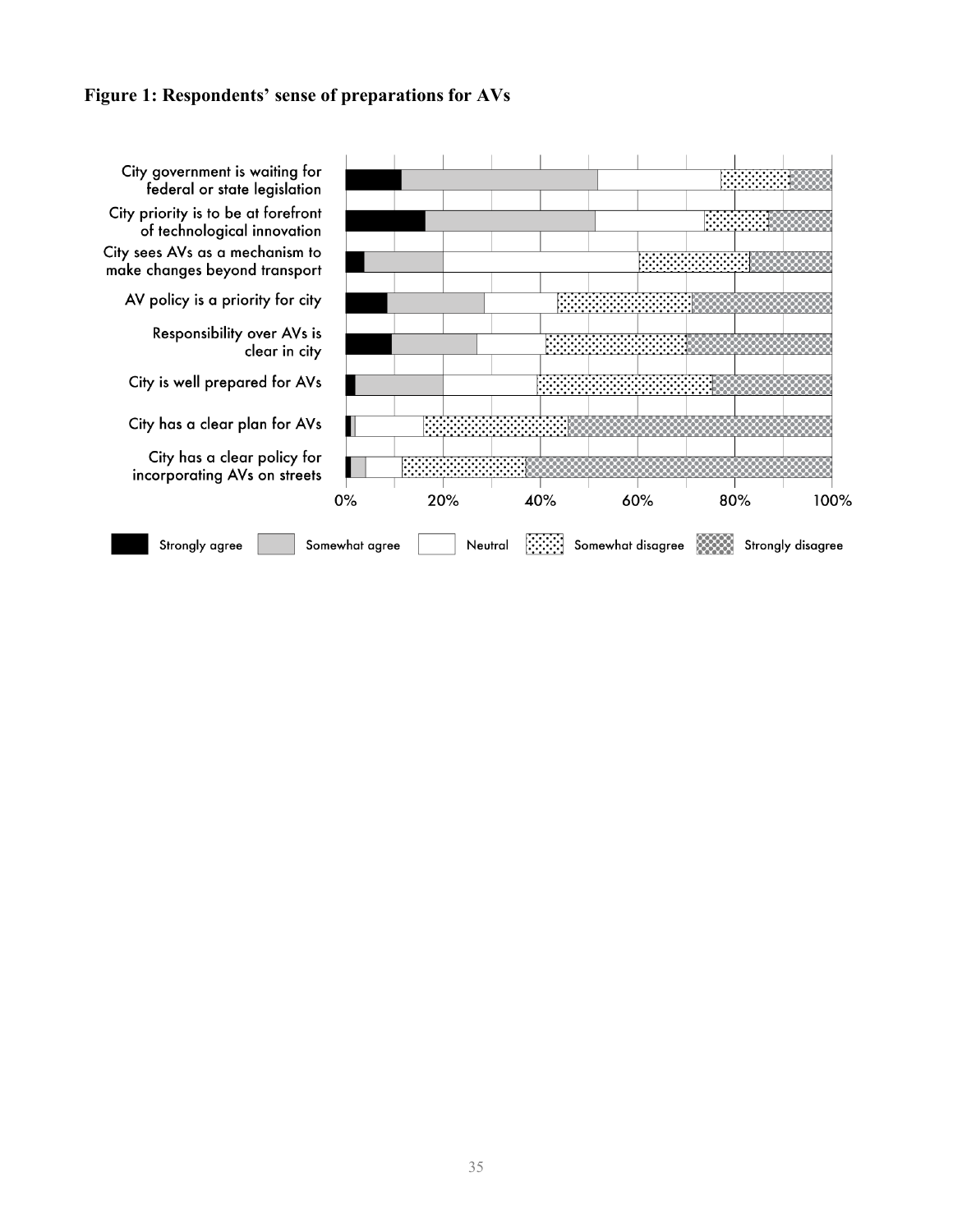### **Figure 1: Respondents' sense of preparations for AVs**

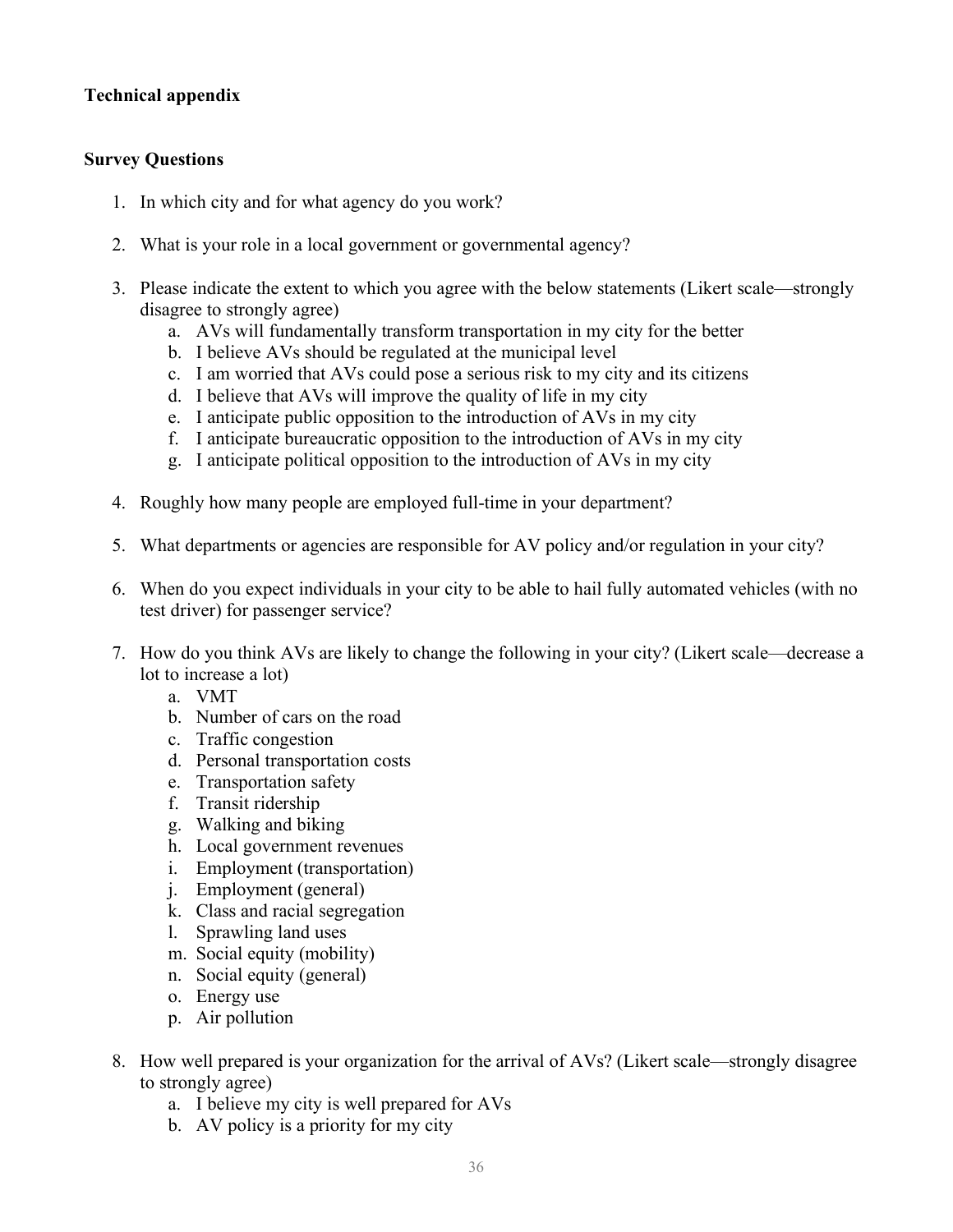## **Technical appendix**

## **Survey Questions**

- 1. In which city and for what agency do you work?
- 2. What is your role in a local government or governmental agency?
- 3. Please indicate the extent to which you agree with the below statements (Likert scale—strongly disagree to strongly agree)
	- a. AVs will fundamentally transform transportation in my city for the better
	- b. I believe AVs should be regulated at the municipal level
	- c. I am worried that AVs could pose a serious risk to my city and its citizens
	- d. I believe that AVs will improve the quality of life in my city
	- e. I anticipate public opposition to the introduction of AVs in my city
	- f. I anticipate bureaucratic opposition to the introduction of AVs in my city
	- g. I anticipate political opposition to the introduction of AVs in my city
- 4. Roughly how many people are employed full-time in your department?
- 5. What departments or agencies are responsible for AV policy and/or regulation in your city?
- 6. When do you expect individuals in your city to be able to hail fully automated vehicles (with no test driver) for passenger service?
- 7. How do you think AVs are likely to change the following in your city? (Likert scale—decrease a lot to increase a lot)
	- a. VMT
	- b. Number of cars on the road
	- c. Traffic congestion
	- d. Personal transportation costs
	- e. Transportation safety
	- f. Transit ridership
	- g. Walking and biking
	- h. Local government revenues
	- i. Employment (transportation)
	- j. Employment (general)
	- k. Class and racial segregation
	- l. Sprawling land uses
	- m. Social equity (mobility)
	- n. Social equity (general)
	- o. Energy use
	- p. Air pollution
- 8. How well prepared is your organization for the arrival of AVs? (Likert scale—strongly disagree to strongly agree)
	- a. I believe my city is well prepared for AVs
	- b. AV policy is a priority for my city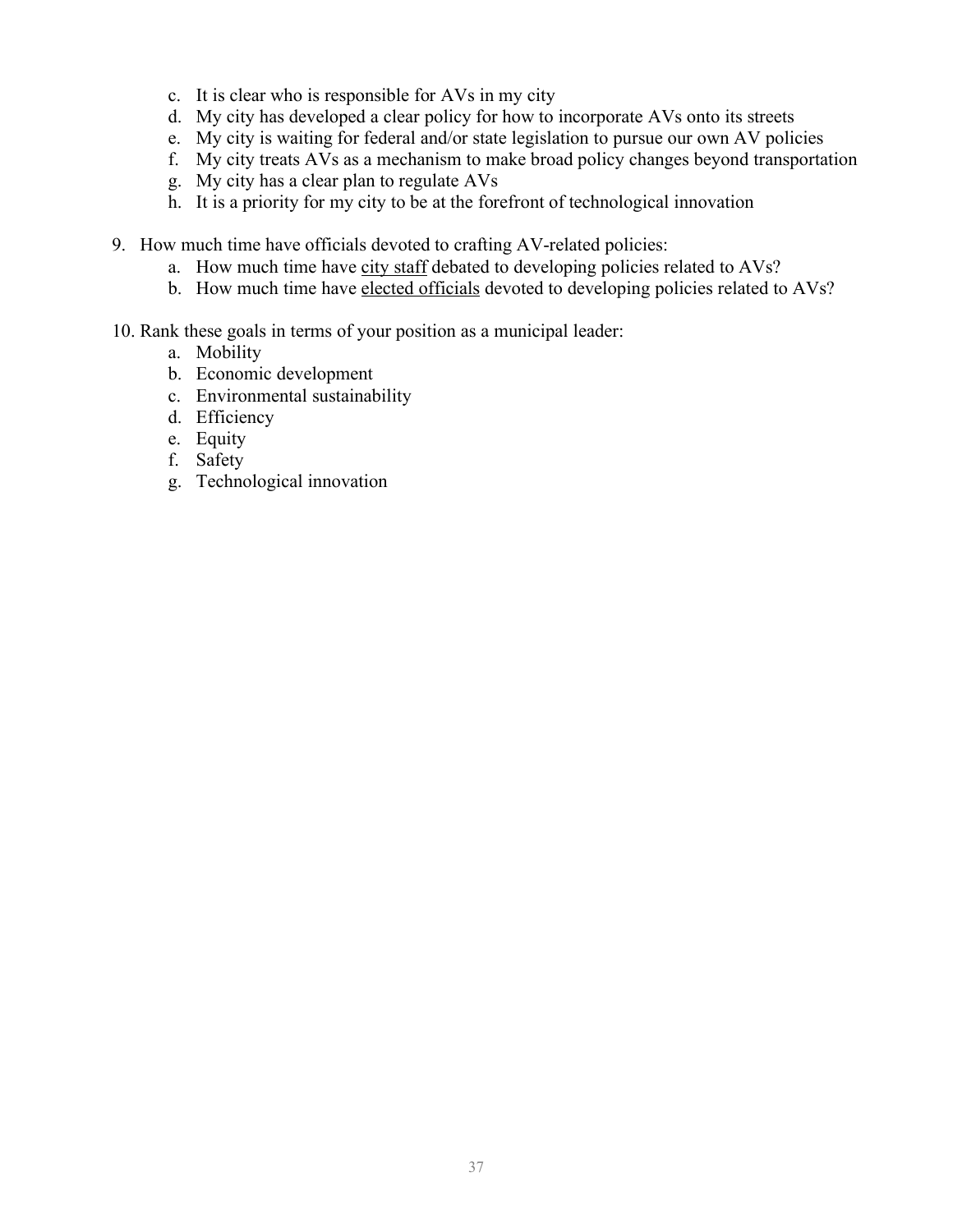- c. It is clear who is responsible for AVs in my city
- d. My city has developed a clear policy for how to incorporate AVs onto its streets
- e. My city is waiting for federal and/or state legislation to pursue our own AV policies
- f. My city treats AVs as a mechanism to make broad policy changes beyond transportation
- g. My city has a clear plan to regulate AVs
- h. It is a priority for my city to be at the forefront of technological innovation
- 9. How much time have officials devoted to crafting AV-related policies:
	- a. How much time have city staff debated to developing policies related to AVs?
	- b. How much time have elected officials devoted to developing policies related to AVs?
- 10. Rank these goals in terms of your position as a municipal leader:
	- a. Mobility
	- b. Economic development
	- c. Environmental sustainability
	- d. Efficiency
	- e. Equity
	- f. Safety
	- g. Technological innovation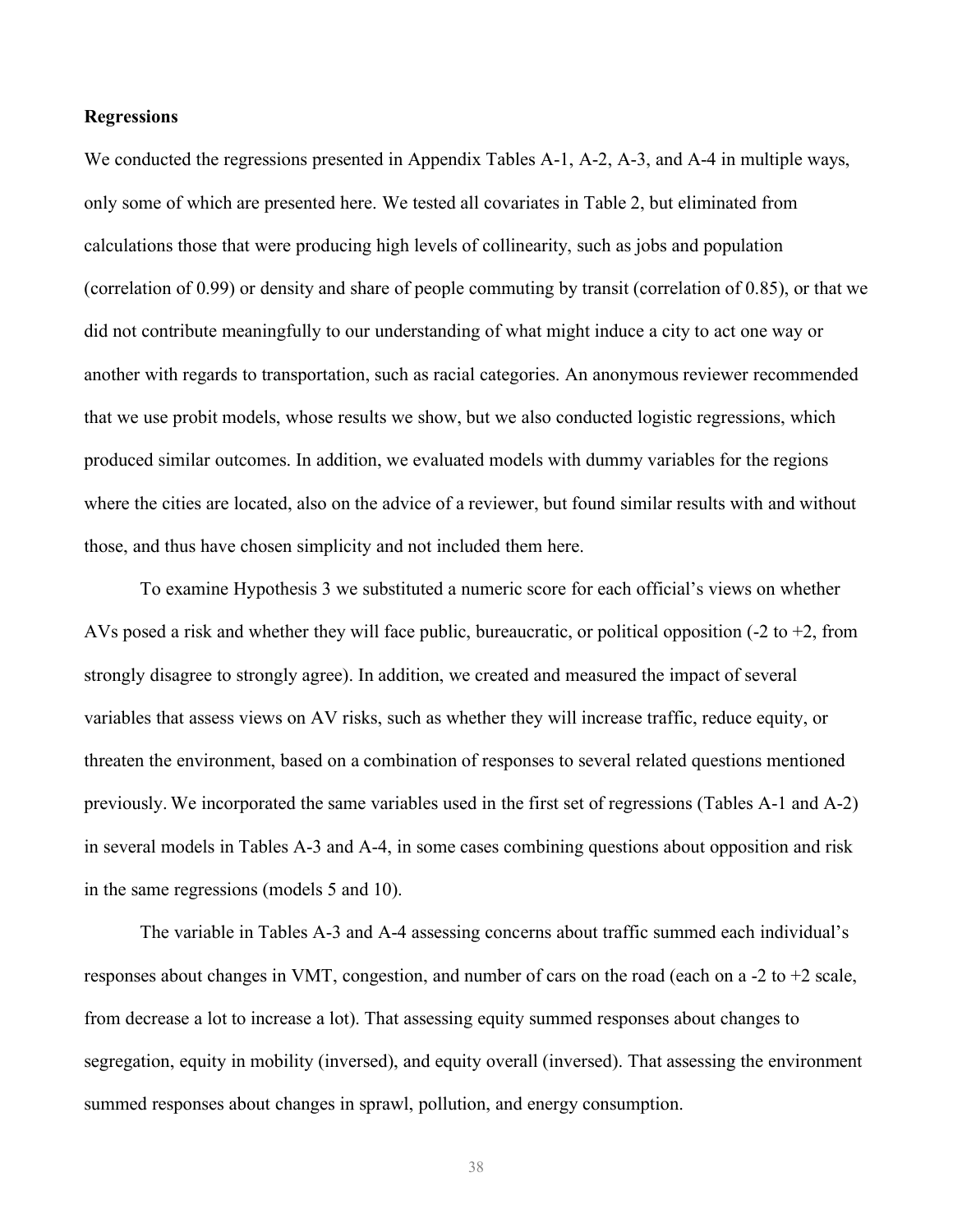#### **Regressions**

We conducted the regressions presented in Appendix Tables A-1, A-2, A-3, and A-4 in multiple ways, only some of which are presented here. We tested all covariates in Table 2, but eliminated from calculations those that were producing high levels of collinearity, such as jobs and population (correlation of 0.99) or density and share of people commuting by transit (correlation of 0.85), or that we did not contribute meaningfully to our understanding of what might induce a city to act one way or another with regards to transportation, such as racial categories. An anonymous reviewer recommended that we use probit models, whose results we show, but we also conducted logistic regressions, which produced similar outcomes. In addition, we evaluated models with dummy variables for the regions where the cities are located, also on the advice of a reviewer, but found similar results with and without those, and thus have chosen simplicity and not included them here.

To examine Hypothesis 3 we substituted a numeric score for each official's views on whether AVs posed a risk and whether they will face public, bureaucratic, or political opposition  $(-2 \text{ to } +2)$ , from strongly disagree to strongly agree). In addition, we created and measured the impact of several variables that assess views on AV risks, such as whether they will increase traffic, reduce equity, or threaten the environment, based on a combination of responses to several related questions mentioned previously. We incorporated the same variables used in the first set of regressions (Tables A-1 and A-2) in several models in Tables A-3 and A-4, in some cases combining questions about opposition and risk in the same regressions (models 5 and 10).

The variable in Tables A-3 and A-4 assessing concerns about traffic summed each individual's responses about changes in VMT, congestion, and number of cars on the road (each on a -2 to +2 scale, from decrease a lot to increase a lot). That assessing equity summed responses about changes to segregation, equity in mobility (inversed), and equity overall (inversed). That assessing the environment summed responses about changes in sprawl, pollution, and energy consumption.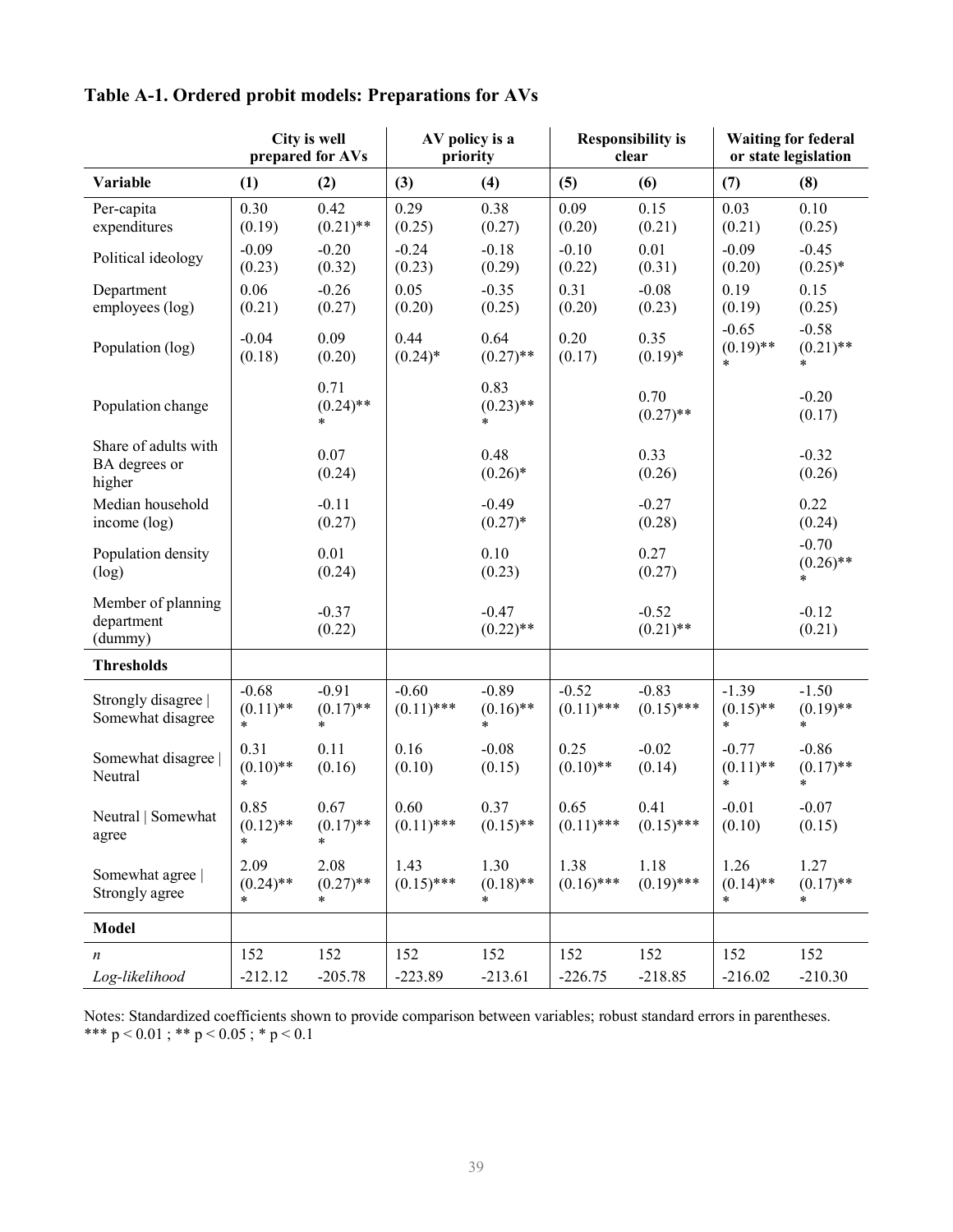|                                                 |                                  | City is well<br>prepared for AVs |                         | AV policy is a<br>priority       |                         | <b>Responsibility is</b><br>clear |                                  | <b>Waiting for federal</b><br>or state legislation |
|-------------------------------------------------|----------------------------------|----------------------------------|-------------------------|----------------------------------|-------------------------|-----------------------------------|----------------------------------|----------------------------------------------------|
| Variable                                        | (1)                              | (2)                              | (3)                     | (4)                              | (5)                     | (6)                               | (7)                              | (8)                                                |
| Per-capita<br>expenditures                      | 0.30<br>(0.19)                   | 0.42<br>$(0.21)$ **              | 0.29<br>(0.25)          | 0.38<br>(0.27)                   | 0.09<br>(0.20)          | 0.15<br>(0.21)                    | 0.03<br>(0.21)                   | 0.10<br>(0.25)                                     |
| Political ideology                              | $-0.09$<br>(0.23)                | $-0.20$<br>(0.32)                | $-0.24$<br>(0.23)       | $-0.18$<br>(0.29)                | $-0.10$<br>(0.22)       | 0.01<br>(0.31)                    | $-0.09$<br>(0.20)                | $-0.45$<br>$(0.25)*$                               |
| Department<br>employees (log)                   | 0.06<br>(0.21)                   | $-0.26$<br>(0.27)                | 0.05<br>(0.20)          | $-0.35$<br>(0.25)                | 0.31<br>(0.20)          | $-0.08$<br>(0.23)                 | 0.19<br>(0.19)                   | 0.15<br>(0.25)                                     |
| Population (log)                                | $-0.04$<br>(0.18)                | 0.09<br>(0.20)                   | 0.44<br>$(0.24)$ *      | 0.64<br>$(0.27)$ **              | 0.20<br>(0.17)          | 0.35<br>$(0.19)*$                 | $-0.65$<br>$(0.19)$ **<br>$\ast$ | $-0.58$<br>$(0.21)$ **<br>$\ast$                   |
| Population change                               |                                  | 0.71<br>$(0.24)$ **              |                         | 0.83<br>$(0.23)$ **<br>$\ast$    |                         | 0.70<br>$(0.27)$ **               |                                  | $-0.20$<br>(0.17)                                  |
| Share of adults with<br>BA degrees or<br>higher |                                  | 0.07<br>(0.24)                   |                         | 0.48<br>$(0.26)$ *               |                         | 0.33<br>(0.26)                    |                                  | $-0.32$<br>(0.26)                                  |
| Median household<br>income (log)                |                                  | $-0.11$<br>(0.27)                |                         | $-0.49$<br>$(0.27)$ *            |                         | $-0.27$<br>(0.28)                 |                                  | 0.22<br>(0.24)                                     |
| Population density<br>(log)                     |                                  | 0.01<br>(0.24)                   |                         | 0.10<br>(0.23)                   |                         | 0.27<br>(0.27)                    |                                  | $-0.70$<br>$(0.26)$ **<br>$\ast$                   |
| Member of planning<br>department<br>(dummy)     |                                  | $-0.37$<br>(0.22)                |                         | $-0.47$<br>$(0.22)$ **           |                         | $-0.52$<br>$(0.21)$ **            |                                  | $-0.12$<br>(0.21)                                  |
| <b>Thresholds</b>                               |                                  |                                  |                         |                                  |                         |                                   |                                  |                                                    |
| Strongly disagree  <br>Somewhat disagree        | $-0.68$<br>$(0.11)$ **<br>$\ast$ | $-0.91$<br>$(0.17)$ **<br>$\ast$ | $-0.60$<br>$(0.11)$ *** | $-0.89$<br>$(0.16)$ **<br>$\ast$ | $-0.52$<br>$(0.11)$ *** | $-0.83$<br>$(0.15)$ ***           | $-1.39$<br>$(0.15)$ **<br>$\ast$ | $-1.50$<br>$(0.19)$ **<br>$\ast$                   |
| Somewhat disagree<br>Neutral                    | 0.31<br>$(0.10)$ **<br>*         | 0.11<br>(0.16)                   | 0.16<br>(0.10)          | $-0.08$<br>(0.15)                | 0.25<br>$(0.10)$ **     | $-0.02$<br>(0.14)                 | $-0.77$<br>$(0.11)$ **<br>$\ast$ | $-0.86$<br>$(0.17)$ **<br>$\ast$                   |
| Neutral   Somewhat<br>agree                     | 0.85<br>$(0.12)$ **<br>$\ast$    | 0.67<br>$(0.17)$ **              | 0.60<br>$(0.11)$ ***    | 0.37<br>$(0.15)$ **              | 0.65                    | 0.41<br>$(0.11)$ *** $(0.15)$ *** | $-0.01$<br>(0.10)                | $-0.07$<br>(0.15)                                  |
| Somewhat agree  <br>Strongly agree              | 2.09<br>$(0.24)$ **<br>$\ast$    | 2.08<br>$(0.27)$ **<br>*         | 1.43<br>$(0.15)$ ***    | 1.30<br>$(0.18)$ **<br>*         | 1.38<br>$(0.16)$ ***    | 1.18<br>$(0.19)$ ***              | 1.26<br>$(0.14)$ **<br>$\ast$    | 1.27<br>$(0.17)$ **<br>$\ast$                      |
| <b>Model</b>                                    |                                  |                                  |                         |                                  |                         |                                   |                                  |                                                    |
| n                                               | 152                              | 152                              | 152                     | 152                              | 152                     | 152                               | 152                              | 152                                                |
| Log-likelihood                                  | $-212.12$                        | $-205.78$                        | $-223.89$               | $-213.61$                        | $-226.75$               | $-218.85$                         | $-216.02$                        | $-210.30$                                          |

## **Table A-1. Ordered probit models: Preparations for AVs**

Notes: Standardized coefficients shown to provide comparison between variables; robust standard errors in parentheses. \*\*\* p < 0.01 ; \*\* p < 0.05 ; \* p < 0.1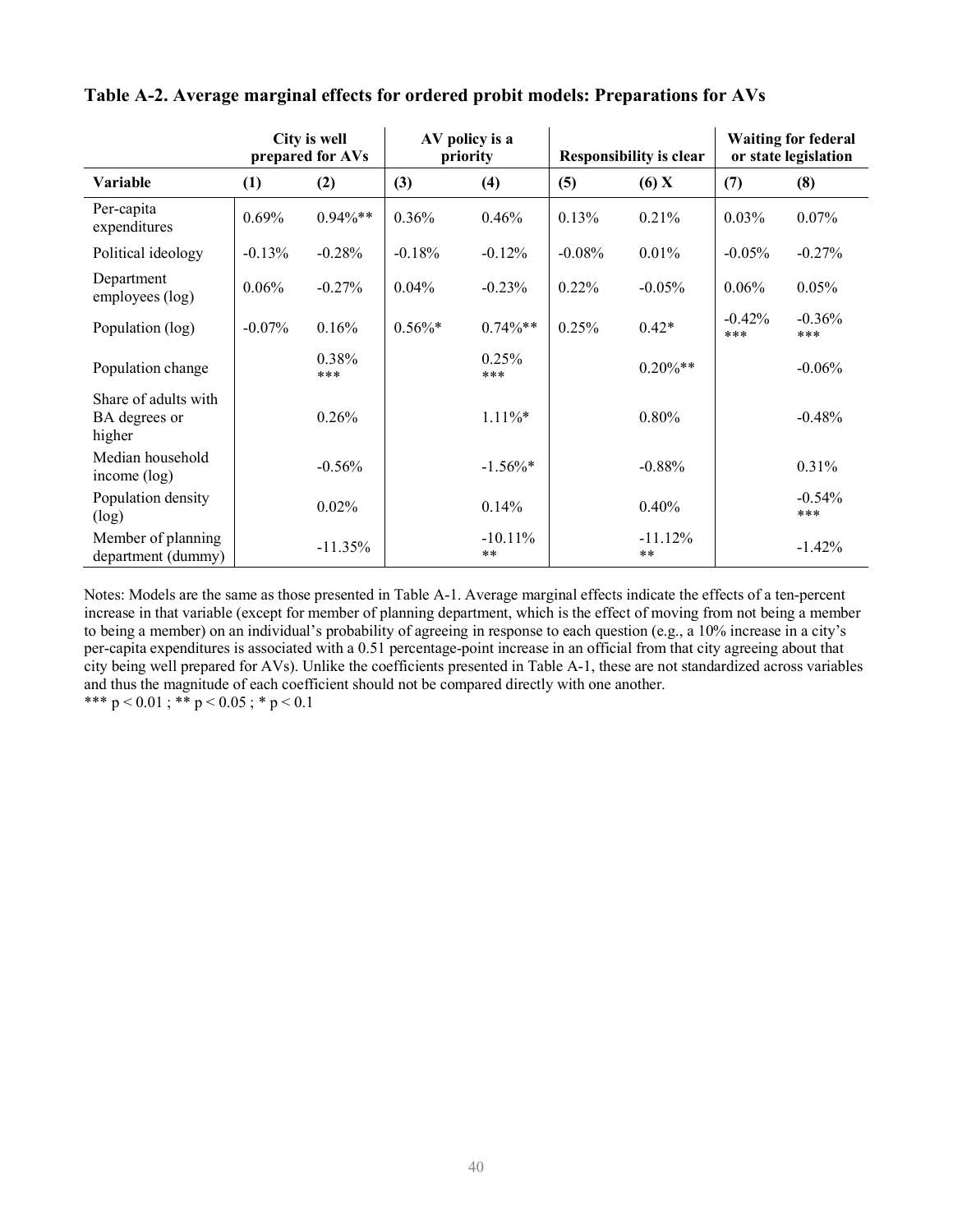|                                                 | City is well<br>prepared for AVs |              |            | AV policy is a<br>priority |          | <b>Responsibility is clear</b> | <b>Waiting for federal</b><br>or state legislation |                 |
|-------------------------------------------------|----------------------------------|--------------|------------|----------------------------|----------|--------------------------------|----------------------------------------------------|-----------------|
| <b>Variable</b>                                 | (1)                              | (2)          | (3)        | (4)                        | (5)      | $(6)$ X                        | (7)                                                | (8)             |
| Per-capita<br>expenditures                      | 0.69%                            | $0.94\%$ **  | 0.36%      | 0.46%                      | 0.13%    | 0.21%                          | 0.03%                                              | 0.07%           |
| Political ideology                              | $-0.13%$                         | $-0.28%$     | $-0.18%$   | $-0.12%$                   | $-0.08%$ | 0.01%                          | $-0.05%$                                           | $-0.27%$        |
| Department<br>employees (log)                   | 0.06%                            | $-0.27%$     | $0.04\%$   | $-0.23%$                   | 0.22%    | $-0.05%$                       | $0.06\%$                                           | 0.05%           |
| Population (log)                                | $-0.07\%$                        | 0.16%        | $0.56\%$ * | $0.74\%**$                 | 0.25%    | $0.42*$                        | $-0.42%$<br>***                                    | $-0.36%$<br>*** |
| Population change                               |                                  | 0.38%<br>*** |            | 0.25%<br>***               |          | $0.20\%**$                     |                                                    | $-0.06\%$       |
| Share of adults with<br>BA degrees or<br>higher |                                  | 0.26%        |            | $1.11\%$ *                 |          | $0.80\%$                       |                                                    | $-0.48%$        |
| Median household<br>income $(\log)$             |                                  | $-0.56%$     |            | $-1.56\%$ *                |          | $-0.88%$                       |                                                    | 0.31%           |
| Population density<br>(log)                     |                                  | $0.02\%$     |            | 0.14%                      |          | 0.40%                          |                                                    | $-0.54%$<br>*** |
| Member of planning<br>department (dummy)        |                                  | $-11.35%$    |            | $-10.11\%$<br>$***$        |          | $-11.12%$<br>$***$             |                                                    | $-1.42%$        |

**Table A-2. Average marginal effects for ordered probit models: Preparations for AVs**

Notes: Models are the same as those presented in Table A-1. Average marginal effects indicate the effects of a ten-percent increase in that variable (except for member of planning department, which is the effect of moving from not being a member to being a member) on an individual's probability of agreeing in response to each question (e.g., a 10% increase in a city's per-capita expenditures is associated with a 0.51 percentage-point increase in an official from that city agreeing about that city being well prepared for AVs). Unlike the coefficients presented in Table A-1, these are not standardized across variables and thus the magnitude of each coefficient should not be compared directly with one another. \*\*\*  $p < 0.01$ ; \*\*  $p < 0.05$ ; \*  $p < 0.1$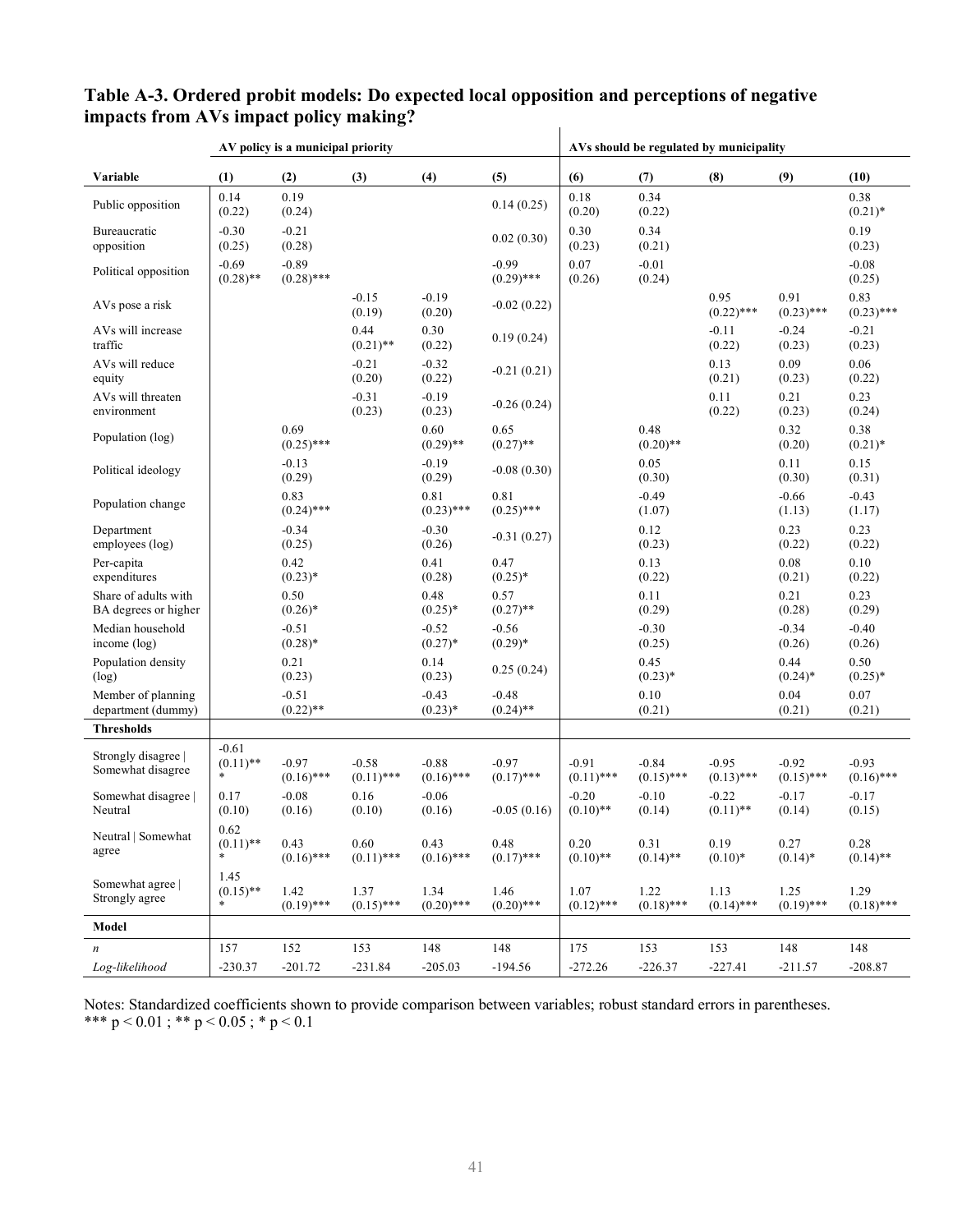|                                              | AV policy is a municipal priority |                         |                         |                         |                         | AVs should be regulated by municipality |                         |                         |                         |                         |
|----------------------------------------------|-----------------------------------|-------------------------|-------------------------|-------------------------|-------------------------|-----------------------------------------|-------------------------|-------------------------|-------------------------|-------------------------|
| Variable                                     | (1)                               | (2)                     | (3)                     | (4)                     | (5)                     | (6)                                     | (7)                     | (8)                     | (9)                     | (10)                    |
| Public opposition                            | 0.14<br>(0.22)                    | 0.19<br>(0.24)          |                         |                         | 0.14(0.25)              | 0.18<br>(0.20)                          | 0.34<br>(0.22)          |                         |                         | 0.38<br>$(0.21)$ *      |
| Bureaucratic<br>opposition                   | $-0.30$<br>(0.25)                 | $-0.21$<br>(0.28)       |                         |                         | 0.02(0.30)              | 0.30<br>(0.23)                          | 0.34<br>(0.21)          |                         |                         | 0.19<br>(0.23)          |
| Political opposition                         | $-0.69$<br>$(0.28)$ **            | $-0.89$<br>$(0.28)$ *** |                         |                         | $-0.99$<br>$(0.29)$ *** | 0.07<br>(0.26)                          | $-0.01$<br>(0.24)       |                         |                         | $-0.08$<br>(0.25)       |
| AVs pose a risk                              |                                   |                         | $-0.15$<br>(0.19)       | $-0.19$<br>(0.20)       | $-0.02(0.22)$           |                                         |                         | 0.95<br>$(0.22)$ ***    | 0.91<br>$(0.23)$ ***    | 0.83<br>$(0.23)$ ***    |
| AVs will increase<br>traffic                 |                                   |                         | 0.44<br>$(0.21)$ **     | 0.30<br>(0.22)          | 0.19(0.24)              |                                         |                         | $-0.11$<br>(0.22)       | $-0.24$<br>(0.23)       | $-0.21$<br>(0.23)       |
| AVs will reduce<br>equity                    |                                   |                         | $-0.21$<br>(0.20)       | $-0.32$<br>(0.22)       | $-0.21(0.21)$           |                                         |                         | 0.13<br>(0.21)          | 0.09<br>(0.23)          | 0.06<br>(0.22)          |
| AVs will threaten<br>environment             |                                   |                         | $-0.31$<br>(0.23)       | $-0.19$<br>(0.23)       | $-0.26(0.24)$           |                                         |                         | 0.11<br>(0.22)          | 0.21<br>(0.23)          | 0.23<br>(0.24)          |
| Population (log)                             |                                   | 0.69<br>$(0.25)$ ***    |                         | 0.60<br>$(0.29)$ **     | 0.65<br>$(0.27)$ **     |                                         | 0.48<br>$(0.20)$ **     |                         | 0.32<br>(0.20)          | 0.38<br>$(0.21)$ *      |
| Political ideology                           |                                   | $-0.13$<br>(0.29)       |                         | $-0.19$<br>(0.29)       | $-0.08(0.30)$           |                                         | 0.05<br>(0.30)          |                         | 0.11<br>(0.30)          | 0.15<br>(0.31)          |
| Population change                            |                                   | 0.83<br>$(0.24)$ ***    |                         | 0.81<br>$(0.23)$ ***    | 0.81<br>$(0.25)$ ***    |                                         | $-0.49$<br>(1.07)       |                         | $-0.66$<br>(1.13)       | $-0.43$<br>(1.17)       |
| Department<br>employees (log)                |                                   | $-0.34$<br>(0.25)       |                         | $-0.30$<br>(0.26)       | $-0.31(0.27)$           |                                         | 0.12<br>(0.23)          |                         | 0.23<br>(0.22)          | 0.23<br>(0.22)          |
| Per-capita<br>expenditures                   |                                   | 0.42<br>$(0.23)*$       |                         | 0.41<br>(0.28)          | 0.47<br>$(0.25)^*$      |                                         | 0.13<br>(0.22)          |                         | 0.08<br>(0.21)          | 0.10<br>(0.22)          |
| Share of adults with<br>BA degrees or higher |                                   | 0.50<br>$(0.26)$ *      |                         | 0.48<br>$(0.25)*$       | 0.57<br>$(0.27)$ **     |                                         | 0.11<br>(0.29)          |                         | 0.21<br>(0.28)          | 0.23<br>(0.29)          |
| Median household<br>income (log)             |                                   | $-0.51$<br>$(0.28)$ *   |                         | $-0.52$<br>$(0.27)*$    | $-0.56$<br>$(0.29)^*$   |                                         | $-0.30$<br>(0.25)       |                         | $-0.34$<br>(0.26)       | $-0.40$<br>(0.26)       |
| Population density<br>(log)                  |                                   | 0.21<br>(0.23)          |                         | 0.14<br>(0.23)          | 0.25(0.24)              |                                         | 0.45<br>$(0.23)*$       |                         | 0.44<br>$(0.24)$ *      | 0.50<br>$(0.25)^*$      |
| Member of planning<br>department (dummy)     |                                   | $-0.51$<br>$(0.22)$ **  |                         | $-0.43$<br>$(0.23)*$    | $-0.48$<br>$(0.24)$ **  |                                         | 0.10<br>(0.21)          |                         | 0.04<br>(0.21)          | 0.07<br>(0.21)          |
| <b>Thresholds</b>                            |                                   |                         |                         |                         |                         |                                         |                         |                         |                         |                         |
| Strongly disagree  <br>Somewhat disagree     | $-0.61$<br>$(0.11)$ **<br>$\ast$  | $-0.97$<br>$(0.16)$ *** | $-0.58$<br>$(0.11)$ *** | $-0.88$<br>$(0.16)$ *** | $-0.97$<br>$(0.17)$ *** | $-0.91$<br>$(0.11)$ ***                 | $-0.84$<br>$(0.15)$ *** | $-0.95$<br>$(0.13)$ *** | $-0.92$<br>$(0.15)$ *** | $-0.93$<br>$(0.16)$ *** |
| Somewhat disagree  <br>Neutral               | 0.17<br>(0.10)                    | $-0.08$<br>(0.16)       | 0.16<br>(0.10)          | $-0.06$<br>(0.16)       | $-0.05(0.16)$           | $-0.20$<br>$(0.10)$ **                  | $-0.10$<br>(0.14)       | $-0.22$<br>$(0.11)$ **  | $-0.17$<br>(0.14)       | $-0.17$<br>(0.15)       |
| Neutral   Somewhat<br>agree                  | 0.62<br>$(0.11)$ **<br>$\ast$     | 0.43<br>$(0.16)$ ***    | 0.60<br>$(0.11)$ ***    | 0.43<br>$(0.16)$ ***    | 0.48<br>$(0.17)$ ***    | 0.20<br>$(0.10)$ **                     | 0.31<br>$(0.14)$ **     | 0.19<br>$(0.10)*$       | 0.27<br>$(0.14)^*$      | 0.28<br>$(0.14)$ **     |
| Somewhat agree  <br>Strongly agree           | 1.45<br>$(0.15)$ **<br>*          | 1.42<br>$(0.19)$ ***    | 1.37<br>$(0.15)$ ***    | 1.34<br>$(0.20)$ ***    | 1.46<br>$(0.20)$ ***    | 1.07<br>$(0.12)$ ***                    | 1.22<br>$(0.18)$ ***    | 1.13<br>$(0.14)$ ***    | 1.25<br>$(0.19)$ ***    | 1.29<br>$(0.18)$ ***    |
| Model                                        |                                   |                         |                         |                         |                         |                                         |                         |                         |                         |                         |
| $\boldsymbol{n}$                             | 157                               | 152                     | 153                     | 148                     | 148                     | 175                                     | 153                     | 153                     | 148                     | 148                     |
| Log-likelihood                               | $-230.37$                         | $-201.72$               | $-231.84$               | $-205.03$               | $-194.56$               | $-272.26$                               | $-226.37$               | $-227.41$               | $-211.57$               | $-208.87$               |

#### **Table A-3. Ordered probit models: Do expected local opposition and perceptions of negative impacts from AVs impact policy making?**  $\overline{1}$

Notes: Standardized coefficients shown to provide comparison between variables; robust standard errors in parentheses. \*\*\*  $p < 0.01$ ; \*\*  $p < 0.05$ ; \*  $p < 0.1$